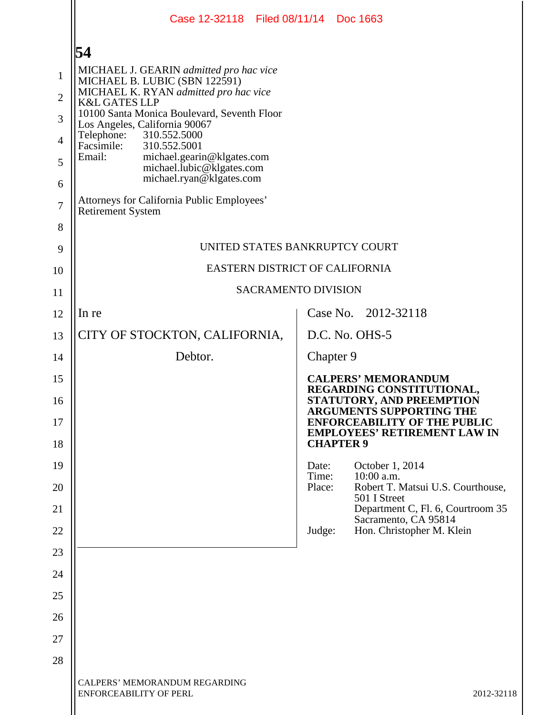|                | Case 12-32118 Filed 08/11/14 Doc 1663                                                         |                |                                                                            |  |
|----------------|-----------------------------------------------------------------------------------------------|----------------|----------------------------------------------------------------------------|--|
|                | 54                                                                                            |                |                                                                            |  |
| $\mathbf{1}$   | MICHAEL J. GEARIN admitted pro hac vice<br>MICHAEL B. LUBIC (SBN 122591)                      |                |                                                                            |  |
| $\overline{2}$ | MICHAEL K. RYAN admitted pro hac vice<br><b>K&amp;L GATES LLP</b>                             |                |                                                                            |  |
| 3              | 10100 Santa Monica Boulevard, Seventh Floor<br>Los Angeles, California 90067                  |                |                                                                            |  |
| $\overline{4}$ | 310.552.5000<br>Telephone:<br>Facsimile:<br>310.552.5001                                      |                |                                                                            |  |
| 5              | Email:<br>michael.gearin@klgates.com<br>michael.lubic@klgates.com<br>michael.ryan@klgates.com |                |                                                                            |  |
| 6              |                                                                                               |                |                                                                            |  |
| $\overline{7}$ | Attorneys for California Public Employees'<br><b>Retirement System</b>                        |                |                                                                            |  |
| 8              |                                                                                               |                |                                                                            |  |
| 9              | UNITED STATES BANKRUPTCY COURT                                                                |                |                                                                            |  |
| 10             | EASTERN DISTRICT OF CALIFORNIA                                                                |                |                                                                            |  |
| 11             | <b>SACRAMENTO DIVISION</b>                                                                    |                |                                                                            |  |
| 12             | In re                                                                                         |                | Case No. 2012-32118                                                        |  |
| 13             | CITY OF STOCKTON, CALIFORNIA,                                                                 |                | D.C. No. OHS-5                                                             |  |
| 14             | Debtor.                                                                                       |                | Chapter 9                                                                  |  |
| 15             |                                                                                               |                | <b>CALPERS' MEMORANDUM</b><br>REGARDING CONSTITUTIONAL,                    |  |
| 16             |                                                                                               |                | STATUTORY, AND PREEMPTION<br><b>ARGUMENTS SUPPORTING THE</b>               |  |
| 17             |                                                                                               |                | <b>ENFORCEABILITY OF THE PUBLIC</b><br><b>EMPLOYEES' RETIREMENT LAW IN</b> |  |
| 18             |                                                                                               |                | <b>CHAPTER 9</b>                                                           |  |
| 19             |                                                                                               | Date:<br>Time: | October 1, 2014<br>10:00 a.m.                                              |  |
| 20             |                                                                                               | Place:         | Robert T. Matsui U.S. Courthouse,<br>501 I Street                          |  |
| 21             |                                                                                               |                | Department C, Fl. 6, Courtroom 35<br>Sacramento, CA 95814                  |  |
| 22             |                                                                                               | Judge:         | Hon. Christopher M. Klein                                                  |  |
| 23             |                                                                                               |                |                                                                            |  |
| 24             |                                                                                               |                |                                                                            |  |
| 25             |                                                                                               |                |                                                                            |  |
| 26             |                                                                                               |                |                                                                            |  |
| 27             |                                                                                               |                |                                                                            |  |
| 28             |                                                                                               |                |                                                                            |  |
|                | CALPERS' MEMORANDUM REGARDING<br><b>ENFORCEABILITY OF PERL</b>                                |                | 2012-32118                                                                 |  |
|                |                                                                                               |                |                                                                            |  |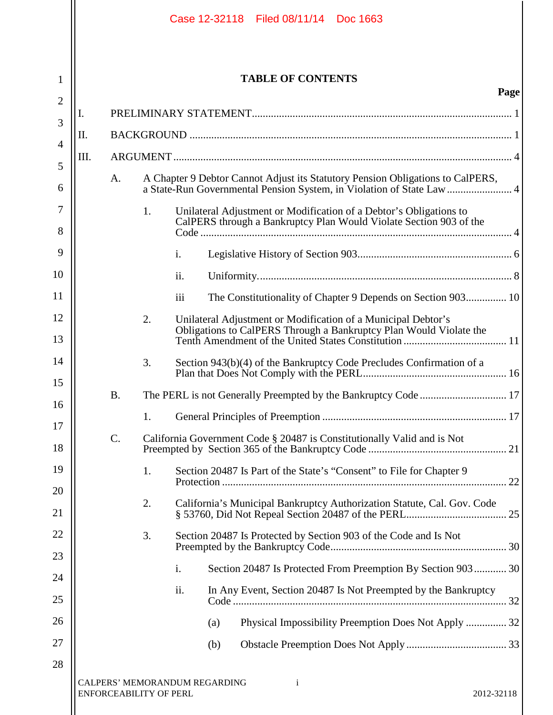|                |      |                 |                                                                |     |     | Case 12-32118 Filed 08/11/14 Doc 1663                                                                                                                   |
|----------------|------|-----------------|----------------------------------------------------------------|-----|-----|---------------------------------------------------------------------------------------------------------------------------------------------------------|
| 1              |      |                 |                                                                |     |     | <b>TABLE OF CONTENTS</b>                                                                                                                                |
| $\overline{2}$ |      |                 |                                                                |     |     | Page                                                                                                                                                    |
| 3              | 1.   |                 |                                                                |     |     |                                                                                                                                                         |
| 4              | Π.   |                 |                                                                |     |     |                                                                                                                                                         |
| 5              | III. |                 |                                                                |     |     |                                                                                                                                                         |
| 6              |      | A.              |                                                                |     |     | A Chapter 9 Debtor Cannot Adjust its Statutory Pension Obligations to CalPERS,<br>a State-Run Governmental Pension System, in Violation of State Law  4 |
| 7<br>8         |      |                 | 1.                                                             |     |     | Unilateral Adjustment or Modification of a Debtor's Obligations to<br>CalPERS through a Bankruptcy Plan Would Violate Section 903 of the                |
| 9              |      |                 |                                                                | i.  |     |                                                                                                                                                         |
| 10             |      |                 |                                                                | ii. |     |                                                                                                                                                         |
| 11             |      |                 |                                                                | iii |     | The Constitutionality of Chapter 9 Depends on Section 903 10                                                                                            |
| 12             |      |                 | 2.                                                             |     |     | Unilateral Adjustment or Modification of a Municipal Debtor's                                                                                           |
| 13             |      |                 |                                                                |     |     |                                                                                                                                                         |
| 14             |      |                 | 3.                                                             |     |     | Section 943(b)(4) of the Bankruptcy Code Precludes Confirmation of a                                                                                    |
| 15             |      | <b>B.</b>       |                                                                |     |     |                                                                                                                                                         |
| 16             |      |                 | 1.                                                             |     |     |                                                                                                                                                         |
| 17<br>18       |      | $\mathcal{C}$ . |                                                                |     |     | California Government Code § 20487 is Constitutionally Valid and is Not                                                                                 |
| 19             |      |                 | 1.                                                             |     |     | Section 20487 Is Part of the State's "Consent" to File for Chapter 9                                                                                    |
| 20             |      |                 |                                                                |     |     |                                                                                                                                                         |
| 21             |      |                 | 2.                                                             |     |     | California's Municipal Bankruptcy Authorization Statute, Cal. Gov. Code                                                                                 |
| 22             |      |                 | 3.                                                             |     |     | Section 20487 Is Protected by Section 903 of the Code and Is Not                                                                                        |
| 23             |      |                 |                                                                |     |     |                                                                                                                                                         |
| 24             |      |                 |                                                                | i.  |     | Section 20487 Is Protected From Preemption By Section 903 30                                                                                            |
| 25             |      |                 |                                                                | ii. |     | In Any Event, Section 20487 Is Not Preempted by the Bankruptcy                                                                                          |
| 26             |      |                 |                                                                |     | (a) | Physical Impossibility Preemption Does Not Apply  32                                                                                                    |
| 27             |      |                 |                                                                |     | (b) |                                                                                                                                                         |
| 28             |      |                 |                                                                |     |     |                                                                                                                                                         |
|                |      |                 | CALPERS' MEMORANDUM REGARDING<br><b>ENFORCEABILITY OF PERL</b> |     |     | $\mathbf{i}$<br>2012-32118                                                                                                                              |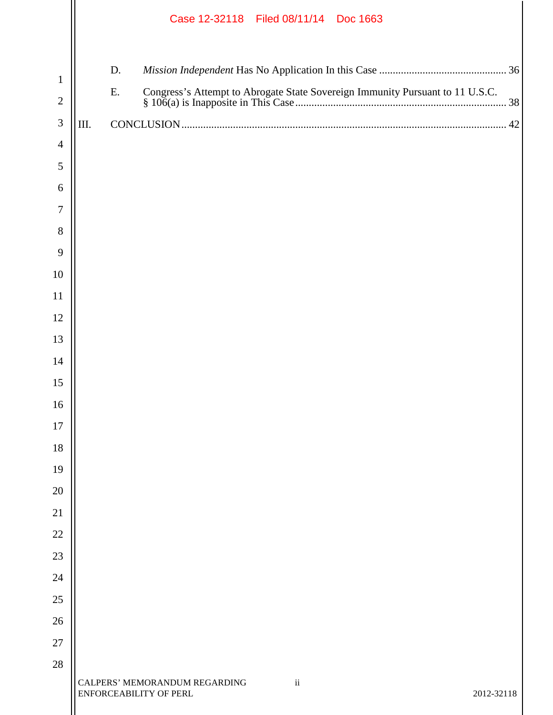|                |      |    |                                                         |  | Case 12-32118 Filed 08/11/14 Doc 1663 |  |  |            |  |
|----------------|------|----|---------------------------------------------------------|--|---------------------------------------|--|--|------------|--|
| $\mathbf{1}$   |      | D. |                                                         |  |                                       |  |  |            |  |
| $\mathbf{2}$   |      | Ε. |                                                         |  |                                       |  |  |            |  |
| $\mathfrak{Z}$ | III. |    |                                                         |  |                                       |  |  |            |  |
| $\overline{4}$ |      |    |                                                         |  |                                       |  |  |            |  |
| 5              |      |    |                                                         |  |                                       |  |  |            |  |
| 6              |      |    |                                                         |  |                                       |  |  |            |  |
| 7              |      |    |                                                         |  |                                       |  |  |            |  |
| 8              |      |    |                                                         |  |                                       |  |  |            |  |
| 9              |      |    |                                                         |  |                                       |  |  |            |  |
| 10             |      |    |                                                         |  |                                       |  |  |            |  |
| 11             |      |    |                                                         |  |                                       |  |  |            |  |
| 12             |      |    |                                                         |  |                                       |  |  |            |  |
| 13             |      |    |                                                         |  |                                       |  |  |            |  |
| 14             |      |    |                                                         |  |                                       |  |  |            |  |
| 15             |      |    |                                                         |  |                                       |  |  |            |  |
| 16             |      |    |                                                         |  |                                       |  |  |            |  |
| 17             |      |    |                                                         |  |                                       |  |  |            |  |
| 18<br>19       |      |    |                                                         |  |                                       |  |  |            |  |
| 20             |      |    |                                                         |  |                                       |  |  |            |  |
| 21             |      |    |                                                         |  |                                       |  |  |            |  |
| 22             |      |    |                                                         |  |                                       |  |  |            |  |
| 23             |      |    |                                                         |  |                                       |  |  |            |  |
| 24             |      |    |                                                         |  |                                       |  |  |            |  |
| 25             |      |    |                                                         |  |                                       |  |  |            |  |
| 26             |      |    |                                                         |  |                                       |  |  |            |  |
| 27             |      |    |                                                         |  |                                       |  |  |            |  |
| 28             |      |    |                                                         |  |                                       |  |  |            |  |
|                |      |    | CALPERS' MEMORANDUM REGARDING<br>ENFORCEABILITY OF PERL |  | $\mathbf{ii}$                         |  |  | 2012-32118 |  |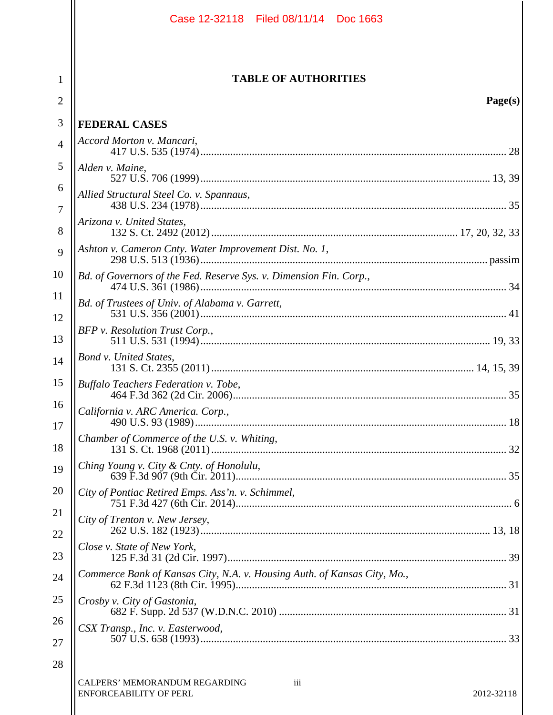|                | Case 12-32118 Filed 08/11/14 Doc 1663                                                      |  |
|----------------|--------------------------------------------------------------------------------------------|--|
| 1<br>2         | <b>TABLE OF AUTHORITIES</b><br>Page(s)                                                     |  |
| 3              | <b>FEDERAL CASES</b>                                                                       |  |
| $\overline{4}$ | Accord Morton v. Mancari,                                                                  |  |
| 5              | Alden v. Maine,                                                                            |  |
| 6              | Allied Structural Steel Co. v. Spannaus,                                                   |  |
| 7              |                                                                                            |  |
| 8              | Arizona v. United States,                                                                  |  |
| 9              | Ashton v. Cameron Cnty. Water Improvement Dist. No. 1,                                     |  |
| 10             | Bd. of Governors of the Fed. Reserve Sys. v. Dimension Fin. Corp.,                         |  |
| 11             | Bd. of Trustees of Univ. of Alabama v. Garrett,                                            |  |
| 12<br>13       | BFP v. Resolution Trust Corp.,                                                             |  |
| 14             | Bond v. United States,                                                                     |  |
| 15             | Buffalo Teachers Federation v. Tobe,                                                       |  |
| 16<br>17       | California v. ARC America. Corp.,                                                          |  |
| 18             | Chamber of Commerce of the U.S. v. Whiting,                                                |  |
| 19             | Ching Young v. City & Cnty. of Honolulu,                                                   |  |
| 20             | City of Pontiac Retired Emps. Ass'n. v. Schimmel,                                          |  |
| 21<br>22       | City of Trenton v. New Jersey,                                                             |  |
| 23             | Close v. State of New York,                                                                |  |
| 24             | Commerce Bank of Kansas City, N.A. v. Housing Auth. of Kansas City, Mo.,                   |  |
| 25             | Crosby v. City of Gastonia,                                                                |  |
| 26             | CSX Transp., Inc. v. Easterwood,                                                           |  |
| 27             |                                                                                            |  |
| 28             | <b>CALPERS' MEMORANDUM REGARDING</b><br>iii<br><b>ENFORCEABILITY OF PERL</b><br>2012-32118 |  |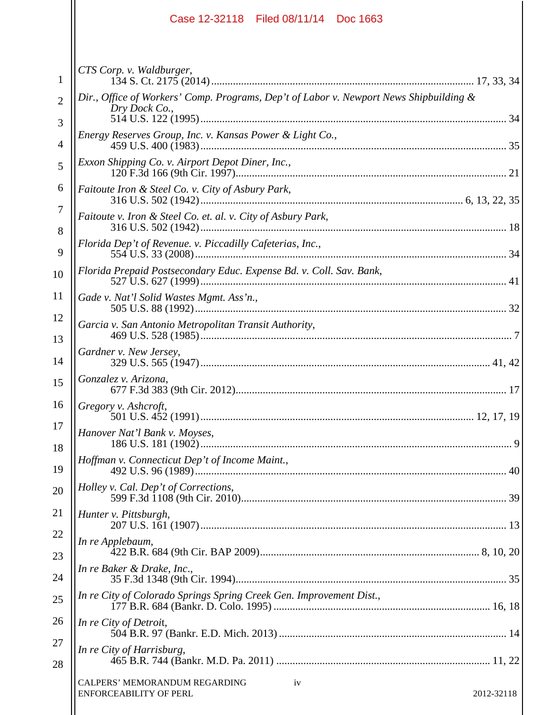|                     | Case 12-32118 Filed 08/11/14 Doc 1663                                                                   |
|---------------------|---------------------------------------------------------------------------------------------------------|
| 1                   | CTS Corp. v. Waldburger,                                                                                |
| $\overline{2}$<br>3 | Dir., Office of Workers' Comp. Programs, Dep't of Labor v. Newport News Shipbuilding &<br>Dry Dock Co., |
| $\overline{4}$      | Energy Reserves Group, Inc. v. Kansas Power & Light Co.,                                                |
| 5                   | Exxon Shipping Co. v. Airport Depot Diner, Inc.,                                                        |
| 6                   | Faitoute Iron & Steel Co. v. City of Asbury Park,                                                       |
| 7                   | Faitoute v. Iron & Steel Co. et. al. v. City of Asbury Park,                                            |
| 8<br>9              | Florida Dep't of Revenue. v. Piccadilly Cafeterias, Inc.,                                               |
| 10                  | Florida Prepaid Postsecondary Educ. Expense Bd. v. Coll. Sav. Bank,                                     |
| 11                  | Gade v. Nat'l Solid Wastes Mgmt. Ass'n.,                                                                |
| 12<br>13            | Garcia v. San Antonio Metropolitan Transit Authority,                                                   |
| 14                  | Gardner v. New Jersey,                                                                                  |
| 15                  | Gonzalez v. Arizona,                                                                                    |
| 16                  | Gregory v. Ashcroft,                                                                                    |
| 17<br>18            | Hanover Nat'l Bank v. Moyses,                                                                           |
| 19                  | Hoffman v. Connecticut Dep't of Income Maint.,                                                          |
| 20                  | Holley v. Cal. Dep't of Corrections,                                                                    |
| 21                  | Hunter v. Pittsburgh,                                                                                   |
| 22                  | In re Applebaum,                                                                                        |
| 23<br>24            | In re Baker & Drake, Inc.,                                                                              |
| 25                  | In re City of Colorado Springs Spring Creek Gen. Improvement Dist.,                                     |
| 26                  | In re City of Detroit,                                                                                  |
| 27                  | In re City of Harrisburg,                                                                               |
| 28                  | CALPERS' MEMORANDUM REGARDING<br>iv                                                                     |
|                     | <b>ENFORCEABILITY OF PERL</b><br>2012-32118                                                             |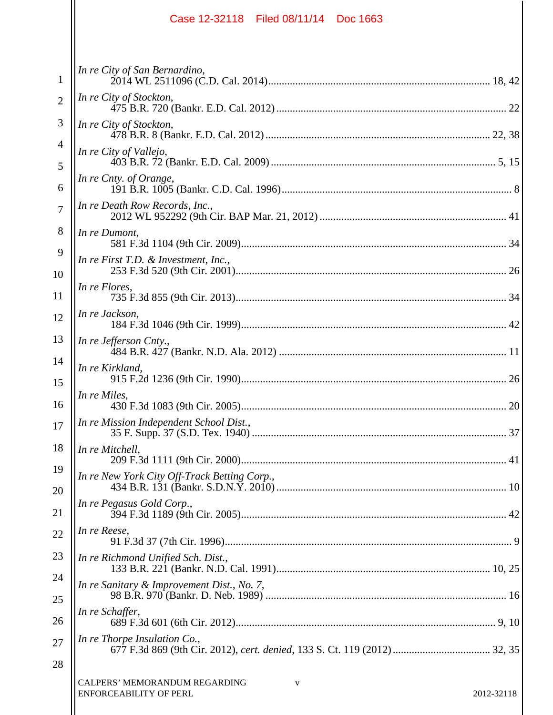|                | Case 12-32118 Filed 08/11/14 Doc 1663                                      |
|----------------|----------------------------------------------------------------------------|
| 1              | In re City of San Bernardino,                                              |
| $\overline{2}$ | In re City of Stockton,                                                    |
| 3              | In re City of Stockton,                                                    |
| $\overline{4}$ | In re City of Vallejo,                                                     |
| 5              |                                                                            |
| 6              | In re Cnty. of Orange,                                                     |
| $\overline{7}$ | In re Death Row Records, Inc.,                                             |
| 8              | In re Dumont,                                                              |
| 9              | In re First T.D. & Investment, Inc.,                                       |
| 10<br>11       | In re Flores,                                                              |
| 12             | In re Jackson,                                                             |
| 13             | In re Jefferson Cnty.,                                                     |
| 14             | In re Kirkland,                                                            |
| 15             |                                                                            |
| 16             | In re Miles,                                                               |
| 17             | In re Mission Independent School Dist.,                                    |
| 18             | In re Mitchell,                                                            |
| 19             | In re New York City Off-Track Betting Corp.,                               |
| 20             | In re Pegasus Gold Corp.,                                                  |
| 21<br>22       | In re Reese,                                                               |
| 23             |                                                                            |
| 24             | In re Richmond Unified Sch. Dist.,                                         |
| 25             | In re Sanitary & Improvement Dist., No. 7,                                 |
| 26             | In re Schaffer,                                                            |
| 27             | In re Thorpe Insulation Co.,                                               |
| 28             |                                                                            |
|                | CALPERS' MEMORANDUM REGARDING<br>V<br>ENFORCEABILITY OF PERL<br>2012-32118 |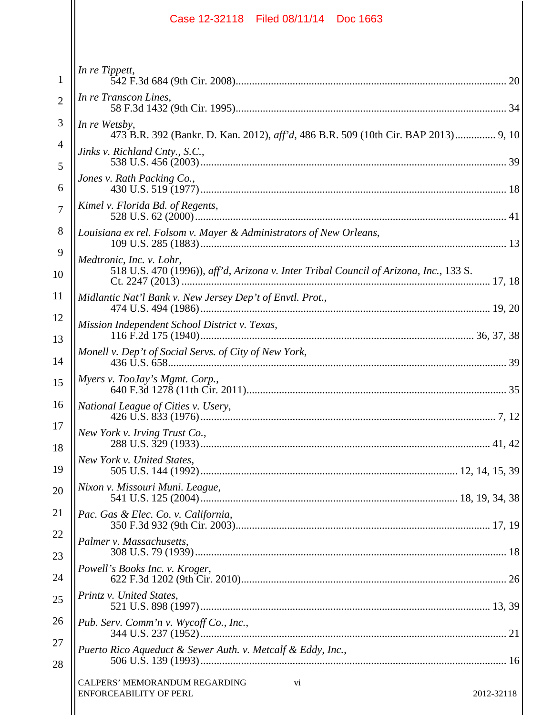|                     | Case 12-32118 Filed 08/11/14 Doc 1663                                                               |  |
|---------------------|-----------------------------------------------------------------------------------------------------|--|
| $\mathbf{1}$        | In re Tippett,                                                                                      |  |
| $\overline{2}$      | In re Transcon Lines,                                                                               |  |
| 3                   | In re Wetsby,<br>473 B.R. 392 (Bankr. D. Kan. 2012), aff'd, 486 B.R. 509 (10th Cir. BAP 2013) 9, 10 |  |
| 4                   | Jinks v. Richland Cnty., S.C.,                                                                      |  |
| 5                   | Jones v. Rath Packing Co.,                                                                          |  |
| 6<br>$\overline{7}$ | Kimel v. Florida Bd. of Regents,                                                                    |  |
| 8                   | Louisiana ex rel. Folsom v. Mayer & Administrators of New Orleans,                                  |  |
| 9                   | Medtronic, Inc. v. Lohr,                                                                            |  |
| 10                  | 518 U.S. 470 (1996)), aff'd, Arizona v. Inter Tribal Council of Arizona, Inc., 133 S.               |  |
| 11                  | Midlantic Nat'l Bank v. New Jersey Dep't of Envtl. Prot.,                                           |  |
| 12<br>13            | Mission Independent School District v. Texas,                                                       |  |
| 14                  | Monell v. Dep't of Social Servs. of City of New York,                                               |  |
| 15                  | Myers v. TooJay's Mgmt. Corp.,                                                                      |  |
| 16                  | National League of Cities v. Usery,                                                                 |  |
| 17                  | New York v. Irving Trust Co.,                                                                       |  |
| 18<br>19            | New York v. United States,                                                                          |  |
| 20                  | Nixon v. Missouri Muni. League,                                                                     |  |
| 21                  | Pac. Gas & Elec. Co. v. California,                                                                 |  |
| 22                  | Palmer v. Massachusetts,                                                                            |  |
| 23                  | Powell's Books Inc. v. Kroger,                                                                      |  |
| 24                  | Printz v. United States,                                                                            |  |
| 25<br>26            | Pub. Serv. Comm'n v. Wycoff Co., Inc.,                                                              |  |
| 27                  |                                                                                                     |  |
| 28                  | Puerto Rico Aqueduct & Sewer Auth. v. Metcalf & Eddy, Inc.,                                         |  |
|                     | CALPERS' MEMORANDUM REGARDING<br>vi<br><b>ENFORCEABILITY OF PERL</b><br>2012-32118                  |  |
|                     |                                                                                                     |  |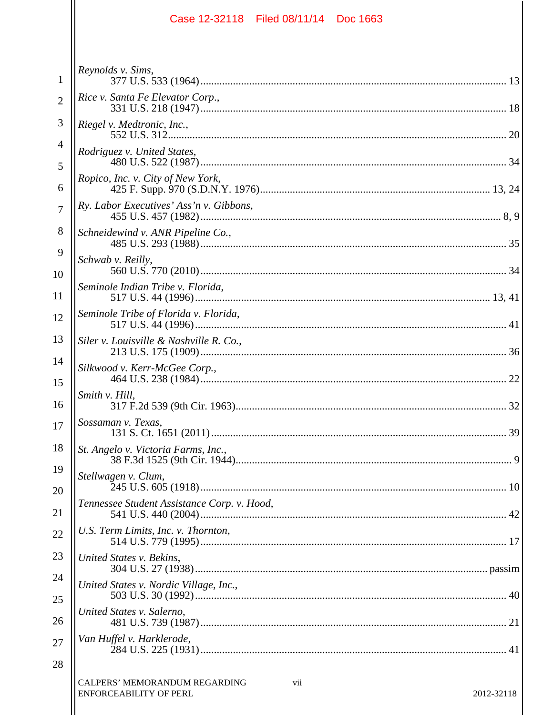|                     | Case 12-32118 Filed 08/11/14 Doc 1663                                               |
|---------------------|-------------------------------------------------------------------------------------|
|                     | Reynolds v. Sims,                                                                   |
| $\mathbf{1}$        | Rice v. Santa Fe Elevator Corp.,                                                    |
| $\overline{2}$      |                                                                                     |
| 3                   | Riegel v. Medtronic, Inc.,                                                          |
| $\overline{4}$<br>5 | Rodriguez v. United States,                                                         |
| 6                   | Ropico, Inc. v. City of New York,                                                   |
| $\overline{7}$      | Ry. Labor Executives' Ass'n v. Gibbons,                                             |
| 8                   | Schneidewind v. ANR Pipeline Co.,                                                   |
| 9                   | Schwab v. Reilly,                                                                   |
| 10<br>11            | Seminole Indian Tribe v. Florida,                                                   |
| 12                  | Seminole Tribe of Florida v. Florida,                                               |
| 13                  | Siler v. Louisville & Nashville R. Co.,                                             |
| 14                  |                                                                                     |
| 15                  | Silkwood v. Kerr-McGee Corp.,<br>22                                                 |
| 16                  | Smith v. Hill,                                                                      |
| 17                  | Sossaman v. Texas,                                                                  |
| 18                  | St. Angelo v. Victoria Farms, Inc.,                                                 |
| 19                  | Stellwagen v. Clum,                                                                 |
| 20                  | Tennessee Student Assistance Corp. v. Hood,                                         |
| 21                  |                                                                                     |
| 22                  | U.S. Term Limits, Inc. v. Thornton,                                                 |
| 23                  | United States v. Bekins,                                                            |
| 24                  | United States v. Nordic Village, Inc.,                                              |
| 25                  | United States v. Salerno,                                                           |
| 26                  | Van Huffel v. Harklerode,                                                           |
| 27<br>28            |                                                                                     |
|                     | CALPERS' MEMORANDUM REGARDING<br>vii<br><b>ENFORCEABILITY OF PERL</b><br>2012-32118 |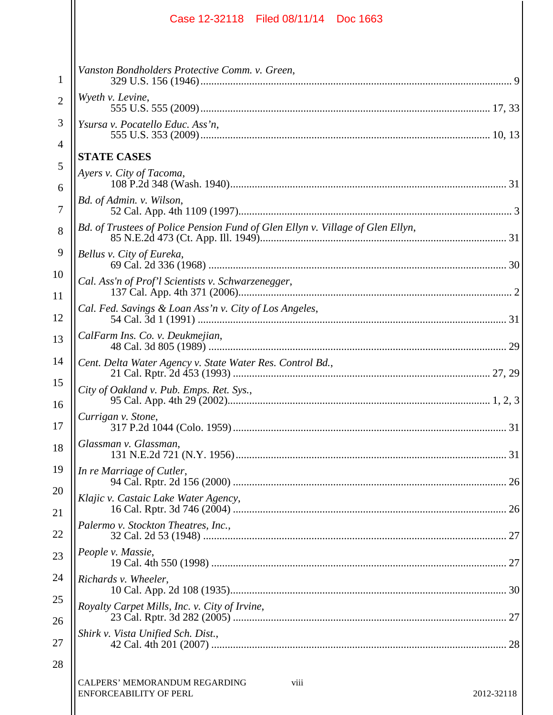|                | Case 12-32118 Filed 08/11/14 Doc 1663                                                       |
|----------------|---------------------------------------------------------------------------------------------|
| 1              | Vanston Bondholders Protective Comm. v. Green,                                              |
| $\overline{2}$ | Wyeth v. Levine,                                                                            |
| 3              | Ysursa v. Pocatello Educ. Ass'n,                                                            |
| 4              | <b>STATE CASES</b>                                                                          |
| 5              | Ayers v. City of Tacoma,                                                                    |
| 6<br>7         | Bd. of Admin. v. Wilson,                                                                    |
| 8              | Bd. of Trustees of Police Pension Fund of Glen Ellyn v. Village of Glen Ellyn,              |
| 9              | Bellus v. City of Eureka,                                                                   |
| 10             | Cal. Ass'n of Prof'l Scientists v. Schwarzenegger,                                          |
| 11<br>12       | Cal. Fed. Savings & Loan Ass'n v. City of Los Angeles,                                      |
| 13             | CalFarm Ins. Co. v. Deukmejian,                                                             |
| 14             | Cent. Delta Water Agency v. State Water Res. Control Bd.,                                   |
| 15<br>16       | City of Oakland v. Pub. Emps. Ret. Sys.,                                                    |
| 17             | Currigan v. Stone,                                                                          |
| 18             | Glassman v. Glassman,                                                                       |
| 19             | In re Marriage of Cutler,                                                                   |
| 20<br>21       | Klajic v. Castaic Lake Water Agency,                                                        |
| 22             | Palermo v. Stockton Theatres, Inc.,                                                         |
| 23             | People v. Massie,                                                                           |
| 24             | Richards v. Wheeler,                                                                        |
| 25             | Royalty Carpet Mills, Inc. v. City of Irvine,                                               |
| 26<br>27       | Shirk v. Vista Unified Sch. Dist.,                                                          |
| 28             |                                                                                             |
|                | <b>CALPERS' MEMORANDUM REGARDING</b><br>viii<br><b>ENFORCEABILITY OF PERL</b><br>2012-32118 |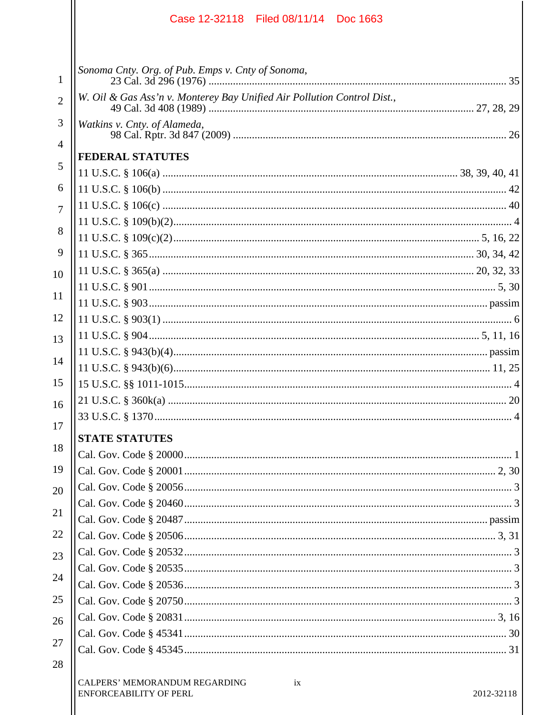|                | Filed 08/11/14 Doc 1663<br>Case 12-32118                                |            |
|----------------|-------------------------------------------------------------------------|------------|
| 1              | Sonoma Cnty. Org. of Pub. Emps v. Cnty of Sonoma,                       |            |
| $\overline{2}$ | W. Oil & Gas Ass'n v. Monterey Bay Unified Air Pollution Control Dist., |            |
| 3              | Watkins v. Cnty. of Alameda,                                            |            |
| $\overline{4}$ |                                                                         |            |
| 5              | <b>FEDERAL STATUTES</b>                                                 |            |
|                |                                                                         |            |
| 6              |                                                                         |            |
| $\overline{7}$ |                                                                         |            |
| 8              |                                                                         |            |
| 9              |                                                                         |            |
|                |                                                                         |            |
| 10             |                                                                         |            |
| 11             |                                                                         |            |
| 12             |                                                                         |            |
| 13             |                                                                         |            |
|                |                                                                         |            |
| 14             |                                                                         |            |
| 15             |                                                                         |            |
| 16             |                                                                         |            |
|                |                                                                         |            |
| 17             | <b>STATE STATUTES</b>                                                   |            |
| 18             |                                                                         |            |
| 19             |                                                                         |            |
| 20             |                                                                         |            |
|                |                                                                         |            |
| 21             |                                                                         |            |
| 22             |                                                                         |            |
| 23             |                                                                         |            |
| 24             |                                                                         |            |
|                |                                                                         |            |
| 25             |                                                                         |            |
| 26             |                                                                         |            |
| 27             |                                                                         |            |
| 28             |                                                                         |            |
|                | CALPERS' MEMORANDUM REGARDING<br>ix<br><b>ENFORCEABILITY OF PERL</b>    | 2012-32118 |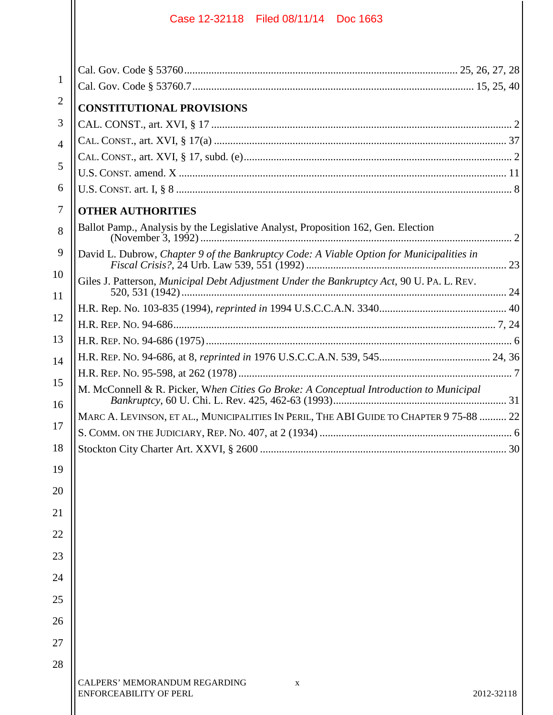| $\mathbf{1}$   |                                                                                           |
|----------------|-------------------------------------------------------------------------------------------|
| $\overline{2}$ | <b>CONSTITUTIONAL PROVISIONS</b>                                                          |
| 3              |                                                                                           |
| $\overline{4}$ |                                                                                           |
| 5              |                                                                                           |
|                |                                                                                           |
| 6              |                                                                                           |
| 7              | <b>OTHER AUTHORITIES</b>                                                                  |
| 8              | Ballot Pamp., Analysis by the Legislative Analyst, Proposition 162, Gen. Election         |
| 9              | David L. Dubrow, Chapter 9 of the Bankruptcy Code: A Viable Option for Municipalities in  |
| 10<br>11       | Giles J. Patterson, Municipal Debt Adjustment Under the Bankruptcy Act, 90 U. PA. L. REV. |
|                |                                                                                           |
| 12             |                                                                                           |
| 13             |                                                                                           |
| 14             |                                                                                           |
| 15             |                                                                                           |
| 16             | M. McConnell & R. Picker, When Cities Go Broke: A Conceptual Introduction to Municipal    |
|                | MARC A. LEVINSON, ET AL., MUNICIPALITIES IN PERIL, THE ABI GUIDE TO CHAPTER 9 75-88  22   |
| 17             |                                                                                           |
| 18             | 30 <sup>1</sup>                                                                           |
| 19             |                                                                                           |
| 20             |                                                                                           |
| 21             |                                                                                           |
| 22             |                                                                                           |
| 23             |                                                                                           |
| 24             |                                                                                           |
| 25             |                                                                                           |
| 26             |                                                                                           |
| 27             |                                                                                           |
| 28             |                                                                                           |
|                | CALPERS' MEMORANDUM REGARDING<br>$\mathbf X$<br>ENFORCEABILITY OF PERL<br>2012-32118      |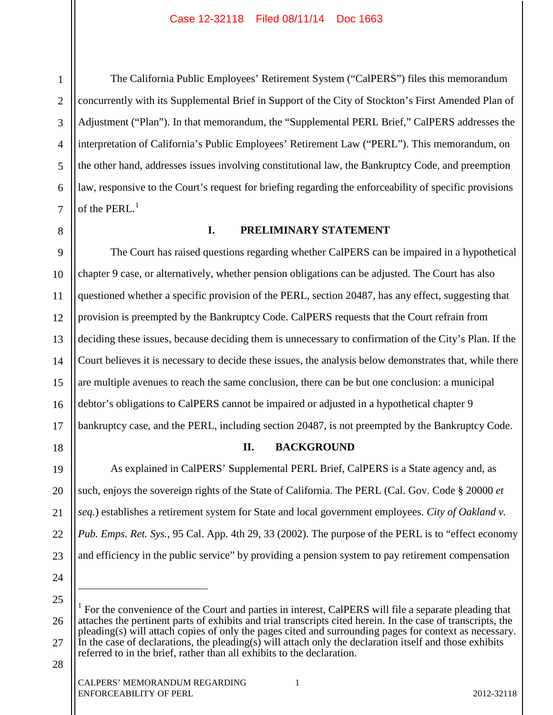4

5

6

7

1

The California Public Employees' Retirement System ("CalPERS") files this memorandum concurrently with its Supplemental Brief in Support of the City of Stockton's First Amended Plan of Adjustment ("Plan"). In that memorandum, the "Supplemental PERL Brief," CalPERS addresses the interpretation of California's Public Employees' Retirement Law ("PERL"). This memorandum, on the other hand, addresses issues involving constitutional law, the Bankruptcy Code, and preemption law, responsive to the Court's request for briefing regarding the enforceability of specific provisions of the PERL. $<sup>1</sup>$ </sup>

8 9 10

# **I. PRELIMINARY STATEMENT**

11 12 13 14 15 16 17 The Court has raised questions regarding whether CalPERS can be impaired in a hypothetical chapter 9 case, or alternatively, whether pension obligations can be adjusted. The Court has also questioned whether a specific provision of the PERL, section 20487, has any effect, suggesting that provision is preempted by the Bankruptcy Code. CalPERS requests that the Court refrain from deciding these issues, because deciding them is unnecessary to confirmation of the City's Plan. If the Court believes it is necessary to decide these issues, the analysis below demonstrates that, while there are multiple avenues to reach the same conclusion, there can be but one conclusion: a municipal debtor's obligations to CalPERS cannot be impaired or adjusted in a hypothetical chapter 9 bankruptcy case, and the PERL, including section 20487, is not preempted by the Bankruptcy Code.

18

### **II. BACKGROUND**

19 20 21 22 23 As explained in CalPERS' Supplemental PERL Brief, CalPERS is a State agency and, as such, enjoys the sovereign rights of the State of California. The PERL (Cal. Gov. Code § 20000 *et seq.*) establishes a retirement system for State and local government employees. *City of Oakland v. Pub. Emps. Ret. Sys.*, 95 Cal. App. 4th 29, 33 (2002). The purpose of the PERL is to "effect economy and efficiency in the public service" by providing a pension system to pay retirement compensation

24

 $\overline{a}$ 

25

<sup>26</sup> 27 <sup>1</sup> For the convenience of the Court and parties in interest, CalPERS will file a separate pleading that attaches the pertinent parts of exhibits and trial transcripts cited herein. In the case of transcripts, the pleading(s) will attach copies of only the pages cited and surrounding pages for context as necessary. In the case of declarations, the pleading(s) will attach only the declaration itself and those exhibits referred to in the brief, rather than all exhibits to the declaration.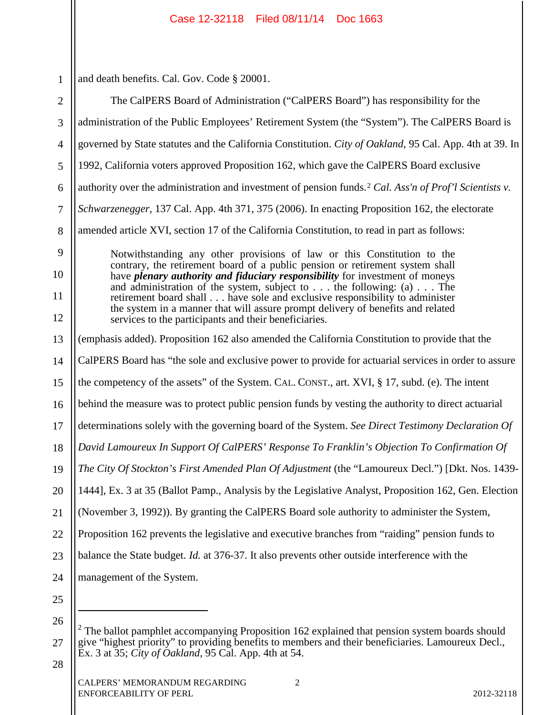| $\mathbf{1}$   | and death benefits. Cal. Gov. Code § 20001.                                                                                                                          |  |
|----------------|----------------------------------------------------------------------------------------------------------------------------------------------------------------------|--|
| $\overline{2}$ | The CalPERS Board of Administration ("CalPERS Board") has responsibility for the                                                                                     |  |
| 3              | administration of the Public Employees' Retirement System (the "System"). The CalPERS Board is                                                                       |  |
| 4              | governed by State statutes and the California Constitution. City of Oakland, 95 Cal. App. 4th at 39. In                                                              |  |
| 5              | 1992, California voters approved Proposition 162, which gave the CalPERS Board exclusive                                                                             |  |
| 6              | authority over the administration and investment of pension funds. <sup>2</sup> Cal. Ass'n of Prof'l Scientists v.                                                   |  |
| 7              | Schwarzenegger, 137 Cal. App. 4th 371, 375 (2006). In enacting Proposition 162, the electorate                                                                       |  |
| 8              | amended article XVI, section 17 of the California Constitution, to read in part as follows:                                                                          |  |
| 9              | Notwithstanding any other provisions of law or this Constitution to the                                                                                              |  |
| 10             | contrary, the retirement board of a public pension or retirement system shall<br>have <i>plenary authority and fiduciary responsibility</i> for investment of moneys |  |
| 11             | and administration of the system, subject to $\dots$ the following: (a) $\dots$ The<br>retirement board shall have sole and exclusive responsibility to administer   |  |
| 12             | the system in a manner that will assure prompt delivery of benefits and related<br>services to the participants and their beneficiaries.                             |  |
| 13             | (emphasis added). Proposition 162 also amended the California Constitution to provide that the                                                                       |  |
| 14             | CalPERS Board has "the sole and exclusive power to provide for actuarial services in order to assure                                                                 |  |
| 15             | the competency of the assets" of the System. CAL. CONST., art. XVI, § 17, subd. (e). The intent                                                                      |  |
| 16             | behind the measure was to protect public pension funds by vesting the authority to direct actuarial                                                                  |  |
| 17             | determinations solely with the governing board of the System. See Direct Testimony Declaration Of                                                                    |  |
| 18             | David Lamoureux In Support Of CalPERS' Response To Franklin's Objection To Confirmation Of                                                                           |  |
| 19             | The City Of Stockton's First Amended Plan Of Adjustment (the "Lamoureux Decl.") [Dkt. Nos. 1439-                                                                     |  |
| 20             | 1444], Ex. 3 at 35 (Ballot Pamp., Analysis by the Legislative Analyst, Proposition 162, Gen. Election                                                                |  |
| 21             | (November 3, 1992)). By granting the CalPERS Board sole authority to administer the System,                                                                          |  |
| 22             | Proposition 162 prevents the legislative and executive branches from "raiding" pension funds to                                                                      |  |
| 23             | balance the State budget. <i>Id.</i> at 376-37. It also prevents other outside interference with the                                                                 |  |
| 24             | management of the System.                                                                                                                                            |  |
| 25             |                                                                                                                                                                      |  |
| 26             | The ballot pamphlet accompanying Proposition 162 explained that pension system boards should                                                                         |  |
| 27             | give "highest priority" to providing benefits to members and their beneficiaries. Lamoureux Decl.,                                                                   |  |

28

27

Ex. 3 at 35; *City of Oakland*, 95 Cal. App. 4th at 54.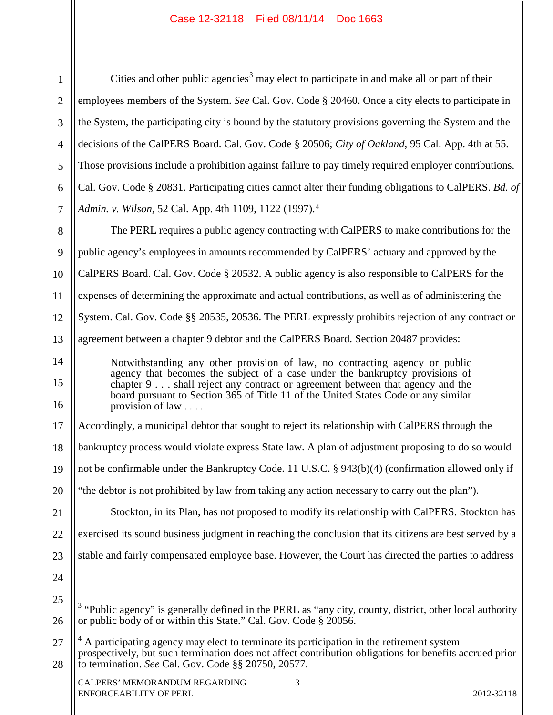1 2 3 4 5 6 7 8 9 10 11 12 13 14 15 16 17 18 19 20 21 22 23 24 25 26 27 28 Cities and other public agencies<sup>3</sup> may elect to participate in and make all or part of their employees members of the System. *See* Cal. Gov. Code § 20460. Once a city elects to participate in the System, the participating city is bound by the statutory provisions governing the System and the decisions of the CalPERS Board. Cal. Gov. Code § 20506; *City of Oakland*, 95 Cal. App. 4th at 55. Those provisions include a prohibition against failure to pay timely required employer contributions. Cal. Gov. Code § 20831. Participating cities cannot alter their funding obligations to CalPERS. *Bd. of Admin. v. Wilson*, 52 Cal. App. 4th 1109, 1122 (1997).4 The PERL requires a public agency contracting with CalPERS to make contributions for the public agency's employees in amounts recommended by CalPERS' actuary and approved by the CalPERS Board. Cal. Gov. Code § 20532. A public agency is also responsible to CalPERS for the expenses of determining the approximate and actual contributions, as well as of administering the System. Cal. Gov. Code §§ 20535, 20536. The PERL expressly prohibits rejection of any contract or agreement between a chapter 9 debtor and the CalPERS Board. Section 20487 provides: Notwithstanding any other provision of law, no contracting agency or public agency that becomes the subject of a case under the bankruptcy provisions of chapter 9 . . . shall reject any contract or agreement between that agency and the board pursuant to Section 365 of Title 11 of the United States Code or any similar provision of law . . . . Accordingly, a municipal debtor that sought to reject its relationship with CalPERS through the bankruptcy process would violate express State law. A plan of adjustment proposing to do so would not be confirmable under the Bankruptcy Code. 11 U.S.C. § 943(b)(4) (confirmation allowed only if "the debtor is not prohibited by law from taking any action necessary to carry out the plan"). Stockton, in its Plan, has not proposed to modify its relationship with CalPERS. Stockton has exercised its sound business judgment in reaching the conclusion that its citizens are best served by a stable and fairly compensated employee base. However, the Court has directed the parties to address  $\overline{a}$ <sup>3</sup> "Public agency" is generally defined in the PERL as "any city, county, district, other local authority or public body of or within this State." Cal. Gov. Code § 20056. <sup>4</sup> A participating agency may elect to terminate its participation in the retirement system prospectively, but such termination does not affect contribution obligations for benefits accrued prior to termination. *See* Cal. Gov. Code §§ 20750, 20577.

CALPERS' MEMORANDUM REGARDING 3 ENFORCEABILITY OF PERL 2012-32118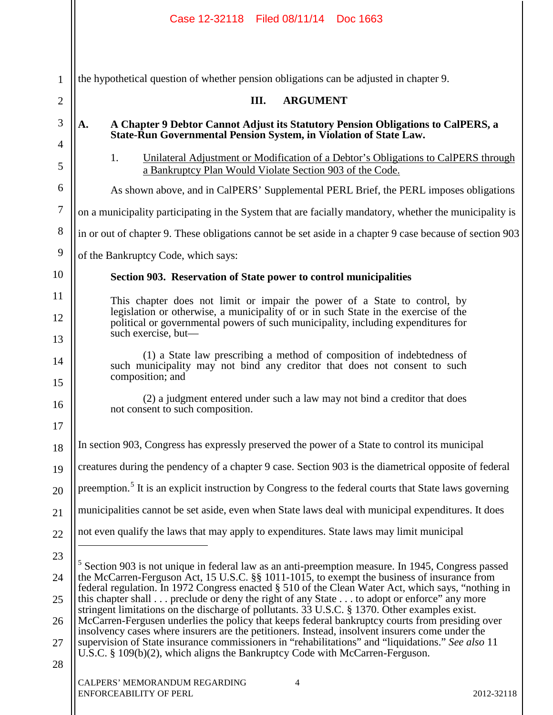|                | Case 12-32118 Filed 08/11/14 Doc 1663                                                                                                                                                              |  |  |  |  |  |  |  |
|----------------|----------------------------------------------------------------------------------------------------------------------------------------------------------------------------------------------------|--|--|--|--|--|--|--|
| $\mathbf{1}$   | the hypothetical question of whether pension obligations can be adjusted in chapter 9.                                                                                                             |  |  |  |  |  |  |  |
| $\overline{2}$ | <b>ARGUMENT</b><br>III.                                                                                                                                                                            |  |  |  |  |  |  |  |
| 3              | A Chapter 9 Debtor Cannot Adjust its Statutory Pension Obligations to CalPERS, a<br>A.<br>State-Run Governmental Pension System, in Violation of State Law.                                        |  |  |  |  |  |  |  |
| 4<br>5         | 1.<br>Unilateral Adjustment or Modification of a Debtor's Obligations to CalPERS through<br>a Bankruptcy Plan Would Violate Section 903 of the Code.                                               |  |  |  |  |  |  |  |
| 6              | As shown above, and in CalPERS' Supplemental PERL Brief, the PERL imposes obligations                                                                                                              |  |  |  |  |  |  |  |
| $\tau$         | on a municipality participating in the System that are facially mandatory, whether the municipality is                                                                                             |  |  |  |  |  |  |  |
| 8              | in or out of chapter 9. These obligations cannot be set aside in a chapter 9 case because of section 903                                                                                           |  |  |  |  |  |  |  |
| 9              | of the Bankruptcy Code, which says:                                                                                                                                                                |  |  |  |  |  |  |  |
| 10             | Section 903. Reservation of State power to control municipalities                                                                                                                                  |  |  |  |  |  |  |  |
| 11             | This chapter does not limit or impair the power of a State to control, by                                                                                                                          |  |  |  |  |  |  |  |
| 12<br>13       | legislation or otherwise, a municipality of or in such State in the exercise of the<br>political or governmental powers of such municipality, including expenditures for<br>such exercise, but—    |  |  |  |  |  |  |  |
| 14<br>15       | (1) a State law prescribing a method of composition of indebtedness of<br>such municipality may not bind any creditor that does not consent to such<br>composition; and                            |  |  |  |  |  |  |  |
| 16<br>17       | (2) a judgment entered under such a law may not bind a creditor that does<br>not consent to such composition.                                                                                      |  |  |  |  |  |  |  |
| 18             | In section 903, Congress has expressly preserved the power of a State to control its municipal                                                                                                     |  |  |  |  |  |  |  |
| 19             | creatures during the pendency of a chapter 9 case. Section 903 is the diametrical opposite of federal                                                                                              |  |  |  |  |  |  |  |
| 20             | preemption. <sup>5</sup> It is an explicit instruction by Congress to the federal courts that State laws governing                                                                                 |  |  |  |  |  |  |  |
| 21             | municipalities cannot be set aside, even when State laws deal with municipal expenditures. It does                                                                                                 |  |  |  |  |  |  |  |
| 22             | not even qualify the laws that may apply to expenditures. State laws may limit municipal                                                                                                           |  |  |  |  |  |  |  |
| 23             | Section 903 is not unique in federal law as an anti-preemption measure. In 1945, Congress passed                                                                                                   |  |  |  |  |  |  |  |
| 24             | the McCarren-Ferguson Act, 15 U.S.C. §§ 1011-1015, to exempt the business of insurance from<br>federal regulation. In 1972 Congress enacted § 510 of the Clean Water Act, which says, "nothing in  |  |  |  |  |  |  |  |
| 25             | this chapter shall preclude or deny the right of any State to adopt or enforce" any more<br>stringent limitations on the discharge of pollutants. 33 U.S.C. § 1370. Other examples exist.          |  |  |  |  |  |  |  |
| 26             | McCarren-Fergusen underlies the policy that keeps federal bankruptcy courts from presiding over<br>insolvency cases where insurers are the petitioners. Instead, insolvent insurers come under the |  |  |  |  |  |  |  |
| 27<br>28       | supervision of State insurance commissioners in "rehabilitations" and "liquidations." See also 11<br>U.S.C. § 109(b)(2), which aligns the Bankruptcy Code with McCarren-Ferguson.                  |  |  |  |  |  |  |  |
|                | CALPERS' MEMORANDUM REGARDING<br>$\overline{4}$<br><b>ENFORCEABILITY OF PERL</b><br>2012-32118                                                                                                     |  |  |  |  |  |  |  |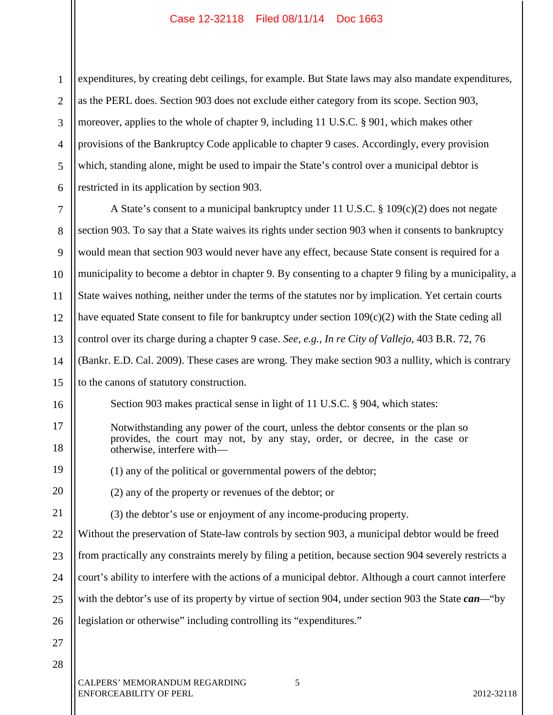1 2 3 4 5 6 expenditures, by creating debt ceilings, for example. But State laws may also mandate expenditures, as the PERL does. Section 903 does not exclude either category from its scope. Section 903, moreover, applies to the whole of chapter 9, including 11 U.S.C. § 901, which makes other provisions of the Bankruptcy Code applicable to chapter 9 cases. Accordingly, every provision which, standing alone, might be used to impair the State's control over a municipal debtor is restricted in its application by section 903.

7 8 9 10 11 12 13 14 15 16 17 18 19 20 21 22 23 24 25 26 27 28 CALPERS' MEMORANDUM REGARDING 5 A State's consent to a municipal bankruptcy under 11 U.S.C. § 109(c)(2) does not negate section 903. To say that a State waives its rights under section 903 when it consents to bankruptcy would mean that section 903 would never have any effect, because State consent is required for a municipality to become a debtor in chapter 9. By consenting to a chapter 9 filing by a municipality, a State waives nothing, neither under the terms of the statutes nor by implication. Yet certain courts have equated State consent to file for bankruptcy under section  $109(c)(2)$  with the State ceding all control over its charge during a chapter 9 case. *See, e.g.*, *In re City of Vallejo*, 403 B.R. 72, 76 (Bankr. E.D. Cal. 2009). These cases are wrong. They make section 903 a nullity, which is contrary to the canons of statutory construction. Section 903 makes practical sense in light of 11 U.S.C. § 904, which states: Notwithstanding any power of the court, unless the debtor consents or the plan so provides, the court may not, by any stay, order, or decree, in the case or otherwise, interfere with— (1) any of the political or governmental powers of the debtor; (2) any of the property or revenues of the debtor; or (3) the debtor's use or enjoyment of any income-producing property. Without the preservation of State-law controls by section 903, a municipal debtor would be freed from practically any constraints merely by filing a petition, because section 904 severely restricts a court's ability to interfere with the actions of a municipal debtor. Although a court cannot interfere with the debtor's use of its property by virtue of section 904, under section 903 the State *can—*"by legislation or otherwise" including controlling its "expenditures."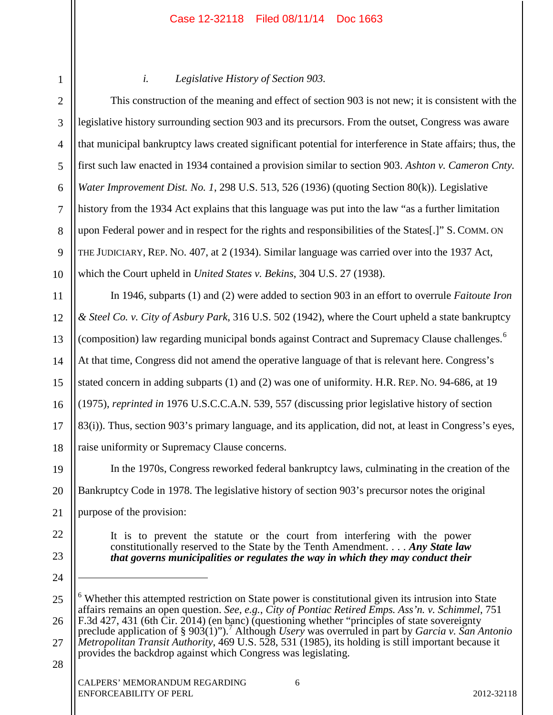| $^{\prime}$ |  |
|-------------|--|
| ζ           |  |

4

5

6

7

8

9

10

11

12

13

14

15

16

17

18

## *i. Legislative History of Section 903.*

This construction of the meaning and effect of section 903 is not new; it is consistent with the legislative history surrounding section 903 and its precursors. From the outset, Congress was aware that municipal bankruptcy laws created significant potential for interference in State affairs; thus, the first such law enacted in 1934 contained a provision similar to section 903. *Ashton v. Cameron Cnty. Water Improvement Dist. No. 1*, 298 U.S. 513, 526 (1936) (quoting Section 80(k)). Legislative history from the 1934 Act explains that this language was put into the law "as a further limitation upon Federal power and in respect for the rights and responsibilities of the States[.]" S. COMM. ON THE JUDICIARY, REP. NO. 407, at 2 (1934). Similar language was carried over into the 1937 Act, which the Court upheld in *United States v. Bekins*, 304 U.S. 27 (1938).

In 1946, subparts (1) and (2) were added to section 903 in an effort to overrule *Faitoute Iron & Steel Co. v. City of Asbury Park*, 316 U.S. 502 (1942), where the Court upheld a state bankruptcy (composition) law regarding municipal bonds against Contract and Supremacy Clause challenges.<sup>6</sup> At that time, Congress did not amend the operative language of that is relevant here. Congress's stated concern in adding subparts (1) and (2) was one of uniformity. H.R. REP. NO. 94-686, at 19 (1975), *reprinted in* 1976 U.S.C.C.A.N. 539, 557 (discussing prior legislative history of section 83(i)). Thus, section 903's primary language, and its application, did not, at least in Congress's eyes, raise uniformity or Supremacy Clause concerns.

19 20 21 In the 1970s, Congress reworked federal bankruptcy laws, culminating in the creation of the Bankruptcy Code in 1978. The legislative history of section 903's precursor notes the original purpose of the provision:

22

23

24

 $\overline{a}$ 

It is to prevent the statute or the court from interfering with the power constitutionally reserved to the State by the Tenth Amendment. . . . *Any State law that governs municipalities or regulates the way in which they may conduct their* 

27 *Metropolitan Transit Authority*, 469 U.S. 528, 531 (1985), its holding is still important because it provides the backdrop against which Congress was legislating.

<sup>25</sup> 26 <sup>6</sup> Whether this attempted restriction on State power is constitutional given its intrusion into State affairs remains an open question. *See, e.g.*, *City of Pontiac Retired Emps. Ass'n. v. Schimmel*, 751 F.3d 427, 431 (6th Cir. 2014) (en banc) (questioning whether "principles of state sovereignty preclude application of § 903(1)").<sup>7</sup> Although *Usery* was overruled in part by *Garcia v. San Antonio*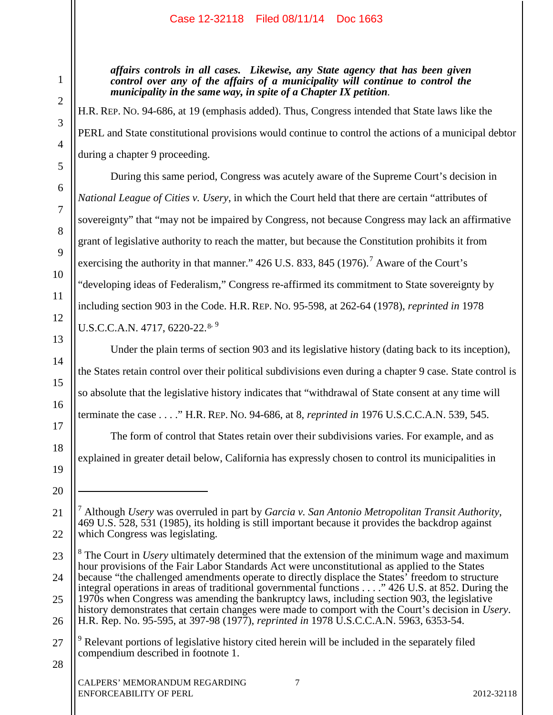*affairs controls in all cases. Likewise, any State agency that has been given control over any of the affairs of a municipality will continue to control the municipality in the same way, in spite of a Chapter IX petition.*

H.R. REP. NO. 94-686, at 19 (emphasis added). Thus, Congress intended that State laws like the PERL and State constitutional provisions would continue to control the actions of a municipal debtor during a chapter 9 proceeding.

During this same period, Congress was acutely aware of the Supreme Court's decision in *National League of Cities v. Usery*, in which the Court held that there are certain "attributes of sovereignty" that "may not be impaired by Congress, not because Congress may lack an affirmative grant of legislative authority to reach the matter, but because the Constitution prohibits it from exercising the authority in that manner." 426 U.S. 833, 845 (1976).<sup>7</sup> Aware of the Court's "developing ideas of Federalism," Congress re-affirmed its commitment to State sovereignty by including section 903 in the Code. H.R. REP. NO. 95-598, at 262-64 (1978), *reprinted in* 1978 U.S.C.C.A.N. 4717, 6220-22.<sup>8, 9</sup>

Under the plain terms of section 903 and its legislative history (dating back to its inception), the States retain control over their political subdivisions even during a chapter 9 case. State control is so absolute that the legislative history indicates that "withdrawal of State consent at any time will terminate the case . . . ." H.R. REP. NO. 94-686, at 8, *reprinted in* 1976 U.S.C.C.A.N. 539, 545.

The form of control that States retain over their subdivisions varies. For example, and as explained in greater detail below, California has expressly chosen to control its municipalities in

1

2

3

4

5

6

7

8

9

10

11

12

13

14

15

16

17

18

19

20

 $\overline{a}$ 

21

<sup>7</sup> Although *Usery* was overruled in part by *Garcia v. San Antonio Metropolitan Transit Authority*, 469 U.S. 528, 531 (1985), its holding is still important because it provides the backdrop against which Congress was legislating.

<sup>23</sup> 24 25 26 <sup>8</sup> The Court in *Usery* ultimately determined that the extension of the minimum wage and maximum hour provisions of the Fair Labor Standards Act were unconstitutional as applied to the States because "the challenged amendments operate to directly displace the States' freedom to structure integral operations in areas of traditional governmental functions . . . ." 426 U.S. at 852. During the 1970s when Congress was amending the bankruptcy laws, including section 903, the legislative history demonstrates that certain changes were made to comport with the Court's decision in *Usery*. H.R. Rep. No. 95-595, at 397-98 (1977), *reprinted in* 1978 U.S.C.C.A.N. 5963, 6353-54.

<sup>27</sup> <sup>9</sup> Relevant portions of legislative history cited herein will be included in the separately filed compendium described in footnote 1.

<sup>28</sup>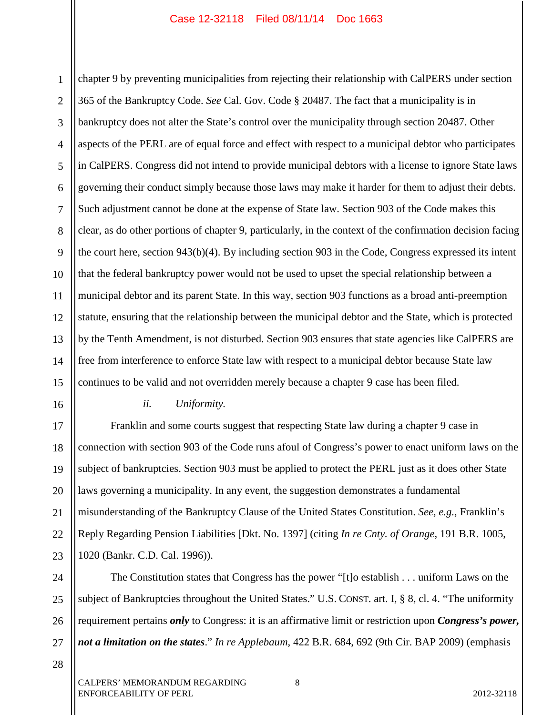1 2 3 4 5 6 7 8 9 10 11 12 13 14 15 chapter 9 by preventing municipalities from rejecting their relationship with CalPERS under section 365 of the Bankruptcy Code. *See* Cal. Gov. Code § 20487. The fact that a municipality is in bankruptcy does not alter the State's control over the municipality through section 20487. Other aspects of the PERL are of equal force and effect with respect to a municipal debtor who participates in CalPERS. Congress did not intend to provide municipal debtors with a license to ignore State laws governing their conduct simply because those laws may make it harder for them to adjust their debts. Such adjustment cannot be done at the expense of State law. Section 903 of the Code makes this clear, as do other portions of chapter 9, particularly, in the context of the confirmation decision facing the court here, section 943(b)(4). By including section 903 in the Code, Congress expressed its intent that the federal bankruptcy power would not be used to upset the special relationship between a municipal debtor and its parent State. In this way, section 903 functions as a broad anti-preemption statute, ensuring that the relationship between the municipal debtor and the State, which is protected by the Tenth Amendment, is not disturbed. Section 903 ensures that state agencies like CalPERS are free from interference to enforce State law with respect to a municipal debtor because State law continues to be valid and not overridden merely because a chapter 9 case has been filed.

16

## *ii. Uniformity.*

17 18 19 20 21 22 23 Franklin and some courts suggest that respecting State law during a chapter 9 case in connection with section 903 of the Code runs afoul of Congress's power to enact uniform laws on the subject of bankruptcies. Section 903 must be applied to protect the PERL just as it does other State laws governing a municipality. In any event, the suggestion demonstrates a fundamental misunderstanding of the Bankruptcy Clause of the United States Constitution. *See, e.g.*, Franklin's Reply Regarding Pension Liabilities [Dkt. No. 1397] (citing *In re Cnty. of Orange*, 191 B.R. 1005, 1020 (Bankr. C.D. Cal. 1996)).

24 25 26 27 The Constitution states that Congress has the power "[t]o establish . . . uniform Laws on the subject of Bankruptcies throughout the United States." U.S. CONST. art. I, § 8, cl. 4. "The uniformity requirement pertains *only* to Congress: it is an affirmative limit or restriction upon *Congress's power, not a limitation on the states*." *In re Applebaum*, 422 B.R. 684, 692 (9th Cir. BAP 2009) (emphasis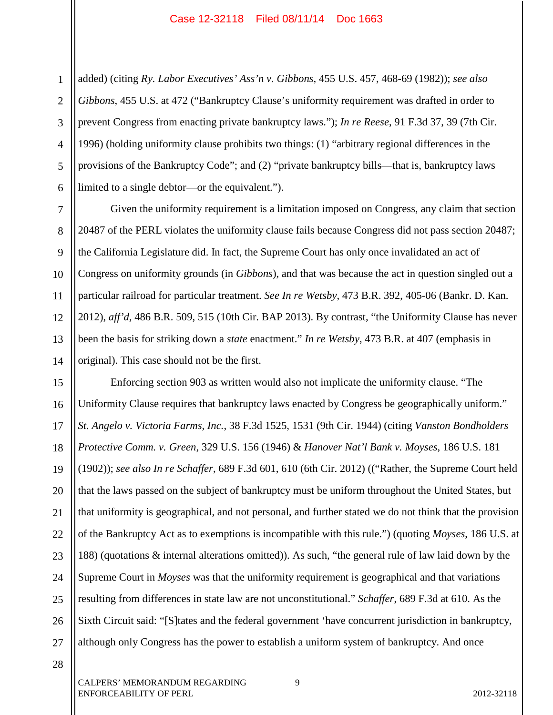1 2 3 4 5 6 added) (citing *Ry. Labor Executives' Ass'n v. Gibbons*, 455 U.S. 457, 468-69 (1982)); *see also Gibbons*, 455 U.S. at 472 ("Bankruptcy Clause's uniformity requirement was drafted in order to prevent Congress from enacting private bankruptcy laws."); *In re Reese*, 91 F.3d 37, 39 (7th Cir. 1996) (holding uniformity clause prohibits two things: (1) "arbitrary regional differences in the provisions of the Bankruptcy Code"; and (2) "private bankruptcy bills—that is, bankruptcy laws limited to a single debtor—or the equivalent.").

Given the uniformity requirement is a limitation imposed on Congress, any claim that section 20487 of the PERL violates the uniformity clause fails because Congress did not pass section 20487; the California Legislature did. In fact, the Supreme Court has only once invalidated an act of Congress on uniformity grounds (in *Gibbons*), and that was because the act in question singled out a particular railroad for particular treatment. *See In re Wetsby*, 473 B.R. 392, 405-06 (Bankr. D. Kan. 2012), *aff'd*, 486 B.R. 509, 515 (10th Cir. BAP 2013). By contrast, "the Uniformity Clause has never been the basis for striking down a *state* enactment." *In re Wetsby*, 473 B.R. at 407 (emphasis in original). This case should not be the first.

15 16 17 18 19 20 21 22 23 24 25 26 27 Enforcing section 903 as written would also not implicate the uniformity clause. "The Uniformity Clause requires that bankruptcy laws enacted by Congress be geographically uniform." *St. Angelo v. Victoria Farms, Inc.*, 38 F.3d 1525, 1531 (9th Cir. 1944) (citing *Vanston Bondholders Protective Comm. v. Green*, 329 U.S. 156 (1946) & *Hanover Nat'l Bank v. Moyses*, 186 U.S. 181 (1902)); *see also In re Schaffer*, 689 F.3d 601, 610 (6th Cir. 2012) (("Rather, the Supreme Court held that the laws passed on the subject of bankruptcy must be uniform throughout the United States, but that uniformity is geographical, and not personal, and further stated we do not think that the provision of the Bankruptcy Act as to exemptions is incompatible with this rule.") (quoting *Moyses*, 186 U.S. at 188) (quotations & internal alterations omitted)). As such, "the general rule of law laid down by the Supreme Court in *Moyses* was that the uniformity requirement is geographical and that variations resulting from differences in state law are not unconstitutional." *Schaffer*, 689 F.3d at 610. As the Sixth Circuit said: "[S]tates and the federal government 'have concurrent jurisdiction in bankruptcy, although only Congress has the power to establish a uniform system of bankruptcy. And once

28

7

8

9

10

11

12

13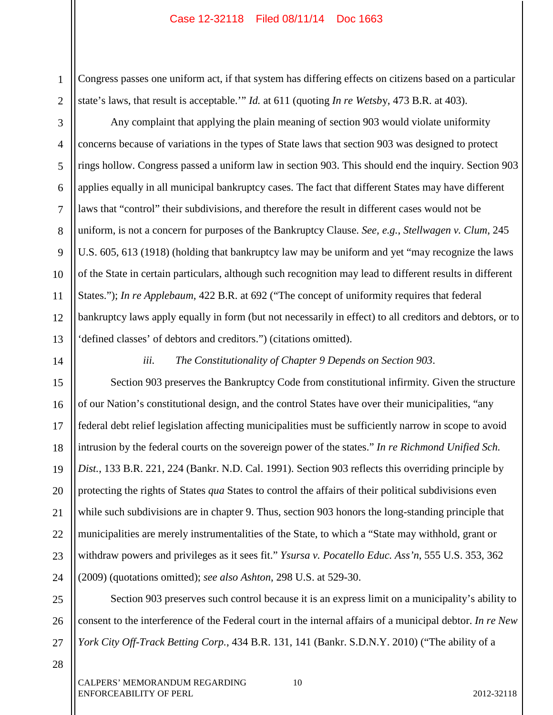Congress passes one uniform act, if that system has differing effects on citizens based on a particular state's laws, that result is acceptable.'" *Id.* at 611 (quoting *In re Wetsb*y, 473 B.R. at 403).

4 6 10 12 13 Any complaint that applying the plain meaning of section 903 would violate uniformity concerns because of variations in the types of State laws that section 903 was designed to protect rings hollow. Congress passed a uniform law in section 903. This should end the inquiry. Section 903 applies equally in all municipal bankruptcy cases. The fact that different States may have different laws that "control" their subdivisions, and therefore the result in different cases would not be uniform, is not a concern for purposes of the Bankruptcy Clause. *See, e.g.*, *Stellwagen v. Clum*, 245 U.S. 605, 613 (1918) (holding that bankruptcy law may be uniform and yet "may recognize the laws of the State in certain particulars, although such recognition may lead to different results in different States."); *In re Applebaum*, 422 B.R. at 692 ("The concept of uniformity requires that federal bankruptcy laws apply equally in form (but not necessarily in effect) to all creditors and debtors, or to 'defined classes' of debtors and creditors.") (citations omitted).

14

1

2

3

5

7

8

9

11

*iii. The Constitutionality of Chapter 9 Depends on Section 903*.

15 16 17 18 19 20 21 22 23 24 Section 903 preserves the Bankruptcy Code from constitutional infirmity. Given the structure of our Nation's constitutional design, and the control States have over their municipalities, "any federal debt relief legislation affecting municipalities must be sufficiently narrow in scope to avoid intrusion by the federal courts on the sovereign power of the states." *In re Richmond Unified Sch. Dist.*, 133 B.R. 221, 224 (Bankr. N.D. Cal. 1991). Section 903 reflects this overriding principle by protecting the rights of States *qua* States to control the affairs of their political subdivisions even while such subdivisions are in chapter 9. Thus, section 903 honors the long-standing principle that municipalities are merely instrumentalities of the State, to which a "State may withhold, grant or withdraw powers and privileges as it sees fit." *Ysursa v. Pocatello Educ. Ass'n*, 555 U.S. 353, 362 (2009) (quotations omitted); *see also Ashton*, 298 U.S. at 529-30.

25 26 27 Section 903 preserves such control because it is an express limit on a municipality's ability to consent to the interference of the Federal court in the internal affairs of a municipal debtor. *In re New York City Off-Track Betting Corp.*, 434 B.R. 131, 141 (Bankr. S.D.N.Y. 2010) ("The ability of a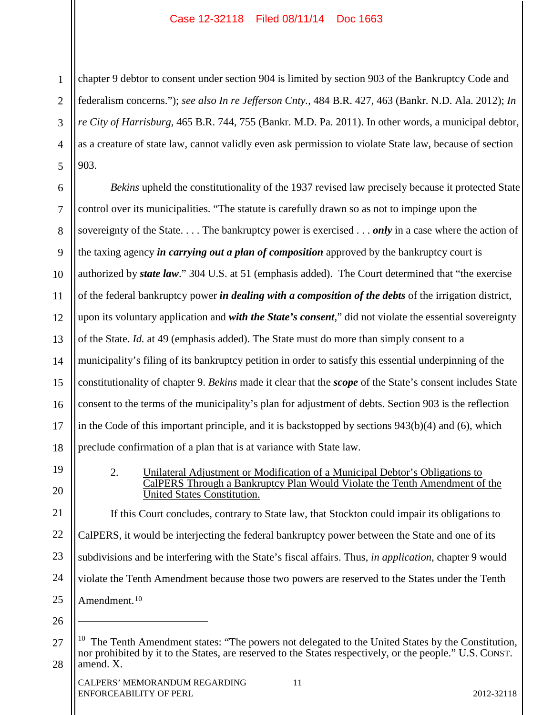1 2 3 4 5 chapter 9 debtor to consent under section 904 is limited by section 903 of the Bankruptcy Code and federalism concerns."); *see also In re Jefferson Cnty.*, 484 B.R. 427, 463 (Bankr. N.D. Ala. 2012); *In re City of Harrisburg*, 465 B.R. 744, 755 (Bankr. M.D. Pa. 2011). In other words, a municipal debtor, as a creature of state law, cannot validly even ask permission to violate State law, because of section 903.

6 7 8 9 10 11 12 13 14 15 16 17 18 *Bekins* upheld the constitutionality of the 1937 revised law precisely because it protected State control over its municipalities. "The statute is carefully drawn so as not to impinge upon the sovereignty of the State. . . . The bankruptcy power is exercised . . . *only* in a case where the action of the taxing agency *in carrying out a plan of composition* approved by the bankruptcy court is authorized by *state law*." 304 U.S. at 51 (emphasis added). The Court determined that "the exercise of the federal bankruptcy power *in dealing with a composition of the debts* of the irrigation district, upon its voluntary application and *with the State's consent*," did not violate the essential sovereignty of the State. *Id.* at 49 (emphasis added). The State must do more than simply consent to a municipality's filing of its bankruptcy petition in order to satisfy this essential underpinning of the constitutionality of chapter 9. *Bekins* made it clear that the *scope* of the State's consent includes State consent to the terms of the municipality's plan for adjustment of debts. Section 903 is the reflection in the Code of this important principle, and it is backstopped by sections 943(b)(4) and (6), which preclude confirmation of a plan that is at variance with State law.

19 20 2. Unilateral Adjustment or Modification of a Municipal Debtor's Obligations to CalPERS Through a Bankruptcy Plan Would Violate the Tenth Amendment of the United States Constitution.

21 22 23 24 25 If this Court concludes, contrary to State law, that Stockton could impair its obligations to CalPERS, it would be interjecting the federal bankruptcy power between the State and one of its subdivisions and be interfering with the State's fiscal affairs. Thus, *in application*, chapter 9 would violate the Tenth Amendment because those two powers are reserved to the States under the Tenth Amendment.<sup>10</sup>

26

 $\overline{a}$ 

<sup>27</sup> 28 The Tenth Amendment states: "The powers not delegated to the United States by the Constitution, nor prohibited by it to the States, are reserved to the States respectively, or the people." U.S. CONST. amend. X.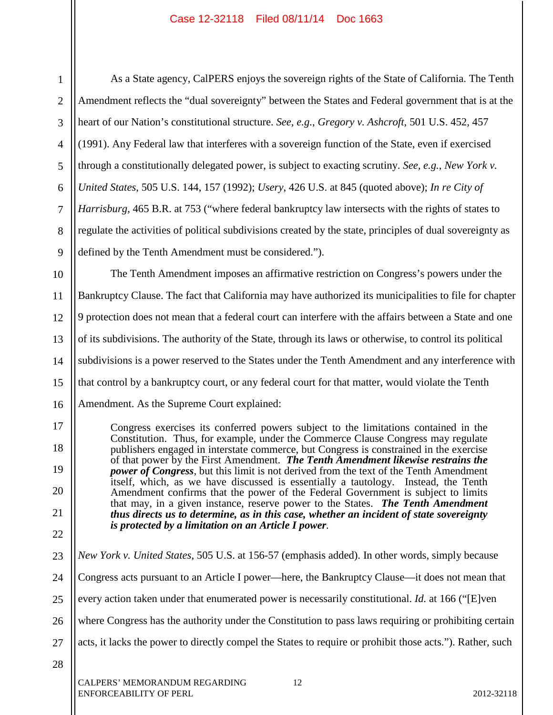17

18

19

20

21

22

1 3 5 6 7 8 9 As a State agency, CalPERS enjoys the sovereign rights of the State of California. The Tenth Amendment reflects the "dual sovereignty" between the States and Federal government that is at the heart of our Nation's constitutional structure. *See, e.g.*, *Gregory v. Ashcroft*, 501 U.S. 452, 457 (1991). Any Federal law that interferes with a sovereign function of the State, even if exercised through a constitutionally delegated power, is subject to exacting scrutiny. *See, e.g.*, *New York v. United States*, 505 U.S. 144, 157 (1992); *Usery*, 426 U.S. at 845 (quoted above); *In re City of Harrisburg*, 465 B.R. at 753 ("where federal bankruptcy law intersects with the rights of states to regulate the activities of political subdivisions created by the state, principles of dual sovereignty as defined by the Tenth Amendment must be considered.").

10 11 12 13 14 15 16 The Tenth Amendment imposes an affirmative restriction on Congress's powers under the Bankruptcy Clause. The fact that California may have authorized its municipalities to file for chapter 9 protection does not mean that a federal court can interfere with the affairs between a State and one of its subdivisions. The authority of the State, through its laws or otherwise, to control its political subdivisions is a power reserved to the States under the Tenth Amendment and any interference with that control by a bankruptcy court, or any federal court for that matter, would violate the Tenth Amendment. As the Supreme Court explained:

Congress exercises its conferred powers subject to the limitations contained in the Constitution. Thus, for example, under the Commerce Clause Congress may regulate publishers engaged in interstate commerce, but Congress is constrained in the exercise of that power by the First Amendment. *The Tenth Amendment likewise restrains the power of Congress*, but this limit is not derived from the text of the Tenth Amendment itself, which, as we have discussed is essentially a tautology. Instead, the Tenth Amendment confirms that the power of the Federal Government is subject to limits that may, in a given instance, reserve power to the States. *The Tenth Amendment thus directs us to determine, as in this case, whether an incident of state sovereignty is protected by a limitation on an Article I power.*

23 24 25 26 27 28 *New York v. United States*, 505 U.S. at 156-57 (emphasis added). In other words, simply because Congress acts pursuant to an Article I power—here, the Bankruptcy Clause—it does not mean that every action taken under that enumerated power is necessarily constitutional. *Id.* at 166 ("[E]ven where Congress has the authority under the Constitution to pass laws requiring or prohibiting certain acts, it lacks the power to directly compel the States to require or prohibit those acts."). Rather, such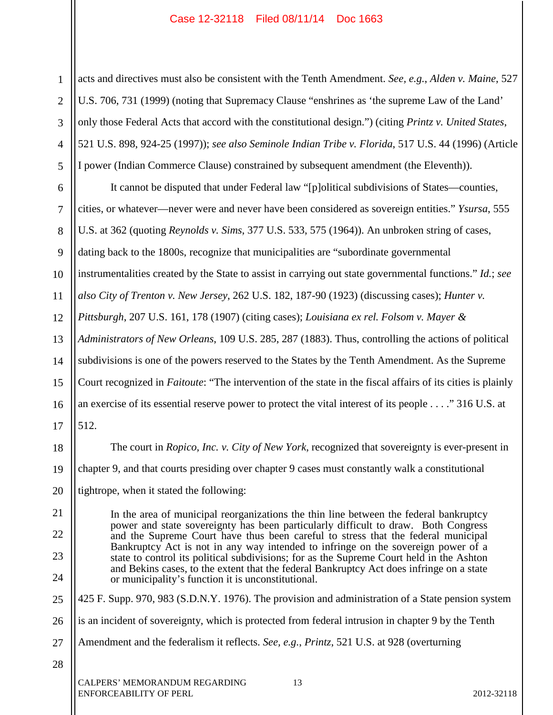acts and directives must also be consistent with the Tenth Amendment. *See, e.g.*, *Alden v. Maine*, 527 U.S. 706, 731 (1999) (noting that Supremacy Clause "enshrines as 'the supreme Law of the Land' only those Federal Acts that accord with the constitutional design.") (citing *Printz v. United States*, 521 U.S. 898, 924-25 (1997)); *see also Seminole Indian Tribe v. Florida*, 517 U.S. 44 (1996) (Article I power (Indian Commerce Clause) constrained by subsequent amendment (the Eleventh)).

6 7 8 9 10 11 12 13 14 15 16 17 It cannot be disputed that under Federal law "[p]olitical subdivisions of States—counties, cities, or whatever—never were and never have been considered as sovereign entities." *Ysursa*, 555 U.S. at 362 (quoting *Reynolds v. Sims*, 377 U.S. 533, 575 (1964)). An unbroken string of cases, dating back to the 1800s, recognize that municipalities are "subordinate governmental instrumentalities created by the State to assist in carrying out state governmental functions." *Id.*; *see also City of Trenton v. New Jersey*, 262 U.S. 182, 187-90 (1923) (discussing cases); *Hunter v. Pittsburgh*, 207 U.S. 161, 178 (1907) (citing cases); *Louisiana ex rel. Folsom v. Mayer & Administrators of New Orleans*, 109 U.S. 285, 287 (1883). Thus, controlling the actions of political subdivisions is one of the powers reserved to the States by the Tenth Amendment. As the Supreme Court recognized in *Faitoute*: "The intervention of the state in the fiscal affairs of its cities is plainly an exercise of its essential reserve power to protect the vital interest of its people . . . ." 316 U.S. at 512.

The court in *Ropico, Inc. v. City of New York*, recognized that sovereignty is ever-present in chapter 9, and that courts presiding over chapter 9 cases must constantly walk a constitutional tightrope, when it stated the following:

In the area of municipal reorganizations the thin line between the federal bankruptcy power and state sovereignty has been particularly difficult to draw. Both Congress and the Supreme Court have thus been careful to stress that the federal municipal Bankruptcy Act is not in any way intended to infringe on the sovereign power of a state to control its political subdivisions; for as the Supreme Court held in the Ashton and Bekins cases, to the extent that the federal Bankruptcy Act does infringe on a state or municipality's function it is unconstitutional.

425 F. Supp. 970, 983 (S.D.N.Y. 1976). The provision and administration of a State pension system

26 is an incident of sovereignty, which is protected from federal intrusion in chapter 9 by the Tenth

- 27 Amendment and the federalism it reflects. *See, e.g.*, *Printz*, 521 U.S. at 928 (overturning
- 28

18

19

20

21

22

23

24

25

1

2

3

4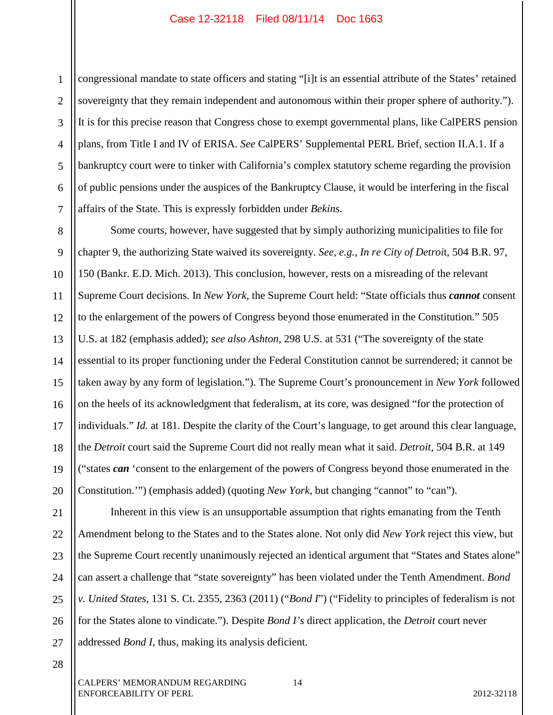1 2 3 4 5 6 7 congressional mandate to state officers and stating "[i]t is an essential attribute of the States' retained sovereignty that they remain independent and autonomous within their proper sphere of authority."). It is for this precise reason that Congress chose to exempt governmental plans, like CalPERS pension plans, from Title I and IV of ERISA. *See* CalPERS' Supplemental PERL Brief, section II.A.1. If a bankruptcy court were to tinker with California's complex statutory scheme regarding the provision of public pensions under the auspices of the Bankruptcy Clause, it would be interfering in the fiscal affairs of the State. This is expressly forbidden under *Bekins*.

8 9 10 11 12 13 14 15 16 17 18 19 20 Some courts, however, have suggested that by simply authorizing municipalities to file for chapter 9, the authorizing State waived its sovereignty. *See, e.g.*, *In re City of Detroi*t, 504 B.R. 97, 150 (Bankr. E.D. Mich. 2013). This conclusion, however, rests on a misreading of the relevant Supreme Court decisions. In *New York*, the Supreme Court held: "State officials thus *cannot* consent to the enlargement of the powers of Congress beyond those enumerated in the Constitution." 505 U.S. at 182 (emphasis added); *see also Ashton*, 298 U.S. at 531 ("The sovereignty of the state essential to its proper functioning under the Federal Constitution cannot be surrendered; it cannot be taken away by any form of legislation."). The Supreme Court's pronouncement in *New York* followed on the heels of its acknowledgment that federalism, at its core, was designed "for the protection of individuals." *Id.* at 181. Despite the clarity of the Court's language, to get around this clear language, the *Detroit* court said the Supreme Court did not really mean what it said. *Detroit*, 504 B.R. at 149 ("states *can* 'consent to the enlargement of the powers of Congress beyond those enumerated in the Constitution.'") (emphasis added) (quoting *New York*, but changing "cannot" to "can").

21 22 23 24 25 26 27 Inherent in this view is an unsupportable assumption that rights emanating from the Tenth Amendment belong to the States and to the States alone. Not only did *New York* reject this view, but the Supreme Court recently unanimously rejected an identical argument that "States and States alone" can assert a challenge that "state sovereignty" has been violated under the Tenth Amendment. *Bond v. United States*, 131 S. Ct. 2355, 2363 (2011) ("*Bond I*") ("Fidelity to principles of federalism is not for the States alone to vindicate."). Despite *Bond I's* direct application, the *Detroit* court never addressed *Bond I*, thus, making its analysis deficient.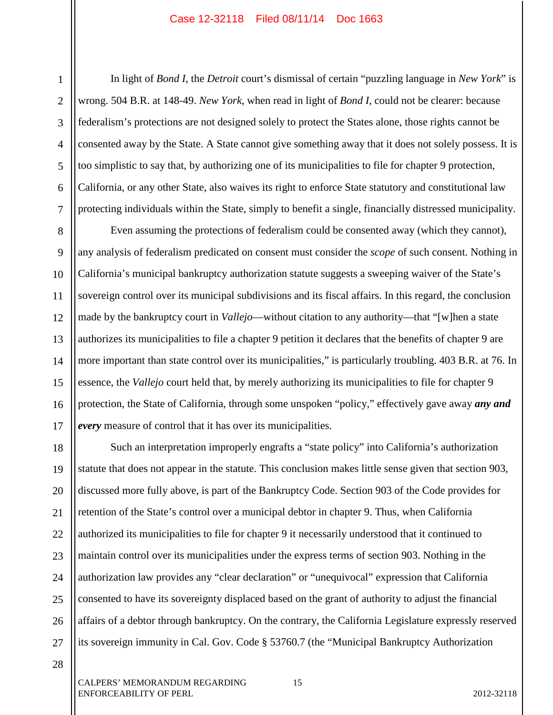4

5

6

7

1

In light of *Bond I*, the *Detroit* court's dismissal of certain "puzzling language in *New York*" is wrong. 504 B.R. at 148-49. *New York*, when read in light of *Bond I*, could not be clearer: because federalism's protections are not designed solely to protect the States alone, those rights cannot be consented away by the State. A State cannot give something away that it does not solely possess. It is too simplistic to say that, by authorizing one of its municipalities to file for chapter 9 protection, California, or any other State, also waives its right to enforce State statutory and constitutional law protecting individuals within the State, simply to benefit a single, financially distressed municipality.

8 9 10 11 12 13 14 15 16 17 Even assuming the protections of federalism could be consented away (which they cannot), any analysis of federalism predicated on consent must consider the *scope* of such consent. Nothing in California's municipal bankruptcy authorization statute suggests a sweeping waiver of the State's sovereign control over its municipal subdivisions and its fiscal affairs. In this regard, the conclusion made by the bankruptcy court in *Vallejo*—without citation to any authority—that "[w]hen a state authorizes its municipalities to file a chapter 9 petition it declares that the benefits of chapter 9 are more important than state control over its municipalities," is particularly troubling. 403 B.R. at 76. In essence, the *Vallejo* court held that, by merely authorizing its municipalities to file for chapter 9 protection, the State of California, through some unspoken "policy," effectively gave away *any and every* measure of control that it has over its municipalities.

18 19 20 21 22 23 24 25 26 27 Such an interpretation improperly engrafts a "state policy" into California's authorization statute that does not appear in the statute. This conclusion makes little sense given that section 903, discussed more fully above, is part of the Bankruptcy Code. Section 903 of the Code provides for retention of the State's control over a municipal debtor in chapter 9. Thus, when California authorized its municipalities to file for chapter 9 it necessarily understood that it continued to maintain control over its municipalities under the express terms of section 903. Nothing in the authorization law provides any "clear declaration" or "unequivocal" expression that California consented to have its sovereignty displaced based on the grant of authority to adjust the financial affairs of a debtor through bankruptcy. On the contrary, the California Legislature expressly reserved its sovereign immunity in Cal. Gov. Code § 53760.7 (the "Municipal Bankruptcy Authorization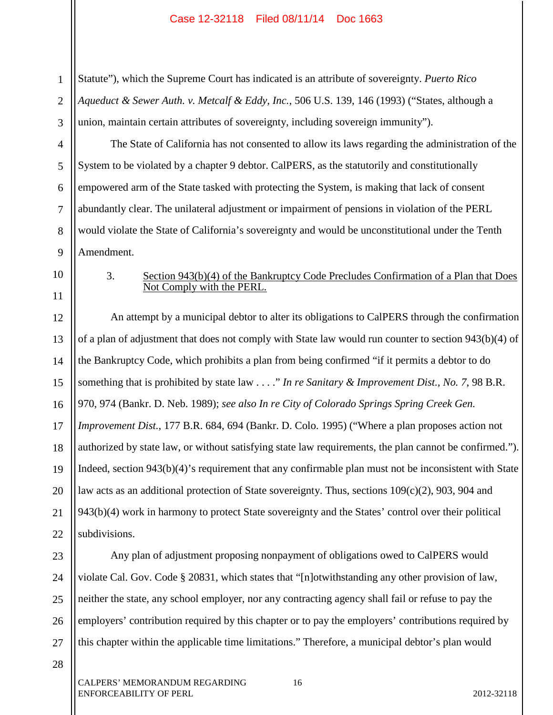1 2 3 Statute"), which the Supreme Court has indicated is an attribute of sovereignty. *Puerto Rico Aqueduct & Sewer Auth. v. Metcalf & Eddy, Inc.*, 506 U.S. 139, 146 (1993) ("States, although a union, maintain certain attributes of sovereignty, including sovereign immunity").

4 5 6 7 8 9 The State of California has not consented to allow its laws regarding the administration of the System to be violated by a chapter 9 debtor. CalPERS, as the statutorily and constitutionally empowered arm of the State tasked with protecting the System, is making that lack of consent abundantly clear. The unilateral adjustment or impairment of pensions in violation of the PERL would violate the State of California's sovereignty and would be unconstitutional under the Tenth Amendment.

10

11

### 3. Section 943(b)(4) of the Bankruptcy Code Precludes Confirmation of a Plan that Does Not Comply with the PERL.

12 13 14 15 16 17 18 19 20 21 An attempt by a municipal debtor to alter its obligations to CalPERS through the confirmation of a plan of adjustment that does not comply with State law would run counter to section 943(b)(4) of the Bankruptcy Code, which prohibits a plan from being confirmed "if it permits a debtor to do something that is prohibited by state law . . . ." *In re Sanitary & Improvement Dist., No. 7*, 98 B.R. 970, 974 (Bankr. D. Neb. 1989); *see also In re City of Colorado Springs Spring Creek Gen. Improvement Dist.*, 177 B.R. 684, 694 (Bankr. D. Colo. 1995) ("Where a plan proposes action not authorized by state law, or without satisfying state law requirements, the plan cannot be confirmed."). Indeed, section 943(b)(4)'s requirement that any confirmable plan must not be inconsistent with State law acts as an additional protection of State sovereignty. Thus, sections 109(c)(2), 903, 904 and 943(b)(4) work in harmony to protect State sovereignty and the States' control over their political subdivisions.

Any plan of adjustment proposing nonpayment of obligations owed to CalPERS would violate Cal. Gov. Code § 20831, which states that "[n]otwithstanding any other provision of law, neither the state, any school employer, nor any contracting agency shall fail or refuse to pay the employers' contribution required by this chapter or to pay the employers' contributions required by this chapter within the applicable time limitations." Therefore, a municipal debtor's plan would

28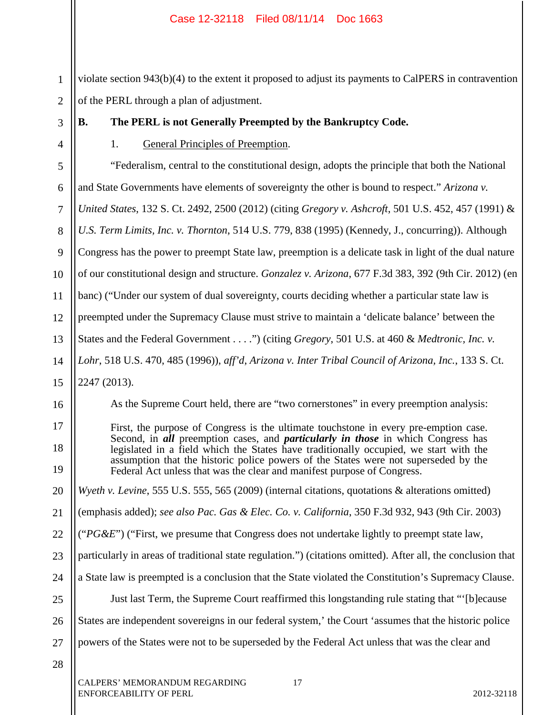1 2 violate section 943(b)(4) to the extent it proposed to adjust its payments to CalPERS in contravention of the PERL through a plan of adjustment.

3

4

**B. The PERL is not Generally Preempted by the Bankruptcy Code.**

1. General Principles of Preemption.

5 6 7 8 9 10 11 12 13 14 15 16 17 18 19 20 21 22 23 "Federalism, central to the constitutional design, adopts the principle that both the National and State Governments have elements of sovereignty the other is bound to respect." *Arizona v. United States*, 132 S. Ct. 2492, 2500 (2012) (citing *Gregory v. Ashcroft*, 501 U.S. 452, 457 (1991) & *U.S. Term Limits, Inc. v. Thornton*, 514 U.S. 779, 838 (1995) (Kennedy, J., concurring)). Although Congress has the power to preempt State law, preemption is a delicate task in light of the dual nature of our constitutional design and structure. *Gonzalez v. Arizona*, 677 F.3d 383, 392 (9th Cir. 2012) (en banc) ("Under our system of dual sovereignty, courts deciding whether a particular state law is preempted under the Supremacy Clause must strive to maintain a 'delicate balance' between the States and the Federal Government . . . .") (citing *Gregory*, 501 U.S. at 460 & *Medtronic, Inc. v. Lohr*, 518 U.S. 470, 485 (1996)), *aff'd*, *Arizona v. Inter Tribal Council of Arizona, Inc.*, 133 S. Ct. 2247 (2013). As the Supreme Court held, there are "two cornerstones" in every preemption analysis: First, the purpose of Congress is the ultimate touchstone in every pre-emption case. Second, in *all* preemption cases, and *particularly in those* in which Congress has legislated in a field which the States have traditionally occupied, we start with the assumption that the historic police powers of the States were not superseded by the Federal Act unless that was the clear and manifest purpose of Congress. *Wyeth v. Levine*, 555 U.S. 555, 565 (2009) (internal citations, quotations & alterations omitted) (emphasis added); *see also Pac. Gas & Elec. Co. v. California*, 350 F.3d 932, 943 (9th Cir. 2003) ("*PG&E*") ("First, we presume that Congress does not undertake lightly to preempt state law, particularly in areas of traditional state regulation.") (citations omitted). After all, the conclusion that

25 26 Just last Term, the Supreme Court reaffirmed this longstanding rule stating that "'[b]ecause States are independent sovereigns in our federal system,' the Court 'assumes that the historic police

a State law is preempted is a conclusion that the State violated the Constitution's Supremacy Clause.

- 27 powers of the States were not to be superseded by the Federal Act unless that was the clear and
- 28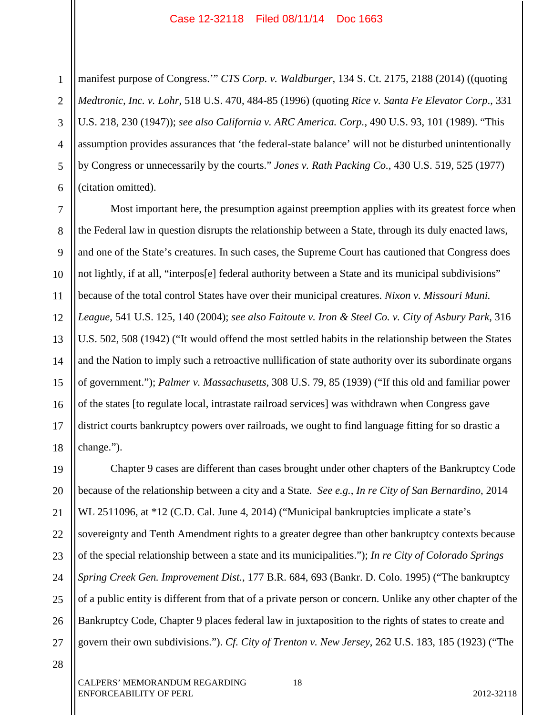1 2 3 4 5 6 manifest purpose of Congress.'" *CTS Corp. v. Waldburger*, 134 S. Ct. 2175, 2188 (2014) ((quoting *Medtronic, Inc. v. Lohr*, 518 U.S. 470, 484-85 (1996) (quoting *Rice v. Santa Fe Elevator Corp*., 331 U.S. 218, 230 (1947)); *see also California v. ARC America. Corp.*, 490 U.S. 93, 101 (1989). "This assumption provides assurances that 'the federal-state balance' will not be disturbed unintentionally by Congress or unnecessarily by the courts." *Jones v. Rath Packing Co.*, 430 U.S. 519, 525 (1977) (citation omitted).

10 13 14 18 Most important here, the presumption against preemption applies with its greatest force when the Federal law in question disrupts the relationship between a State, through its duly enacted laws, and one of the State's creatures. In such cases, the Supreme Court has cautioned that Congress does not lightly, if at all, "interpos[e] federal authority between a State and its municipal subdivisions" because of the total control States have over their municipal creatures. *Nixon v. Missouri Muni. League*, 541 U.S. 125, 140 (2004); *see also Faitoute v. Iron & Steel Co. v. City of Asbury Park*, 316 U.S. 502, 508 (1942) ("It would offend the most settled habits in the relationship between the States and the Nation to imply such a retroactive nullification of state authority over its subordinate organs of government."); *Palmer v. Massachusetts*, 308 U.S. 79, 85 (1939) ("If this old and familiar power of the states [to regulate local, intrastate railroad services] was withdrawn when Congress gave district courts bankruptcy powers over railroads, we ought to find language fitting for so drastic a change.").

19 20 21 22 23 24 25 26 27 Chapter 9 cases are different than cases brought under other chapters of the Bankruptcy Code because of the relationship between a city and a State. *See e.g.*, *In re City of San Bernardino*, 2014 WL 2511096, at \*12 (C.D. Cal. June 4, 2014) ("Municipal bankruptcies implicate a state's sovereignty and Tenth Amendment rights to a greater degree than other bankruptcy contexts because of the special relationship between a state and its municipalities."); *In re City of Colorado Springs Spring Creek Gen. Improvement Dist.*, 177 B.R. 684, 693 (Bankr. D. Colo. 1995) ("The bankruptcy of a public entity is different from that of a private person or concern. Unlike any other chapter of the Bankruptcy Code, Chapter 9 places federal law in juxtaposition to the rights of states to create and govern their own subdivisions."). *Cf. City of Trenton v. New Jersey*, 262 U.S. 183, 185 (1923) ("The

7

8

9

11

12

15

16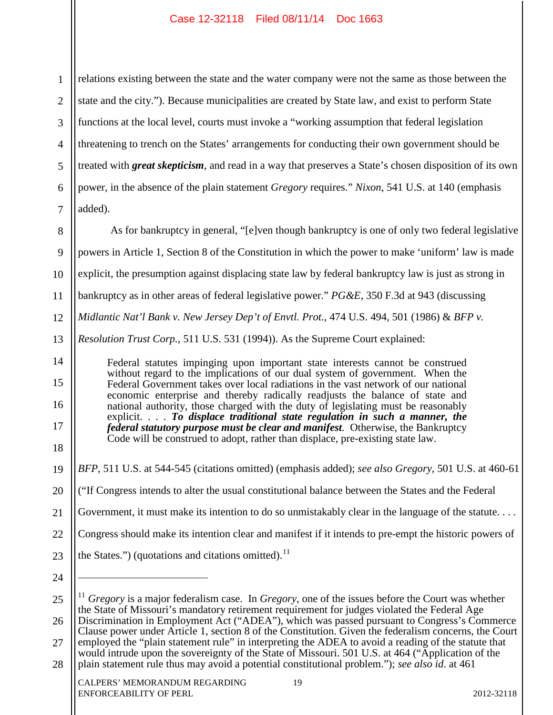1 2 3 4 5 6 7 relations existing between the state and the water company were not the same as those between the state and the city."). Because municipalities are created by State law, and exist to perform State functions at the local level, courts must invoke a "working assumption that federal legislation threatening to trench on the States' arrangements for conducting their own government should be treated with *great skepticism*, and read in a way that preserves a State's chosen disposition of its own power, in the absence of the plain statement *Gregory* requires." *Nixon*, 541 U.S. at 140 (emphasis added).

8 9 10 11 12 13 14 15 16 17 18 19 20 21 22 23 24 25 As for bankruptcy in general, "[e]ven though bankruptcy is one of only two federal legislative powers in Article 1, Section 8 of the Constitution in which the power to make 'uniform' law is made explicit, the presumption against displacing state law by federal bankruptcy law is just as strong in bankruptcy as in other areas of federal legislative power." *PG&E*, 350 F.3d at 943 (discussing *Midlantic Nat'l Bank v. New Jersey Dep't of Envtl. Prot.*, 474 U.S. 494, 501 (1986) & *BFP v. Resolution Trust Corp.*, 511 U.S. 531 (1994)). As the Supreme Court explained: Federal statutes impinging upon important state interests cannot be construed without regard to the implications of our dual system of government. When the Federal Government takes over local radiations in the vast network of our national economic enterprise and thereby radically readjusts the balance of state and national authority, those charged with the duty of legislating must be reasonably explicit. . . . *To displace traditional state regulation in such a manner, the federal statutory purpose must be clear and manifest.* Otherwise, the Bankruptcy Code will be construed to adopt, rather than displace, pre-existing state law. *BFP*, 511 U.S. at 544-545 (citations omitted) (emphasis added); *see also Gregory*, 501 U.S. at 460-61 ("If Congress intends to alter the usual constitutional balance between the States and the Federal Government, it must make its intention to do so unmistakably clear in the language of the statute.... Congress should make its intention clear and manifest if it intends to pre-empt the historic powers of the States.") (quotations and citations omitted). $^{11}$  $\overline{a}$ <sup>11</sup> *Gregory* is a major federalism case. In *Gregory*, one of the issues before the Court was whether the State of Missouri's mandatory retirement requirement for judges violated the Federal Age

<sup>26</sup> 27 28 Discrimination in Employment Act ("ADEA"), which was passed pursuant to Congress's Commerce Clause power under Article 1, section 8 of the Constitution. Given the federalism concerns, the Court employed the "plain statement rule" in interpreting the ADEA to avoid a reading of the statute that would intrude upon the sovereignty of the State of Missouri. 501 U.S. at 464 ("Application of the plain statement rule thus may avoid a potential constitutional problem."); *see also id*. at 461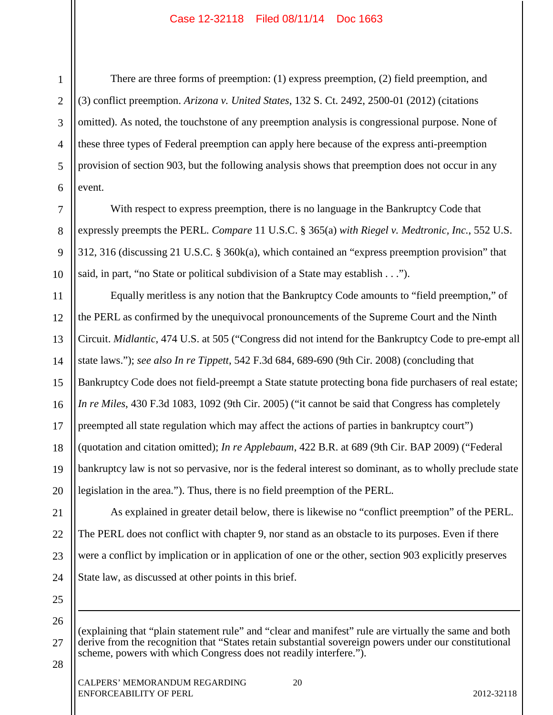There are three forms of preemption: (1) express preemption, (2) field preemption, and (3) conflict preemption. *Arizona v. United States*, 132 S. Ct. 2492, 2500-01 (2012) (citations omitted). As noted, the touchstone of any preemption analysis is congressional purpose. None of these three types of Federal preemption can apply here because of the express anti-preemption provision of section 903, but the following analysis shows that preemption does not occur in any event.

With respect to express preemption, there is no language in the Bankruptcy Code that expressly preempts the PERL. *Compare* 11 U.S.C. § 365(a) *with Riegel v. Medtronic, Inc.*, 552 U.S. 312, 316 (discussing 21 U.S.C. § 360k(a), which contained an "express preemption provision" that said, in part, "no State or political subdivision of a State may establish . . .").

11 12 13 14 15 16 17 18 19 20 Equally meritless is any notion that the Bankruptcy Code amounts to "field preemption," of the PERL as confirmed by the unequivocal pronouncements of the Supreme Court and the Ninth Circuit. *Midlantic*, 474 U.S. at 505 ("Congress did not intend for the Bankruptcy Code to pre-empt all state laws."); *see also In re Tippett*, 542 F.3d 684, 689-690 (9th Cir. 2008) (concluding that Bankruptcy Code does not field-preempt a State statute protecting bona fide purchasers of real estate; *In re Miles*, 430 F.3d 1083, 1092 (9th Cir. 2005) ("it cannot be said that Congress has completely preempted all state regulation which may affect the actions of parties in bankruptcy court") (quotation and citation omitted); *In re Applebaum*, 422 B.R. at 689 (9th Cir. BAP 2009) ("Federal bankruptcy law is not so pervasive, nor is the federal interest so dominant, as to wholly preclude state legislation in the area."). Thus, there is no field preemption of the PERL.

21 22 23 24 As explained in greater detail below, there is likewise no "conflict preemption" of the PERL. The PERL does not conflict with chapter 9, nor stand as an obstacle to its purposes. Even if there were a conflict by implication or in application of one or the other, section 903 explicitly preserves State law, as discussed at other points in this brief.

25 26

 $\overline{a}$ 

1

2

3

4

5

6

7

8

9

10

27 (explaining that "plain statement rule" and "clear and manifest" rule are virtually the same and both derive from the recognition that "States retain substantial sovereign powers under our constitutional scheme, powers with which Congress does not readily interfere.").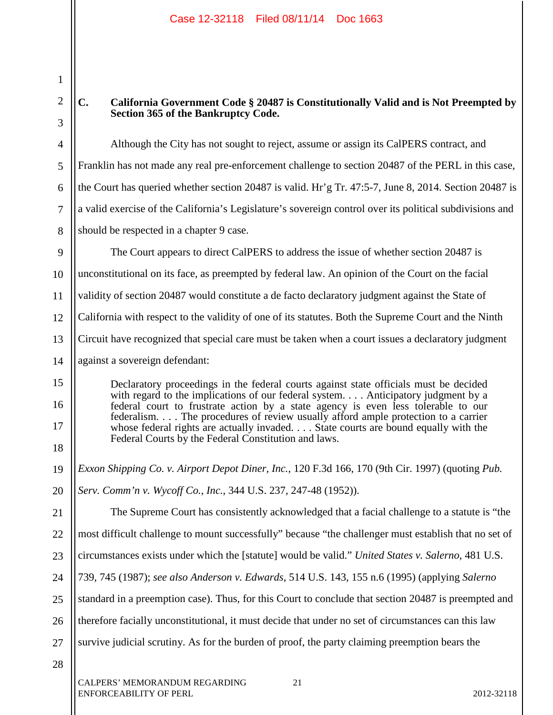1

2 3 4 5 6 7 8 9 10 11 12 13 14 15 16 17 18 19 20 21 22 23 24 25 26 27 28 CALPERS' MEMORANDUM REGARDING 21 ENFORCEABILITY OF PERL 2012-32118 **C. California Government Code § 20487 is Constitutionally Valid and is Not Preempted by Section 365 of the Bankruptcy Code.**  Although the City has not sought to reject, assume or assign its CalPERS contract, and Franklin has not made any real pre-enforcement challenge to section 20487 of the PERL in this case, the Court has queried whether section 20487 is valid. Hr'g Tr. 47:5-7, June 8, 2014. Section 20487 is a valid exercise of the California's Legislature's sovereign control over its political subdivisions and should be respected in a chapter 9 case. The Court appears to direct CalPERS to address the issue of whether section 20487 is unconstitutional on its face, as preempted by federal law. An opinion of the Court on the facial validity of section 20487 would constitute a de facto declaratory judgment against the State of California with respect to the validity of one of its statutes. Both the Supreme Court and the Ninth Circuit have recognized that special care must be taken when a court issues a declaratory judgment against a sovereign defendant: Declaratory proceedings in the federal courts against state officials must be decided with regard to the implications of our federal system. . . . Anticipatory judgment by a federal court to frustrate action by a state agency is even less tolerable to our federalism. . . . The procedures of review usually afford ample protection to a carrier whose federal rights are actually invaded. . . . State courts are bound equally with the Federal Courts by the Federal Constitution and laws. *Exxon Shipping Co. v. Airport Depot Diner, Inc.*, 120 F.3d 166, 170 (9th Cir. 1997) (quoting *Pub. Serv. Comm'n v. Wycoff Co., Inc.*, 344 U.S. 237, 247-48 (1952)). The Supreme Court has consistently acknowledged that a facial challenge to a statute is "the most difficult challenge to mount successfully" because "the challenger must establish that no set of circumstances exists under which the [statute] would be valid." *United States v. Salerno*, 481 U.S. 739, 745 (1987); *see also Anderson v. Edwards*, 514 U.S. 143, 155 n.6 (1995) (applying *Salerno* standard in a preemption case). Thus, for this Court to conclude that section 20487 is preempted and therefore facially unconstitutional, it must decide that under no set of circumstances can this law survive judicial scrutiny. As for the burden of proof, the party claiming preemption bears the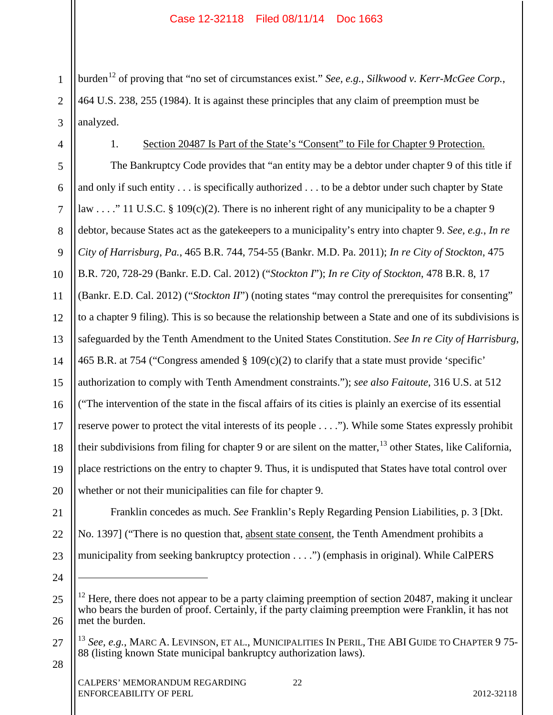1 2 3 burden<sup>12</sup> of proving that "no set of circumstances exist." *See, e.g.*, *Silkwood v. Kerr-McGee Corp.*, 464 U.S. 238, 255 (1984). It is against these principles that any claim of preemption must be analyzed.

4

## 1. Section 20487 Is Part of the State's "Consent" to File for Chapter 9 Protection.

5 6 7 8 9 10 11 12 13 14 15 16 17 The Bankruptcy Code provides that "an entity may be a debtor under chapter 9 of this title if and only if such entity . . . is specifically authorized . . . to be a debtor under such chapter by State law . . . ." 11 U.S.C. § 109(c)(2). There is no inherent right of any municipality to be a chapter 9 debtor, because States act as the gatekeepers to a municipality's entry into chapter 9. *See, e.g.*, *In re City of Harrisburg*, *Pa.*, 465 B.R. 744, 754-55 (Bankr. M.D. Pa. 2011); *In re City of Stockton*, 475 B.R. 720, 728-29 (Bankr. E.D. Cal. 2012) ("*Stockton I*"); *In re City of Stockton*, 478 B.R. 8, 17 (Bankr. E.D. Cal. 2012) ("*Stockton II*") (noting states "may control the prerequisites for consenting" to a chapter 9 filing). This is so because the relationship between a State and one of its subdivisions is safeguarded by the Tenth Amendment to the United States Constitution. *See In re City of Harrisburg*, 465 B.R. at 754 ("Congress amended § 109(c)(2) to clarify that a state must provide 'specific' authorization to comply with Tenth Amendment constraints."); *see also Faitoute*, 316 U.S. at 512 ("The intervention of the state in the fiscal affairs of its cities is plainly an exercise of its essential reserve power to protect the vital interests of its people . . . ."). While some States expressly prohibit their subdivisions from filing for chapter 9 or are silent on the matter,  $^{13}$  other States, like California, place restrictions on the entry to chapter 9. Thus, it is undisputed that States have total control over whether or not their municipalities can file for chapter 9.

 $\overline{a}$ 

Franklin concedes as much. *See* Franklin's Reply Regarding Pension Liabilities, p. 3 [Dkt. No. 1397] ("There is no question that, absent state consent, the Tenth Amendment prohibits a municipality from seeking bankruptcy protection . . . .") (emphasis in original). While CalPERS

26  $12$  Here, there does not appear to be a party claiming preemption of section 20487, making it unclear who bears the burden of proof. Certainly, if the party claiming preemption were Franklin, it has not met the burden.

<sup>27</sup> <sup>13</sup> *See, e.g.*, MARC A. LEVINSON, ET AL., MUNICIPALITIES IN PERIL, THE ABI GUIDE TO CHAPTER 9 75-<br>88 (listing known State municipal bankruptcy authorization laws).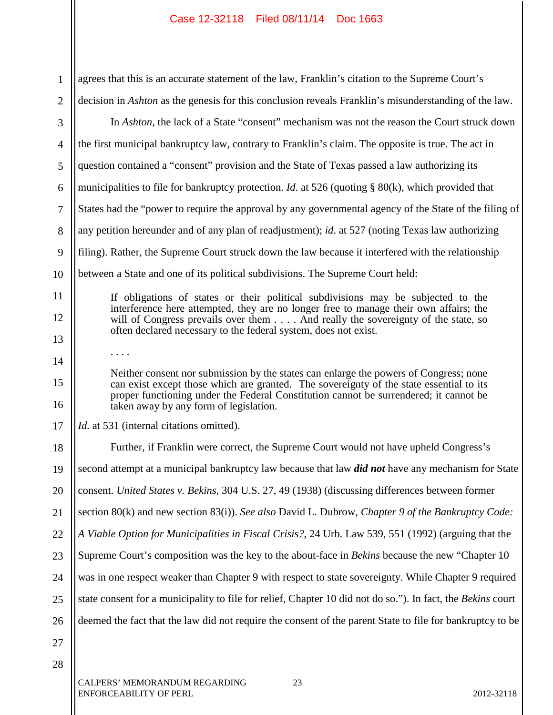| agrees that this is an accurate statement of the law, Franklin's citation to the Supreme Court's<br>$\mathbf{1}$<br>decision in <i>Ashton</i> as the genesis for this conclusion reveals Franklin's misunderstanding of the law.<br>$\overline{2}$<br>In Ashton, the lack of a State "consent" mechanism was not the reason the Court struck down<br>3<br>the first municipal bankruptcy law, contrary to Franklin's claim. The opposite is true. The act in<br>$\overline{4}$<br>question contained a "consent" provision and the State of Texas passed a law authorizing its<br>5<br>municipalities to file for bankruptcy protection. <i>Id.</i> at 526 (quoting $\S$ 80(k), which provided that<br>6<br>States had the "power to require the approval by any governmental agency of the State of the filing of<br>$\tau$<br>any petition hereunder and of any plan of readjustment); id. at 527 (noting Texas law authorizing<br>8<br>filing). Rather, the Supreme Court struck down the law because it interfered with the relationship<br>9<br>between a State and one of its political subdivisions. The Supreme Court held:<br>10<br>11<br>If obligations of states or their political subdivisions may be subjected to the<br>interference here attempted, they are no longer free to manage their own affairs; the<br>12<br>will of Congress prevails over them And really the sovereignty of the state, so<br>often declared necessary to the federal system, does not exist.<br>13<br>.<br>14<br>Neither consent nor submission by the states can enlarge the powers of Congress; none<br>15<br>can exist except those which are granted. The sovereignty of the state essential to its<br>proper functioning under the Federal Constitution cannot be surrendered; it cannot be<br>16<br>taken away by any form of legislation.<br><i>Id.</i> at 531 (internal citations omitted).<br>17<br>Further, if Franklin were correct, the Supreme Court would not have upheld Congress's<br>18<br>second attempt at a municipal bankruptcy law because that law <i>did not</i> have any mechanism for State<br>19 |  |
|-------------------------------------------------------------------------------------------------------------------------------------------------------------------------------------------------------------------------------------------------------------------------------------------------------------------------------------------------------------------------------------------------------------------------------------------------------------------------------------------------------------------------------------------------------------------------------------------------------------------------------------------------------------------------------------------------------------------------------------------------------------------------------------------------------------------------------------------------------------------------------------------------------------------------------------------------------------------------------------------------------------------------------------------------------------------------------------------------------------------------------------------------------------------------------------------------------------------------------------------------------------------------------------------------------------------------------------------------------------------------------------------------------------------------------------------------------------------------------------------------------------------------------------------------------------------------------------------------------------------------------------------------------------------------------------------------------------------------------------------------------------------------------------------------------------------------------------------------------------------------------------------------------------------------------------------------------------------------------------------------------------------------------------------------------------------------------------------------------------------------|--|
|                                                                                                                                                                                                                                                                                                                                                                                                                                                                                                                                                                                                                                                                                                                                                                                                                                                                                                                                                                                                                                                                                                                                                                                                                                                                                                                                                                                                                                                                                                                                                                                                                                                                                                                                                                                                                                                                                                                                                                                                                                                                                                                         |  |
|                                                                                                                                                                                                                                                                                                                                                                                                                                                                                                                                                                                                                                                                                                                                                                                                                                                                                                                                                                                                                                                                                                                                                                                                                                                                                                                                                                                                                                                                                                                                                                                                                                                                                                                                                                                                                                                                                                                                                                                                                                                                                                                         |  |
|                                                                                                                                                                                                                                                                                                                                                                                                                                                                                                                                                                                                                                                                                                                                                                                                                                                                                                                                                                                                                                                                                                                                                                                                                                                                                                                                                                                                                                                                                                                                                                                                                                                                                                                                                                                                                                                                                                                                                                                                                                                                                                                         |  |
|                                                                                                                                                                                                                                                                                                                                                                                                                                                                                                                                                                                                                                                                                                                                                                                                                                                                                                                                                                                                                                                                                                                                                                                                                                                                                                                                                                                                                                                                                                                                                                                                                                                                                                                                                                                                                                                                                                                                                                                                                                                                                                                         |  |
|                                                                                                                                                                                                                                                                                                                                                                                                                                                                                                                                                                                                                                                                                                                                                                                                                                                                                                                                                                                                                                                                                                                                                                                                                                                                                                                                                                                                                                                                                                                                                                                                                                                                                                                                                                                                                                                                                                                                                                                                                                                                                                                         |  |
|                                                                                                                                                                                                                                                                                                                                                                                                                                                                                                                                                                                                                                                                                                                                                                                                                                                                                                                                                                                                                                                                                                                                                                                                                                                                                                                                                                                                                                                                                                                                                                                                                                                                                                                                                                                                                                                                                                                                                                                                                                                                                                                         |  |
|                                                                                                                                                                                                                                                                                                                                                                                                                                                                                                                                                                                                                                                                                                                                                                                                                                                                                                                                                                                                                                                                                                                                                                                                                                                                                                                                                                                                                                                                                                                                                                                                                                                                                                                                                                                                                                                                                                                                                                                                                                                                                                                         |  |
|                                                                                                                                                                                                                                                                                                                                                                                                                                                                                                                                                                                                                                                                                                                                                                                                                                                                                                                                                                                                                                                                                                                                                                                                                                                                                                                                                                                                                                                                                                                                                                                                                                                                                                                                                                                                                                                                                                                                                                                                                                                                                                                         |  |
|                                                                                                                                                                                                                                                                                                                                                                                                                                                                                                                                                                                                                                                                                                                                                                                                                                                                                                                                                                                                                                                                                                                                                                                                                                                                                                                                                                                                                                                                                                                                                                                                                                                                                                                                                                                                                                                                                                                                                                                                                                                                                                                         |  |
|                                                                                                                                                                                                                                                                                                                                                                                                                                                                                                                                                                                                                                                                                                                                                                                                                                                                                                                                                                                                                                                                                                                                                                                                                                                                                                                                                                                                                                                                                                                                                                                                                                                                                                                                                                                                                                                                                                                                                                                                                                                                                                                         |  |
|                                                                                                                                                                                                                                                                                                                                                                                                                                                                                                                                                                                                                                                                                                                                                                                                                                                                                                                                                                                                                                                                                                                                                                                                                                                                                                                                                                                                                                                                                                                                                                                                                                                                                                                                                                                                                                                                                                                                                                                                                                                                                                                         |  |
|                                                                                                                                                                                                                                                                                                                                                                                                                                                                                                                                                                                                                                                                                                                                                                                                                                                                                                                                                                                                                                                                                                                                                                                                                                                                                                                                                                                                                                                                                                                                                                                                                                                                                                                                                                                                                                                                                                                                                                                                                                                                                                                         |  |
|                                                                                                                                                                                                                                                                                                                                                                                                                                                                                                                                                                                                                                                                                                                                                                                                                                                                                                                                                                                                                                                                                                                                                                                                                                                                                                                                                                                                                                                                                                                                                                                                                                                                                                                                                                                                                                                                                                                                                                                                                                                                                                                         |  |
|                                                                                                                                                                                                                                                                                                                                                                                                                                                                                                                                                                                                                                                                                                                                                                                                                                                                                                                                                                                                                                                                                                                                                                                                                                                                                                                                                                                                                                                                                                                                                                                                                                                                                                                                                                                                                                                                                                                                                                                                                                                                                                                         |  |
|                                                                                                                                                                                                                                                                                                                                                                                                                                                                                                                                                                                                                                                                                                                                                                                                                                                                                                                                                                                                                                                                                                                                                                                                                                                                                                                                                                                                                                                                                                                                                                                                                                                                                                                                                                                                                                                                                                                                                                                                                                                                                                                         |  |
|                                                                                                                                                                                                                                                                                                                                                                                                                                                                                                                                                                                                                                                                                                                                                                                                                                                                                                                                                                                                                                                                                                                                                                                                                                                                                                                                                                                                                                                                                                                                                                                                                                                                                                                                                                                                                                                                                                                                                                                                                                                                                                                         |  |
|                                                                                                                                                                                                                                                                                                                                                                                                                                                                                                                                                                                                                                                                                                                                                                                                                                                                                                                                                                                                                                                                                                                                                                                                                                                                                                                                                                                                                                                                                                                                                                                                                                                                                                                                                                                                                                                                                                                                                                                                                                                                                                                         |  |
|                                                                                                                                                                                                                                                                                                                                                                                                                                                                                                                                                                                                                                                                                                                                                                                                                                                                                                                                                                                                                                                                                                                                                                                                                                                                                                                                                                                                                                                                                                                                                                                                                                                                                                                                                                                                                                                                                                                                                                                                                                                                                                                         |  |
| consent. United States v. Bekins, 304 U.S. 27, 49 (1938) (discussing differences between former<br>20                                                                                                                                                                                                                                                                                                                                                                                                                                                                                                                                                                                                                                                                                                                                                                                                                                                                                                                                                                                                                                                                                                                                                                                                                                                                                                                                                                                                                                                                                                                                                                                                                                                                                                                                                                                                                                                                                                                                                                                                                   |  |
| section $80(k)$ and new section $83(i)$ ). See also David L. Dubrow, Chapter 9 of the Bankruptcy Code:<br>21                                                                                                                                                                                                                                                                                                                                                                                                                                                                                                                                                                                                                                                                                                                                                                                                                                                                                                                                                                                                                                                                                                                                                                                                                                                                                                                                                                                                                                                                                                                                                                                                                                                                                                                                                                                                                                                                                                                                                                                                            |  |
| A Viable Option for Municipalities in Fiscal Crisis?, 24 Urb. Law 539, 551 (1992) (arguing that the<br>22                                                                                                                                                                                                                                                                                                                                                                                                                                                                                                                                                                                                                                                                                                                                                                                                                                                                                                                                                                                                                                                                                                                                                                                                                                                                                                                                                                                                                                                                                                                                                                                                                                                                                                                                                                                                                                                                                                                                                                                                               |  |
| Supreme Court's composition was the key to the about-face in Bekins because the new "Chapter 10<br>23                                                                                                                                                                                                                                                                                                                                                                                                                                                                                                                                                                                                                                                                                                                                                                                                                                                                                                                                                                                                                                                                                                                                                                                                                                                                                                                                                                                                                                                                                                                                                                                                                                                                                                                                                                                                                                                                                                                                                                                                                   |  |
| was in one respect weaker than Chapter 9 with respect to state sovereignty. While Chapter 9 required<br>24                                                                                                                                                                                                                                                                                                                                                                                                                                                                                                                                                                                                                                                                                                                                                                                                                                                                                                                                                                                                                                                                                                                                                                                                                                                                                                                                                                                                                                                                                                                                                                                                                                                                                                                                                                                                                                                                                                                                                                                                              |  |
| state consent for a municipality to file for relief, Chapter 10 did not do so."). In fact, the Bekins court<br>25                                                                                                                                                                                                                                                                                                                                                                                                                                                                                                                                                                                                                                                                                                                                                                                                                                                                                                                                                                                                                                                                                                                                                                                                                                                                                                                                                                                                                                                                                                                                                                                                                                                                                                                                                                                                                                                                                                                                                                                                       |  |
| deemed the fact that the law did not require the consent of the parent State to file for bankruptcy to be<br>26                                                                                                                                                                                                                                                                                                                                                                                                                                                                                                                                                                                                                                                                                                                                                                                                                                                                                                                                                                                                                                                                                                                                                                                                                                                                                                                                                                                                                                                                                                                                                                                                                                                                                                                                                                                                                                                                                                                                                                                                         |  |
| 27                                                                                                                                                                                                                                                                                                                                                                                                                                                                                                                                                                                                                                                                                                                                                                                                                                                                                                                                                                                                                                                                                                                                                                                                                                                                                                                                                                                                                                                                                                                                                                                                                                                                                                                                                                                                                                                                                                                                                                                                                                                                                                                      |  |
| 28                                                                                                                                                                                                                                                                                                                                                                                                                                                                                                                                                                                                                                                                                                                                                                                                                                                                                                                                                                                                                                                                                                                                                                                                                                                                                                                                                                                                                                                                                                                                                                                                                                                                                                                                                                                                                                                                                                                                                                                                                                                                                                                      |  |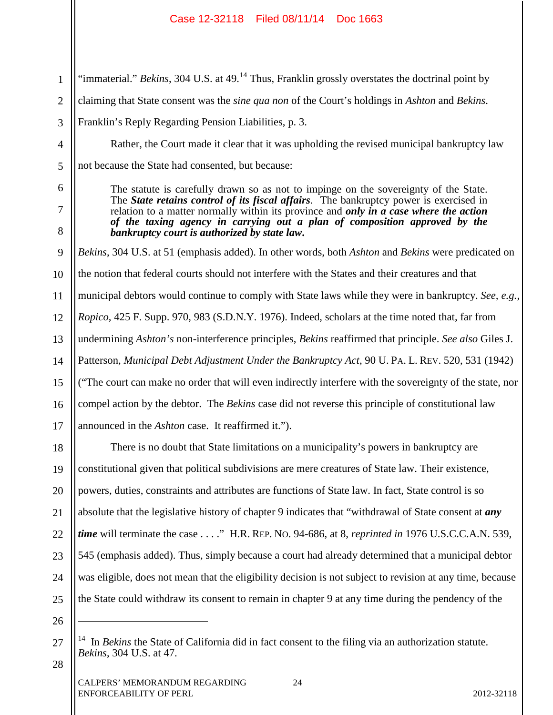1 2 3 4 5 6 7 8 9 10 11 12 13 14 15 16 17 18 19 20 21 22 23 "immaterial." *Bekins*, 304 U.S. at 49.<sup>14</sup> Thus, Franklin grossly overstates the doctrinal point by claiming that State consent was the *sine qua non* of the Court's holdings in *Ashton* and *Bekins*. Franklin's Reply Regarding Pension Liabilities, p. 3. Rather, the Court made it clear that it was upholding the revised municipal bankruptcy law not because the State had consented, but because: The statute is carefully drawn so as not to impinge on the sovereignty of the State. The *State retains control of its fiscal affairs*. The bankruptcy power is exercised in relation to a matter normally within its province and *only in a case where the action of the taxing agency in carrying out a plan of composition approved by the bankruptcy court is authorized by state law***.** *Bekins*, 304 U.S. at 51 (emphasis added). In other words, both *Ashton* and *Bekins* were predicated on the notion that federal courts should not interfere with the States and their creatures and that municipal debtors would continue to comply with State laws while they were in bankruptcy. *See, e.g.*, *Ropico*, 425 F. Supp. 970, 983 (S.D.N.Y. 1976). Indeed, scholars at the time noted that, far from undermining *Ashton's* non-interference principles, *Bekins* reaffirmed that principle. *See also* Giles J. Patterson, *Municipal Debt Adjustment Under the Bankruptcy Act*, 90 U. PA. L. REV. 520, 531 (1942) ("The court can make no order that will even indirectly interfere with the sovereignty of the state, nor compel action by the debtor. The *Bekins* case did not reverse this principle of constitutional law announced in the *Ashton* case. It reaffirmed it."). There is no doubt that State limitations on a municipality's powers in bankruptcy are constitutional given that political subdivisions are mere creatures of State law. Their existence, powers, duties, constraints and attributes are functions of State law. In fact, State control is so absolute that the legislative history of chapter 9 indicates that "withdrawal of State consent at *any time* will terminate the case . . . ." H.R. REP. NO. 94-686, at 8, *reprinted in* 1976 U.S.C.C.A.N. 539, 545 (emphasis added). Thus, simply because a court had already determined that a municipal debtor

26 27  $\overline{a}$ 

28

24

25

was eligible, does not mean that the eligibility decision is not subject to revision at any time, because

the State could withdraw its consent to remain in chapter 9 at any time during the pendency of the

<sup>&</sup>lt;sup>14</sup> In *Bekins* the State of California did in fact consent to the filing via an authorization statute. *Bekins*, 304 U.S. at 47.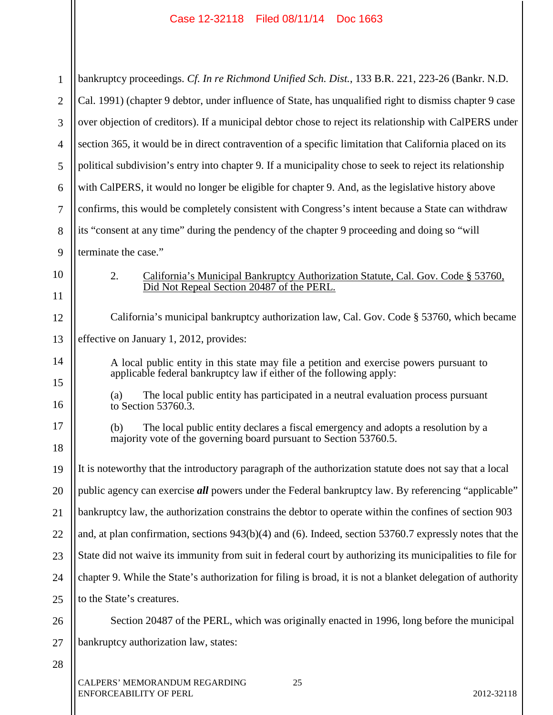Ш

 $\mathsf{I}$ 

| 1              | bankruptcy proceedings. Cf. In re Richmond Unified Sch. Dist., 133 B.R. 221, 223-26 (Bankr. N.D.                                                               |  |  |  |  |  |  |
|----------------|----------------------------------------------------------------------------------------------------------------------------------------------------------------|--|--|--|--|--|--|
| $\overline{2}$ | Cal. 1991) (chapter 9 debtor, under influence of State, has unqualified right to dismiss chapter 9 case                                                        |  |  |  |  |  |  |
| 3              | over objection of creditors). If a municipal debtor chose to reject its relationship with CalPERS under                                                        |  |  |  |  |  |  |
| 4              | section 365, it would be in direct contravention of a specific limitation that California placed on its                                                        |  |  |  |  |  |  |
| 5              | political subdivision's entry into chapter 9. If a municipality chose to seek to reject its relationship                                                       |  |  |  |  |  |  |
| 6              | with CalPERS, it would no longer be eligible for chapter 9. And, as the legislative history above                                                              |  |  |  |  |  |  |
| 7              | confirms, this would be completely consistent with Congress's intent because a State can withdraw                                                              |  |  |  |  |  |  |
| 8              | its "consent at any time" during the pendency of the chapter 9 proceeding and doing so "will                                                                   |  |  |  |  |  |  |
| 9              | terminate the case."                                                                                                                                           |  |  |  |  |  |  |
| 10             | 2.<br>California's Municipal Bankruptcy Authorization Statute, Cal. Gov. Code § 53760,<br>Did Not Repeal Section 20487 of the PERL.                            |  |  |  |  |  |  |
| 11<br>12       | California's municipal bankruptcy authorization law, Cal. Gov. Code § 53760, which became                                                                      |  |  |  |  |  |  |
| 13             | effective on January 1, 2012, provides:                                                                                                                        |  |  |  |  |  |  |
| 14             | A local public entity in this state may file a petition and exercise powers pursuant to<br>applicable federal bankruptcy law if either of the following apply: |  |  |  |  |  |  |
| 15<br>16       | The local public entity has participated in a neutral evaluation process pursuant<br>(a)<br>to Section 53760.3.                                                |  |  |  |  |  |  |
| 17<br>18       | The local public entity declares a fiscal emergency and adopts a resolution by a<br>(b)<br>majority vote of the governing board pursuant to Section 53760.5.   |  |  |  |  |  |  |
| 19             | It is noteworthy that the introductory paragraph of the authorization statute does not say that a local                                                        |  |  |  |  |  |  |
| 20             | public agency can exercise <i>all</i> powers under the Federal bankruptcy law. By referencing "applicable"                                                     |  |  |  |  |  |  |
| 21             | bankruptcy law, the authorization constrains the debtor to operate within the confines of section 903                                                          |  |  |  |  |  |  |
| 22             | and, at plan confirmation, sections $943(b)(4)$ and (6). Indeed, section 53760.7 expressly notes that the                                                      |  |  |  |  |  |  |
| 23             | State did not waive its immunity from suit in federal court by authorizing its municipalities to file for                                                      |  |  |  |  |  |  |
| 24             | chapter 9. While the State's authorization for filing is broad, it is not a blanket delegation of authority                                                    |  |  |  |  |  |  |
| 25             | to the State's creatures.                                                                                                                                      |  |  |  |  |  |  |
| 26             | Section 20487 of the PERL, which was originally enacted in 1996, long before the municipal                                                                     |  |  |  |  |  |  |
| 27             | bankruptcy authorization law, states:                                                                                                                          |  |  |  |  |  |  |
| 28             |                                                                                                                                                                |  |  |  |  |  |  |
|                | CALPERS' MEMORANDUM REGARDING<br>25<br><b>ENFORCEABILITY OF PERL</b><br>2012-32118                                                                             |  |  |  |  |  |  |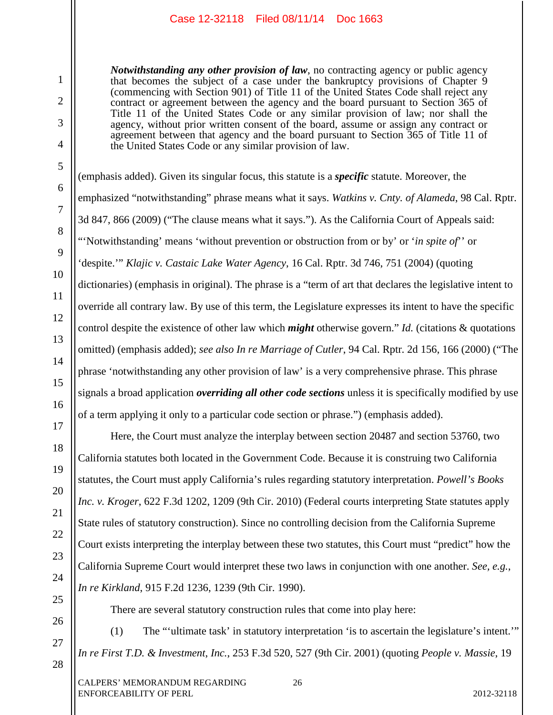*Notwithstanding any other provision of law*, no contracting agency or public agency that becomes the subject of a case under the bankruptcy provisions of Chapter 9 (commencing with Section 901) of Title 11 of the United States Code shall reject any contract or agreement between the agency and the board pursuant to Section 365 of Title 11 of the United States Code or any similar provision of law; nor shall the agency, without prior written consent of the board, assume or assign any contract or agreement between that agency and the board pursuant to Section 365 of Title 11 of the United States Code or any similar provision of law.

(emphasis added). Given its singular focus, this statute is a *specific* statute. Moreover, the emphasized "notwithstanding" phrase means what it says. *Watkins v. Cnty. of Alameda*, 98 Cal. Rptr. 3d 847, 866 (2009) ("The clause means what it says."). As the California Court of Appeals said: "'Notwithstanding' means 'without prevention or obstruction from or by' or '*in spite of*'' or 'despite.'" *Klajic v. Castaic Lake Water Agency*, 16 Cal. Rptr. 3d 746, 751 (2004) (quoting dictionaries) (emphasis in original). The phrase is a "term of art that declares the legislative intent to override all contrary law. By use of this term, the Legislature expresses its intent to have the specific control despite the existence of other law which *might* otherwise govern." *Id.* (citations & quotations omitted) (emphasis added); *see also In re Marriage of Cutler*, 94 Cal. Rptr. 2d 156, 166 (2000) ("The phrase 'notwithstanding any other provision of law' is a very comprehensive phrase. This phrase signals a broad application *overriding all other code sections* unless it is specifically modified by use of a term applying it only to a particular code section or phrase.") (emphasis added).

Here, the Court must analyze the interplay between section 20487 and section 53760, two California statutes both located in the Government Code. Because it is construing two California statutes, the Court must apply California's rules regarding statutory interpretation. *Powell's Books Inc. v. Kroger*, 622 F.3d 1202, 1209 (9th Cir. 2010) (Federal courts interpreting State statutes apply State rules of statutory construction). Since no controlling decision from the California Supreme Court exists interpreting the interplay between these two statutes, this Court must "predict" how the California Supreme Court would interpret these two laws in conjunction with one another. *See, e.g.*, *In re Kirkland*, 915 F.2d 1236, 1239 (9th Cir. 1990).

There are several statutory construction rules that come into play here:

(1) The "'ultimate task' in statutory interpretation 'is to ascertain the legislature's intent.'" *In re First T.D. & Investment*, *Inc.*, 253 F.3d 520, 527 (9th Cir. 2001) (quoting *People v. Massie*, 19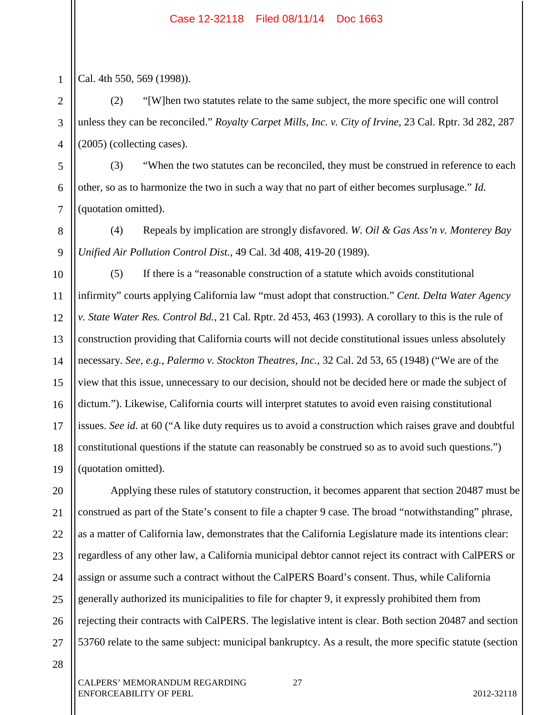1 2

3

4

5

6

7

8

9

Cal. 4th 550, 569 (1998)).

(2) "[W]hen two statutes relate to the same subject, the more specific one will control unless they can be reconciled." *Royalty Carpet Mills, Inc. v. City of Irvine*, 23 Cal. Rptr. 3d 282, 287 (2005) (collecting cases).

(3) "When the two statutes can be reconciled, they must be construed in reference to each other, so as to harmonize the two in such a way that no part of either becomes surplusage." *Id.* (quotation omitted).

(4) Repeals by implication are strongly disfavored. *W. Oil & Gas Ass'n v. Monterey Bay Unified Air Pollution Control Dist.*, 49 Cal. 3d 408, 419-20 (1989).

10 11 12 13 14 15 16 17 18 19 (5) If there is a "reasonable construction of a statute which avoids constitutional infirmity" courts applying California law "must adopt that construction." *Cent. Delta Water Agency v. State Water Res. Control Bd.*, 21 Cal. Rptr. 2d 453, 463 (1993). A corollary to this is the rule of construction providing that California courts will not decide constitutional issues unless absolutely necessary. *See, e.g.*, *Palermo v. Stockton Theatres, Inc.*, 32 Cal. 2d 53, 65 (1948) ("We are of the view that this issue, unnecessary to our decision, should not be decided here or made the subject of dictum."). Likewise, California courts will interpret statutes to avoid even raising constitutional issues. *See id.* at 60 ("A like duty requires us to avoid a construction which raises grave and doubtful constitutional questions if the statute can reasonably be construed so as to avoid such questions.") (quotation omitted).

20 21 22 23 24 25 26 27 Applying these rules of statutory construction, it becomes apparent that section 20487 must be construed as part of the State's consent to file a chapter 9 case. The broad "notwithstanding" phrase, as a matter of California law, demonstrates that the California Legislature made its intentions clear: regardless of any other law, a California municipal debtor cannot reject its contract with CalPERS or assign or assume such a contract without the CalPERS Board's consent. Thus, while California generally authorized its municipalities to file for chapter 9, it expressly prohibited them from rejecting their contracts with CalPERS. The legislative intent is clear. Both section 20487 and section 53760 relate to the same subject: municipal bankruptcy. As a result, the more specific statute (section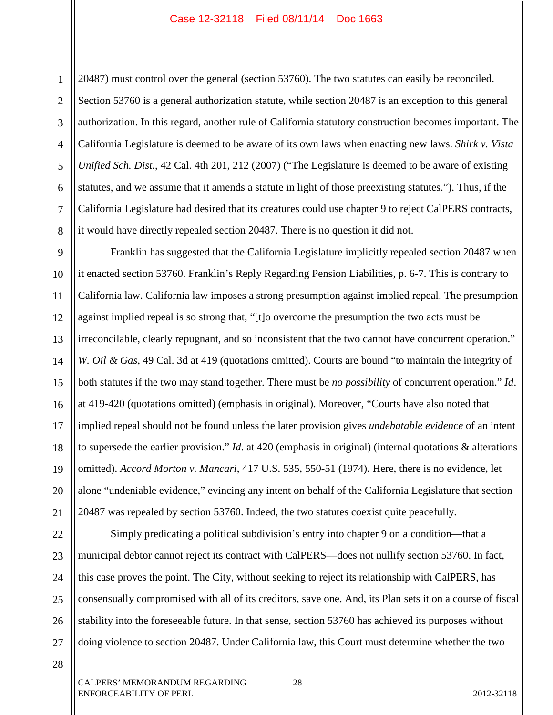1 2 3 4 5 6 7 8 20487) must control over the general (section 53760). The two statutes can easily be reconciled. Section 53760 is a general authorization statute, while section 20487 is an exception to this general authorization. In this regard, another rule of California statutory construction becomes important. The California Legislature is deemed to be aware of its own laws when enacting new laws. *Shirk v. Vista Unified Sch. Dist.*, 42 Cal. 4th 201, 212 (2007) ("The Legislature is deemed to be aware of existing statutes, and we assume that it amends a statute in light of those preexisting statutes."). Thus, if the California Legislature had desired that its creatures could use chapter 9 to reject CalPERS contracts, it would have directly repealed section 20487. There is no question it did not.

9 10 11 12 13 14 15 16 17 18 19 20 21 Franklin has suggested that the California Legislature implicitly repealed section 20487 when it enacted section 53760. Franklin's Reply Regarding Pension Liabilities, p. 6-7. This is contrary to California law. California law imposes a strong presumption against implied repeal. The presumption against implied repeal is so strong that, "[t]o overcome the presumption the two acts must be irreconcilable, clearly repugnant, and so inconsistent that the two cannot have concurrent operation." *W. Oil & Gas*, 49 Cal. 3d at 419 (quotations omitted). Courts are bound "to maintain the integrity of both statutes if the two may stand together. There must be *no possibility* of concurrent operation." *Id*. at 419-420 (quotations omitted) (emphasis in original). Moreover, "Courts have also noted that implied repeal should not be found unless the later provision gives *undebatable evidence* of an intent to supersede the earlier provision." *Id*. at 420 (emphasis in original) (internal quotations & alterations omitted). *Accord Morton v. Mancari*, 417 U.S. 535, 550-51 (1974). Here, there is no evidence, let alone "undeniable evidence," evincing any intent on behalf of the California Legislature that section 20487 was repealed by section 53760. Indeed, the two statutes coexist quite peacefully.

22 23 24 25 26 27 Simply predicating a political subdivision's entry into chapter 9 on a condition—that a municipal debtor cannot reject its contract with CalPERS—does not nullify section 53760. In fact, this case proves the point. The City, without seeking to reject its relationship with CalPERS, has consensually compromised with all of its creditors, save one. And, its Plan sets it on a course of fiscal stability into the foreseeable future. In that sense, section 53760 has achieved its purposes without doing violence to section 20487. Under California law, this Court must determine whether the two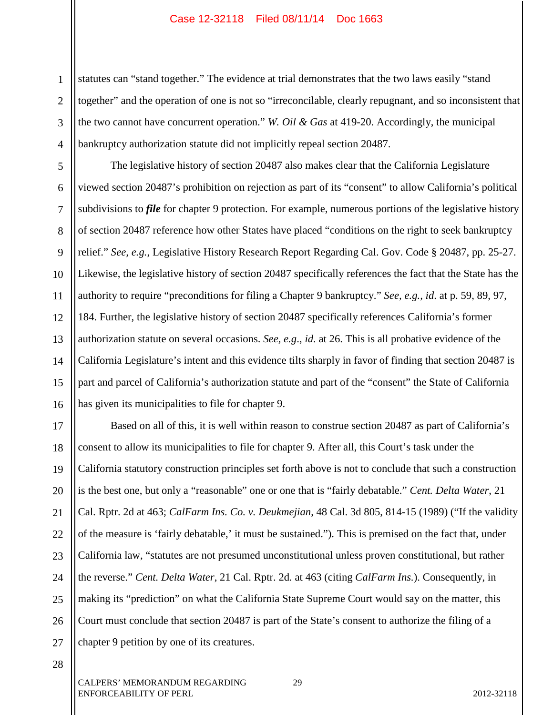1 2 3 4 statutes can "stand together." The evidence at trial demonstrates that the two laws easily "stand together" and the operation of one is not so "irreconcilable, clearly repugnant, and so inconsistent that the two cannot have concurrent operation." *W. Oil & Gas* at 419-20. Accordingly, the municipal bankruptcy authorization statute did not implicitly repeal section 20487.

5 6 7 8 9 10 11 12 13 14 15 16 The legislative history of section 20487 also makes clear that the California Legislature viewed section 20487's prohibition on rejection as part of its "consent" to allow California's political subdivisions to *file* for chapter 9 protection. For example, numerous portions of the legislative history of section 20487 reference how other States have placed "conditions on the right to seek bankruptcy relief." *See, e.g.*, Legislative History Research Report Regarding Cal. Gov. Code § 20487, pp. 25-27. Likewise, the legislative history of section 20487 specifically references the fact that the State has the authority to require "preconditions for filing a Chapter 9 bankruptcy." *See, e.g., id*. at p. 59, 89, 97, 184. Further, the legislative history of section 20487 specifically references California's former authorization statute on several occasions. *See, e.g*., *id.* at 26. This is all probative evidence of the California Legislature's intent and this evidence tilts sharply in favor of finding that section 20487 is part and parcel of California's authorization statute and part of the "consent" the State of California has given its municipalities to file for chapter 9.

17 18 19 20 21 22 23 24 25 26 27 Based on all of this, it is well within reason to construe section 20487 as part of California's consent to allow its municipalities to file for chapter 9. After all, this Court's task under the California statutory construction principles set forth above is not to conclude that such a construction is the best one, but only a "reasonable" one or one that is "fairly debatable." *Cent. Delta Water*, 21 Cal. Rptr. 2d at 463; *CalFarm Ins. Co. v. Deukmejian*, 48 Cal. 3d 805, 814-15 (1989) ("If the validity of the measure is 'fairly debatable,' it must be sustained."). This is premised on the fact that, under California law, "statutes are not presumed unconstitutional unless proven constitutional, but rather the reverse." *Cent. Delta Water*, 21 Cal. Rptr. 2d*.* at 463 (citing *CalFarm Ins.*). Consequently, in making its "prediction" on what the California State Supreme Court would say on the matter, this Court must conclude that section 20487 is part of the State's consent to authorize the filing of a chapter 9 petition by one of its creatures.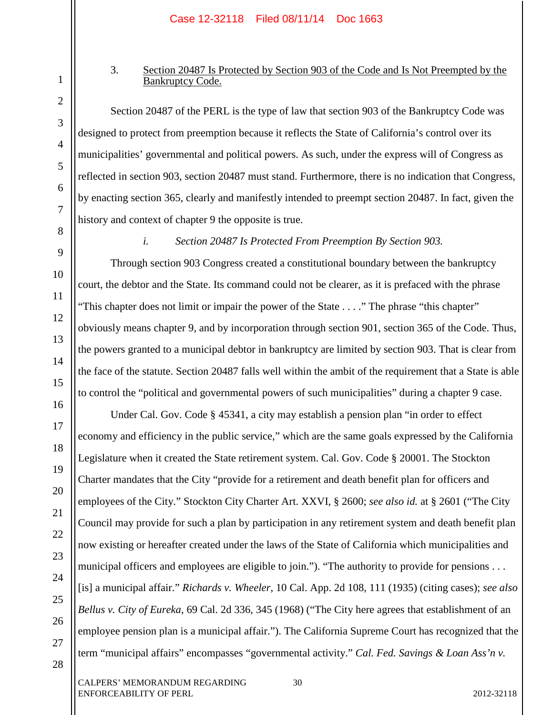## 3. Section 20487 Is Protected by Section 903 of the Code and Is Not Preempted by the Bankruptcy Code.

Section 20487 of the PERL is the type of law that section 903 of the Bankruptcy Code was designed to protect from preemption because it reflects the State of California's control over its municipalities' governmental and political powers. As such, under the express will of Congress as reflected in section 903, section 20487 must stand. Furthermore, there is no indication that Congress, by enacting section 365, clearly and manifestly intended to preempt section 20487. In fact, given the history and context of chapter 9 the opposite is true.

## *i. Section 20487 Is Protected From Preemption By Section 903.*

Through section 903 Congress created a constitutional boundary between the bankruptcy court, the debtor and the State. Its command could not be clearer, as it is prefaced with the phrase "This chapter does not limit or impair the power of the State . . . ." The phrase "this chapter" obviously means chapter 9, and by incorporation through section 901, section 365 of the Code. Thus, the powers granted to a municipal debtor in bankruptcy are limited by section 903. That is clear from the face of the statute. Section 20487 falls well within the ambit of the requirement that a State is able to control the "political and governmental powers of such municipalities" during a chapter 9 case.

Under Cal. Gov. Code § 45341, a city may establish a pension plan "in order to effect economy and efficiency in the public service," which are the same goals expressed by the California Legislature when it created the State retirement system. Cal. Gov. Code § 20001. The Stockton Charter mandates that the City "provide for a retirement and death benefit plan for officers and employees of the City." Stockton City Charter Art. XXVI, § 2600; *see also id.* at § 2601 ("The City Council may provide for such a plan by participation in any retirement system and death benefit plan now existing or hereafter created under the laws of the State of California which municipalities and municipal officers and employees are eligible to join."). "The authority to provide for pensions . . . [is] a municipal affair." *Richards v. Wheeler*, 10 Cal. App. 2d 108, 111 (1935) (citing cases); *see also Bellus v. City of Eureka*, 69 Cal. 2d 336, 345 (1968) ("The City here agrees that establishment of an employee pension plan is a municipal affair."). The California Supreme Court has recognized that the term "municipal affairs" encompasses "governmental activity." *Cal. Fed. Savings & Loan Ass'n v.* 

1

2

3

4

5

6

7

8

9

10

11

12

13

14

15

16

17

18

19

20

21

22

23

24

25

26

27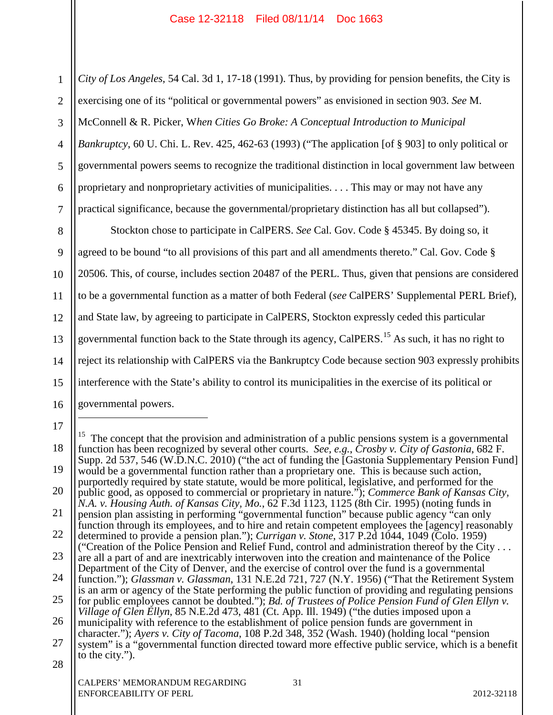1 2 3 4 5 6 7 8 9 10 11 12 13 14 *City of Los Angeles*, 54 Cal. 3d 1, 17-18 (1991). Thus, by providing for pension benefits, the City is exercising one of its "political or governmental powers" as envisioned in section 903. *See* M. McConnell & R. Picker, W*hen Cities Go Broke: A Conceptual Introduction to Municipal Bankruptcy*, 60 U. Chi. L. Rev. 425, 462-63 (1993) ("The application [of § 903] to only political or governmental powers seems to recognize the traditional distinction in local government law between proprietary and nonproprietary activities of municipalities. . . . This may or may not have any practical significance, because the governmental/proprietary distinction has all but collapsed"). Stockton chose to participate in CalPERS. *See* Cal. Gov. Code § 45345. By doing so, it agreed to be bound "to all provisions of this part and all amendments thereto." Cal. Gov. Code § 20506. This, of course, includes section 20487 of the PERL. Thus, given that pensions are considered to be a governmental function as a matter of both Federal (*see* CalPERS' Supplemental PERL Brief), and State law, by agreeing to participate in CalPERS, Stockton expressly ceded this particular governmental function back to the State through its agency, CalPERS.<sup>15</sup> As such, it has no right to reject its relationship with CalPERS via the Bankruptcy Code because section 903 expressly prohibits

15 interference with the State's ability to control its municipalities in the exercise of its political or

- 16 governmental powers.
- 17

 $\overline{a}$ 

<sup>18</sup> 19 20 21 22 23 24 25 26 27 28 CALPERS' MEMORANDUM REGARDING 31 <sup>15</sup> The concept that the provision and administration of a public pensions system is a governmental function has been recognized by several other courts. *See, e.g.*, *Crosby v. City of Gastonia*, 682 F. Supp. 2d 537, 546 (W.D.N.C. 2010) ("the act of funding the [Gastonia Supplementary Pension Fund] would be a governmental function rather than a proprietary one. This is because such action, purportedly required by state statute, would be more political, legislative, and performed for the public good, as opposed to commercial or proprietary in nature."); *Commerce Bank of Kansas City, N.A. v. Housing Auth. of Kansas City, Mo.*, 62 F.3d 1123, 1125 (8th Cir. 1995) (noting funds in pension plan assisting in performing "governmental function" because public agency "can only function through its employees, and to hire and retain competent employees the [agency] reasonably determined to provide a pension plan."); *Currigan v. Stone*, 317 P.2d 1044, 1049 (Colo. 1959) ("Creation of the Police Pension and Relief Fund, control and administration thereof by the City . . . are all a part of and are inextricably interwoven into the creation and maintenance of the Police Department of the City of Denver, and the exercise of control over the fund is a governmental function."); *Glassman v. Glassman*, 131 N.E.2d 721, 727 (N.Y. 1956) ("That the Retirement System is an arm or agency of the State performing the public function of providing and regulating pensions for public employees cannot be doubted."); *Bd. of Trustees of Police Pension Fund of Glen Ellyn v. Village of Glen Ellyn*, 85 N.E.2d 473, 481 (Ct. App. Ill. 1949) ("the duties imposed upon a municipality with reference to the establishment of police pension funds are government in character."); *Ayers v. City of Tacoma*, 108 P.2d 348, 352 (Wash. 1940) (holding local "pension system" is a "governmental function directed toward more effective public service, which is a benefit to the city.").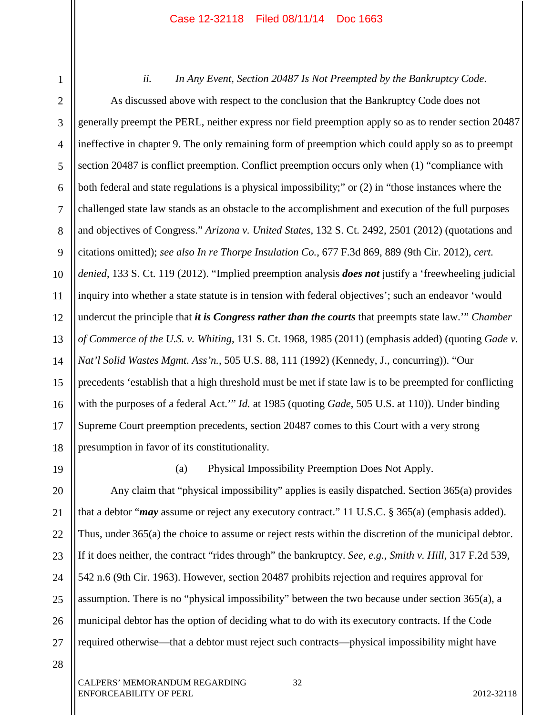1 2 3 4 5 6 7 8 9 10 11 12 13 14 15 16 17 18 *ii. In Any Event, Section 20487 Is Not Preempted by the Bankruptcy Code*. As discussed above with respect to the conclusion that the Bankruptcy Code does not generally preempt the PERL, neither express nor field preemption apply so as to render section 20487 ineffective in chapter 9. The only remaining form of preemption which could apply so as to preempt section 20487 is conflict preemption. Conflict preemption occurs only when (1) "compliance with both federal and state regulations is a physical impossibility;" or (2) in "those instances where the challenged state law stands as an obstacle to the accomplishment and execution of the full purposes and objectives of Congress." *Arizona v. United States*, 132 S. Ct. 2492, 2501 (2012) (quotations and citations omitted); *see also In re Thorpe Insulation Co.*, 677 F.3d 869, 889 (9th Cir. 2012), *cert. denied*, 133 S. Ct. 119 (2012). "Implied preemption analysis *does not* justify a 'freewheeling judicial inquiry into whether a state statute is in tension with federal objectives'; such an endeavor 'would undercut the principle that *it is Congress rather than the courts* that preempts state law.'" *Chamber of Commerce of the U.S. v. Whiting*, 131 S. Ct. 1968, 1985 (2011) (emphasis added) (quoting *Gade v. Nat'l Solid Wastes Mgmt. Ass'n.*, 505 U.S. 88, 111 (1992) (Kennedy, J., concurring)). "Our precedents 'establish that a high threshold must be met if state law is to be preempted for conflicting with the purposes of a federal Act.'" *Id.* at 1985 (quoting *Gade*, 505 U.S. at 110)). Under binding Supreme Court preemption precedents, section 20487 comes to this Court with a very strong presumption in favor of its constitutionality.

19 20

(a) Physical Impossibility Preemption Does Not Apply.

21 22 23 24 25 26 27 Any claim that "physical impossibility" applies is easily dispatched. Section 365(a) provides that a debtor "*may* assume or reject any executory contract." 11 U.S.C. § 365(a) (emphasis added). Thus, under 365(a) the choice to assume or reject rests within the discretion of the municipal debtor. If it does neither, the contract "rides through" the bankruptcy. *See, e.g.*, *Smith v. Hill*, 317 F.2d 539, 542 n.6 (9th Cir. 1963). However, section 20487 prohibits rejection and requires approval for assumption. There is no "physical impossibility" between the two because under section 365(a), a municipal debtor has the option of deciding what to do with its executory contracts. If the Code required otherwise—that a debtor must reject such contracts—physical impossibility might have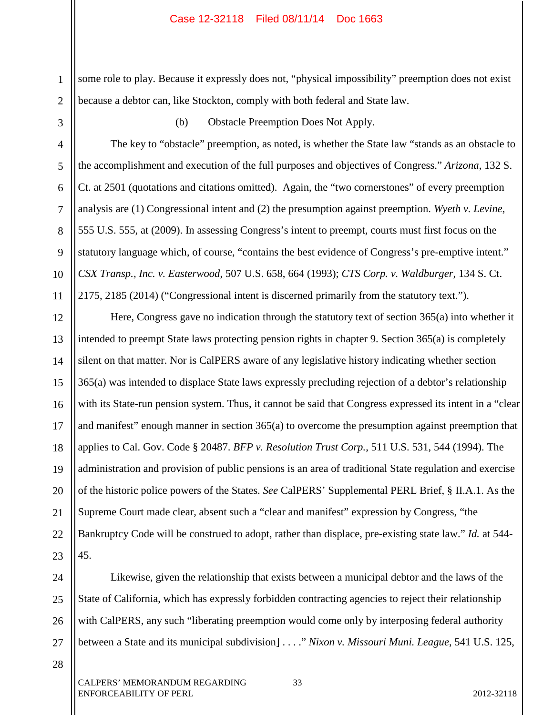1 2 some role to play. Because it expressly does not, "physical impossibility" preemption does not exist because a debtor can, like Stockton, comply with both federal and State law.

3

4

5

6

7

8

9

10

11

(b) Obstacle Preemption Does Not Apply.

The key to "obstacle" preemption, as noted, is whether the State law "stands as an obstacle to the accomplishment and execution of the full purposes and objectives of Congress." *Arizona*, 132 S. Ct. at 2501 (quotations and citations omitted). Again, the "two cornerstones" of every preemption analysis are (1) Congressional intent and (2) the presumption against preemption. *Wyeth v. Levine*, 555 U.S. 555, at (2009). In assessing Congress's intent to preempt, courts must first focus on the statutory language which, of course, "contains the best evidence of Congress's pre-emptive intent." *CSX Transp., Inc. v. Easterwood*, 507 U.S. 658, 664 (1993); *CTS Corp. v. Waldburger*, 134 S. Ct. 2175, 2185 (2014) ("Congressional intent is discerned primarily from the statutory text.").

12 13 14 15 16 17 18 19 20 21 22 23 Here, Congress gave no indication through the statutory text of section 365(a) into whether it intended to preempt State laws protecting pension rights in chapter 9. Section 365(a) is completely silent on that matter. Nor is CalPERS aware of any legislative history indicating whether section 365(a) was intended to displace State laws expressly precluding rejection of a debtor's relationship with its State-run pension system. Thus, it cannot be said that Congress expressed its intent in a "clear" and manifest" enough manner in section 365(a) to overcome the presumption against preemption that applies to Cal. Gov. Code § 20487. *BFP v. Resolution Trust Corp.*, 511 U.S. 531, 544 (1994). The administration and provision of public pensions is an area of traditional State regulation and exercise of the historic police powers of the States. *See* CalPERS' Supplemental PERL Brief, § II.A.1. As the Supreme Court made clear, absent such a "clear and manifest" expression by Congress, "the Bankruptcy Code will be construed to adopt, rather than displace, pre-existing state law." *Id.* at 544- 45.

24 25 26

27 Likewise, given the relationship that exists between a municipal debtor and the laws of the State of California, which has expressly forbidden contracting agencies to reject their relationship with CalPERS, any such "liberating preemption would come only by interposing federal authority between a State and its municipal subdivision] . . . ." *Nixon v. Missouri Muni. League*, 541 U.S. 125,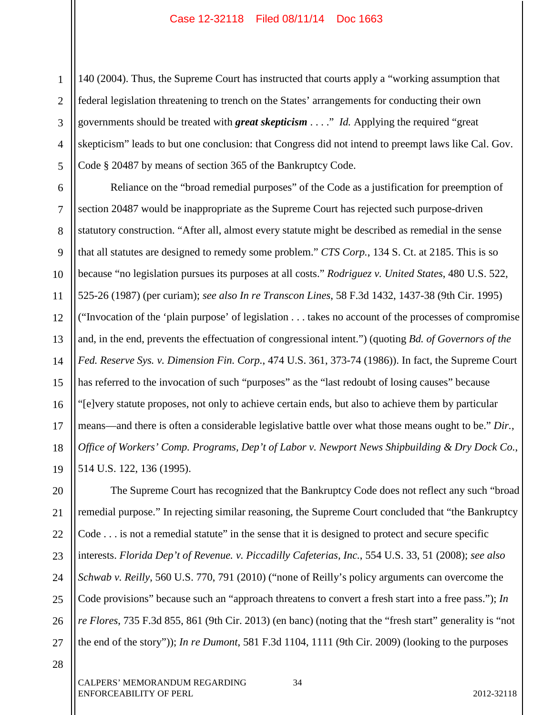1 2 3 4 5 140 (2004). Thus, the Supreme Court has instructed that courts apply a "working assumption that federal legislation threatening to trench on the States' arrangements for conducting their own governments should be treated with *great skepticism* . . . ." *Id.* Applying the required "great skepticism" leads to but one conclusion: that Congress did not intend to preempt laws like Cal. Gov. Code § 20487 by means of section 365 of the Bankruptcy Code.

6 7 8 9 10 11 12 13 14 15 16 17 18 19 Reliance on the "broad remedial purposes" of the Code as a justification for preemption of section 20487 would be inappropriate as the Supreme Court has rejected such purpose-driven statutory construction. "After all, almost every statute might be described as remedial in the sense that all statutes are designed to remedy some problem." *CTS Corp.*, 134 S. Ct. at 2185. This is so because "no legislation pursues its purposes at all costs." *Rodriguez v. United States*, 480 U.S. 522, 525-26 (1987) (per curiam); *see also In re Transcon Lines*, 58 F.3d 1432, 1437-38 (9th Cir. 1995) ("Invocation of the 'plain purpose' of legislation . . . takes no account of the processes of compromise and, in the end, prevents the effectuation of congressional intent.") (quoting *Bd. of Governors of the Fed. Reserve Sys. v. Dimension Fin. Corp.*, 474 U.S. 361, 373-74 (1986)). In fact, the Supreme Court has referred to the invocation of such "purposes" as the "last redoubt of losing causes" because "[e]very statute proposes, not only to achieve certain ends, but also to achieve them by particular means—and there is often a considerable legislative battle over what those means ought to be." *Dir., Office of Workers' Comp. Programs, Dep't of Labor v. Newport News Shipbuilding & Dry Dock Co.*, 514 U.S. 122, 136 (1995).

20 21 22 23 24 25 26 27 The Supreme Court has recognized that the Bankruptcy Code does not reflect any such "broad remedial purpose." In rejecting similar reasoning, the Supreme Court concluded that "the Bankruptcy Code . . . is not a remedial statute" in the sense that it is designed to protect and secure specific interests. *Florida Dep't of Revenue. v. Piccadilly Cafeterias, Inc.*, 554 U.S. 33, 51 (2008); *see also Schwab v. Reilly*, 560 U.S. 770, 791 (2010) ("none of Reilly's policy arguments can overcome the Code provisions" because such an "approach threatens to convert a fresh start into a free pass."); *In re Flores*, 735 F.3d 855, 861 (9th Cir. 2013) (en banc) (noting that the "fresh start" generality is "not the end of the story")); *In re Dumont*, 581 F.3d 1104, 1111 (9th Cir. 2009) (looking to the purposes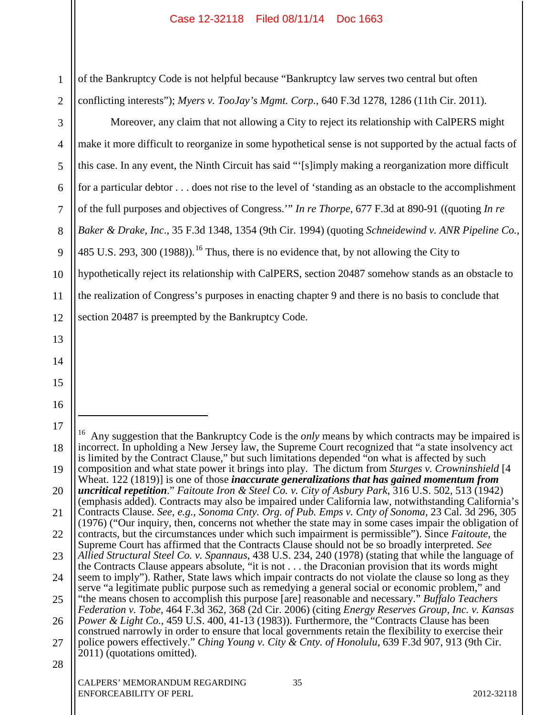1 2 of the Bankruptcy Code is not helpful because "Bankruptcy law serves two central but often conflicting interests"); *Myers v. TooJay's Mgmt. Corp.*, 640 F.3d 1278, 1286 (11th Cir. 2011).

3 4 5 6 7 8 9 10 11 12 13 14 15 16 17 Moreover, any claim that not allowing a City to reject its relationship with CalPERS might make it more difficult to reorganize in some hypothetical sense is not supported by the actual facts of this case. In any event, the Ninth Circuit has said "'[s]imply making a reorganization more difficult for a particular debtor . . . does not rise to the level of 'standing as an obstacle to the accomplishment of the full purposes and objectives of Congress.'" *In re Thorpe*, 677 F.3d at 890-91 ((quoting *In re Baker & Drake*, *Inc*., 35 F.3d 1348, 1354 (9th Cir. 1994) (quoting *Schneidewind v. ANR Pipeline Co.*, 485 U.S. 293, 300 (1988)).<sup>16</sup> Thus, there is no evidence that, by not allowing the City to hypothetically reject its relationship with CalPERS, section 20487 somehow stands as an obstacle to the realization of Congress's purposes in enacting chapter 9 and there is no basis to conclude that section 20487 is preempted by the Bankruptcy Code.  $\overline{a}$ <sup>16</sup> Any suggestion that the Bankruptcy Code is the *only* means by which contracts may be impaired is incorrect. In upholding a New Jersey law, the Supreme Court recognized that "a state insolvency act

<sup>18</sup> 19 20 21 22 23 24 25 26 27 28 CALPERS' MEMORANDUM REGARDING 35 is limited by the Contract Clause," but such limitations depended "on what is affected by such composition and what state power it brings into play. The dictum from *Sturges v. Crowninshield* [4 Wheat. 122 (1819)] is one of those *inaccurate generalizations that has gained momentum from uncritical repetition*." *Faitoute Iron & Steel Co. v. City of Asbury Park*, 316 U.S. 502, 513 (1942) (emphasis added). Contracts may also be impaired under California law, notwithstanding California's Contracts Clause. *See, e.g.*, *Sonoma Cnty. Org. of Pub. Emps v. Cnty of Sonoma*, 23 Cal. 3d 296, 305 (1976) ("Our inquiry, then, concerns not whether the state may in some cases impair the obligation of contracts, but the circumstances under which such impairment is permissible"). Since *Faitoute*, the Supreme Court has affirmed that the Contracts Clause should not be so broadly interpreted. *See Allied Structural Steel Co. v. Spannaus*, 438 U.S. 234, 240 (1978) (stating that while the language of the Contracts Clause appears absolute, "it is not . . . the Draconian provision that its words might seem to imply"). Rather, State laws which impair contracts do not violate the clause so long as they serve "a legitimate public purpose such as remedying a general social or economic problem," and "the means chosen to accomplish this purpose [are] reasonable and necessary." *Buffalo Teachers Federation v. Tobe*, 464 F.3d 362, 368 (2d Cir. 2006) (citing *Energy Reserves Group, Inc. v. Kansas Power & Light Co.*, 459 U.S. 400, 41-13 (1983)). Furthermore, the "Contracts Clause has been construed narrowly in order to ensure that local governments retain the flexibility to exercise their police powers effectively." *Ching Young v. City & Cnty. of Honolulu*, 639 F.3d 907, 913 (9th Cir. 2011) (quotations omitted).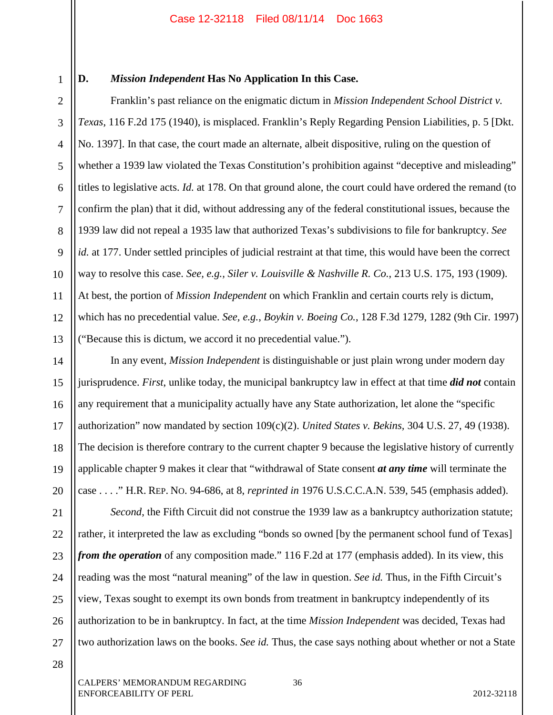1

## **D.** *Mission Independent* **Has No Application In this Case.**

2 3 4 5 6 7 8 9 10 11 12 13 Franklin's past reliance on the enigmatic dictum in *Mission Independent School District v. Texas*, 116 F.2d 175 (1940), is misplaced. Franklin's Reply Regarding Pension Liabilities, p. 5 [Dkt. No. 1397]. In that case, the court made an alternate, albeit dispositive, ruling on the question of whether a 1939 law violated the Texas Constitution's prohibition against "deceptive and misleading" titles to legislative acts. *Id.* at 178. On that ground alone, the court could have ordered the remand (to confirm the plan) that it did, without addressing any of the federal constitutional issues, because the 1939 law did not repeal a 1935 law that authorized Texas's subdivisions to file for bankruptcy. *See id.* at 177. Under settled principles of judicial restraint at that time, this would have been the correct way to resolve this case. *See, e.g., Siler v. Louisville & Nashville R. Co.*, 213 U.S. 175, 193 (1909). At best, the portion of *Mission Independent* on which Franklin and certain courts rely is dictum, which has no precedential value. *See, e.g.*, *Boykin v. Boeing Co.*, 128 F.3d 1279, 1282 (9th Cir. 1997) ("Because this is dictum, we accord it no precedential value.").

In any event, *Mission Independent* is distinguishable or just plain wrong under modern day jurisprudence. *First*, unlike today, the municipal bankruptcy law in effect at that time *did not* contain any requirement that a municipality actually have any State authorization, let alone the "specific authorization" now mandated by section 109(c)(2). *United States v. Bekins,* 304 U.S. 27, 49 (1938). The decision is therefore contrary to the current chapter 9 because the legislative history of currently applicable chapter 9 makes it clear that "withdrawal of State consent *at any time* will terminate the case . . . ." H.R. REP. NO. 94-686, at 8, *reprinted in* 1976 U.S.C.C.A.N. 539, 545 (emphasis added).

24 25 26 27 *Second*, the Fifth Circuit did not construe the 1939 law as a bankruptcy authorization statute; rather, it interpreted the law as excluding "bonds so owned [by the permanent school fund of Texas] *from the operation* of any composition made." 116 F.2d at 177 (emphasis added). In its view, this reading was the most "natural meaning" of the law in question. *See id.* Thus, in the Fifth Circuit's view, Texas sought to exempt its own bonds from treatment in bankruptcy independently of its authorization to be in bankruptcy. In fact, at the time *Mission Independent* was decided, Texas had two authorization laws on the books. *See id.* Thus, the case says nothing about whether or not a State

28

14

15

16

17

18

19

20

21

22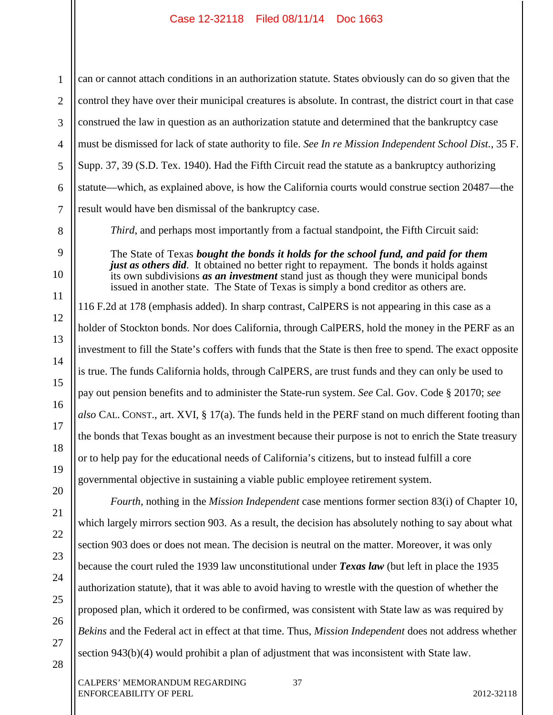1 can or cannot attach conditions in an authorization statute. States obviously can do so given that the control they have over their municipal creatures is absolute. In contrast, the district court in that case construed the law in question as an authorization statute and determined that the bankruptcy case must be dismissed for lack of state authority to file. *See In re Mission Independent School Dist.*, 35 F. Supp. 37, 39 (S.D. Tex. 1940). Had the Fifth Circuit read the statute as a bankruptcy authorizing statute—which, as explained above, is how the California courts would construe section 20487—the result would have ben dismissal of the bankruptcy case.

*Third*, and perhaps most importantly from a factual standpoint, the Fifth Circuit said:

The State of Texas *bought the bonds it holds for the school fund, and paid for them just as others did*. It obtained no better right to repayment. The bonds it holds against its own subdivisions *as an investment* stand just as though they were municipal bonds issued in another state. The State of Texas is simply a bond creditor as others are.

116 F.2d at 178 (emphasis added). In sharp contrast, CalPERS is not appearing in this case as a holder of Stockton bonds. Nor does California, through CalPERS, hold the money in the PERF as an investment to fill the State's coffers with funds that the State is then free to spend. The exact opposite is true. The funds California holds, through CalPERS, are trust funds and they can only be used to pay out pension benefits and to administer the State-run system. *See* Cal. Gov. Code § 20170; *see also* CAL. CONST., art. XVI, § 17(a). The funds held in the PERF stand on much different footing than the bonds that Texas bought as an investment because their purpose is not to enrich the State treasury or to help pay for the educational needs of California's citizens, but to instead fulfill a core governmental objective in sustaining a viable public employee retirement system.

*Fourth*, nothing in the *Mission Independent* case mentions former section 83(i) of Chapter 10, which largely mirrors section 903. As a result, the decision has absolutely nothing to say about what section 903 does or does not mean. The decision is neutral on the matter. Moreover, it was only because the court ruled the 1939 law unconstitutional under *Texas law* (but left in place the 1935 authorization statute), that it was able to avoid having to wrestle with the question of whether the proposed plan, which it ordered to be confirmed, was consistent with State law as was required by *Bekins* and the Federal act in effect at that time. Thus, *Mission Independent* does not address whether section 943(b)(4) would prohibit a plan of adjustment that was inconsistent with State law.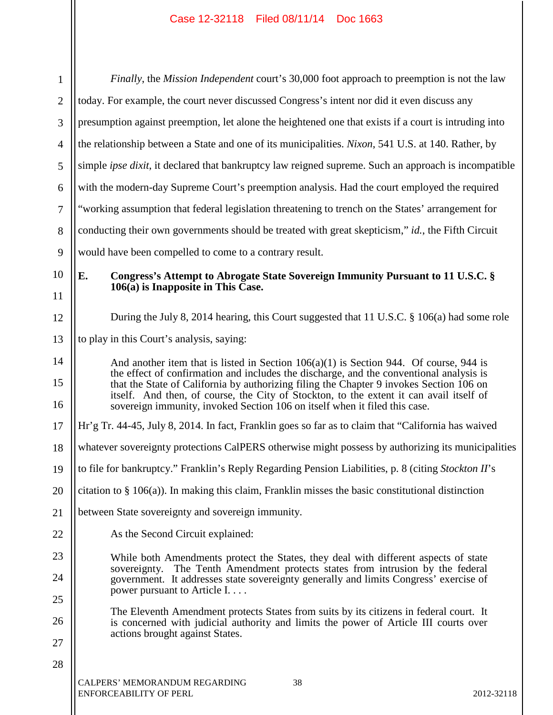$\mathbf{\mathsf{H}}$ 

 $\mathbb{I}$ 

| $\mathbf{1}$   | Finally, the Mission Independent court's 30,000 foot approach to preemption is not the law                                                                                                                                                                                     |  |  |  |  |  |  |  |
|----------------|--------------------------------------------------------------------------------------------------------------------------------------------------------------------------------------------------------------------------------------------------------------------------------|--|--|--|--|--|--|--|
| $\overline{2}$ | today. For example, the court never discussed Congress's intent nor did it even discuss any                                                                                                                                                                                    |  |  |  |  |  |  |  |
| 3              | presumption against preemption, let alone the heightened one that exists if a court is intruding into                                                                                                                                                                          |  |  |  |  |  |  |  |
| $\overline{4}$ | the relationship between a State and one of its municipalities. Nixon, 541 U.S. at 140. Rather, by                                                                                                                                                                             |  |  |  |  |  |  |  |
| 5              | simple <i>ipse dixit</i> , it declared that bankruptcy law reigned supreme. Such an approach is incompatible                                                                                                                                                                   |  |  |  |  |  |  |  |
| 6              | with the modern-day Supreme Court's preemption analysis. Had the court employed the required                                                                                                                                                                                   |  |  |  |  |  |  |  |
| $\tau$         | "working assumption that federal legislation threatening to trench on the States' arrangement for                                                                                                                                                                              |  |  |  |  |  |  |  |
| 8              | conducting their own governments should be treated with great skepticism," id., the Fifth Circuit                                                                                                                                                                              |  |  |  |  |  |  |  |
| 9              | would have been compelled to come to a contrary result.                                                                                                                                                                                                                        |  |  |  |  |  |  |  |
| 10             | E.<br>Congress's Attempt to Abrogate State Sovereign Immunity Pursuant to 11 U.S.C. §<br>$106(a)$ is Inapposite in This Case.                                                                                                                                                  |  |  |  |  |  |  |  |
| 11<br>12       | During the July 8, 2014 hearing, this Court suggested that 11 U.S.C. § 106(a) had some role                                                                                                                                                                                    |  |  |  |  |  |  |  |
| 13             | to play in this Court's analysis, saying:                                                                                                                                                                                                                                      |  |  |  |  |  |  |  |
| 14<br>15       | And another item that is listed in Section $106(a)(1)$ is Section 944. Of course, 944 is<br>the effect of confirmation and includes the discharge, and the conventional analysis is<br>that the State of California by authorizing filing the Chapter 9 invokes Section 106 on |  |  |  |  |  |  |  |
| 16             | itself. And then, of course, the City of Stockton, to the extent it can avail itself of<br>sovereign immunity, invoked Section 106 on itself when it filed this case.                                                                                                          |  |  |  |  |  |  |  |
| 17             | Hr'g Tr. 44-45, July 8, 2014. In fact, Franklin goes so far as to claim that "California has waived                                                                                                                                                                            |  |  |  |  |  |  |  |
| 18             | whatever sovereignty protections CalPERS otherwise might possess by authorizing its municipalities                                                                                                                                                                             |  |  |  |  |  |  |  |
| 19             | to file for bankruptcy." Franklin's Reply Regarding Pension Liabilities, p. 8 (citing Stockton II's                                                                                                                                                                            |  |  |  |  |  |  |  |
| 20             | citation to $\S$ 106(a)). In making this claim, Franklin misses the basic constitutional distinction                                                                                                                                                                           |  |  |  |  |  |  |  |
| 21             | between State sovereignty and sovereign immunity.                                                                                                                                                                                                                              |  |  |  |  |  |  |  |
| 22             | As the Second Circuit explained:                                                                                                                                                                                                                                               |  |  |  |  |  |  |  |
| 23             | While both Amendments protect the States, they deal with different aspects of state                                                                                                                                                                                            |  |  |  |  |  |  |  |
| 24             | sovereignty. The Tenth Amendment protects states from intrusion by the federal<br>government. It addresses state sovereignty generally and limits Congress' exercise of<br>power pursuant to Article I                                                                         |  |  |  |  |  |  |  |
| 25             | The Eleventh Amendment protects States from suits by its citizens in federal court. It                                                                                                                                                                                         |  |  |  |  |  |  |  |
| 26             | is concerned with judicial authority and limits the power of Article III courts over<br>actions brought against States.                                                                                                                                                        |  |  |  |  |  |  |  |
| 27             |                                                                                                                                                                                                                                                                                |  |  |  |  |  |  |  |
| 28             |                                                                                                                                                                                                                                                                                |  |  |  |  |  |  |  |
|                | 38<br>CALPERS' MEMORANDUM REGARDING<br>ENFORCEABILITY OF PERL<br>2012-32118                                                                                                                                                                                                    |  |  |  |  |  |  |  |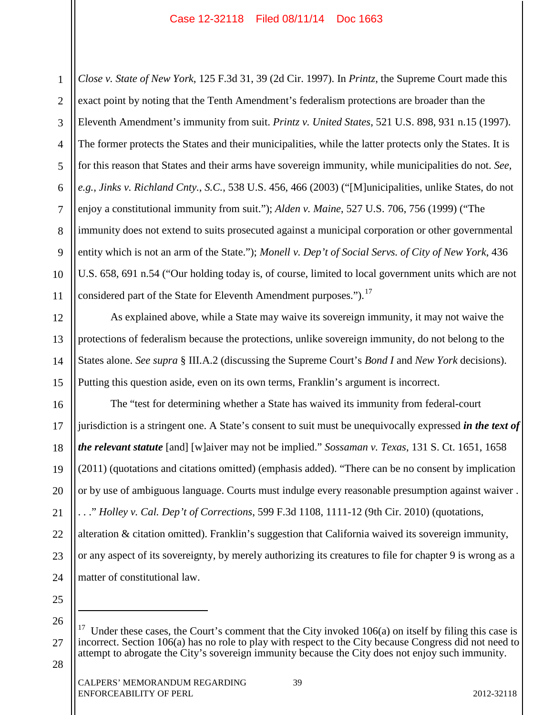1 2 3 4 5 6 7 8 9 10 11 *Close v. State of New York*, 125 F.3d 31, 39 (2d Cir. 1997). In *Printz*, the Supreme Court made this exact point by noting that the Tenth Amendment's federalism protections are broader than the Eleventh Amendment's immunity from suit. *Printz v. United States*, 521 U.S. 898, 931 n.15 (1997). The former protects the States and their municipalities, while the latter protects only the States. It is for this reason that States and their arms have sovereign immunity, while municipalities do not. *See, e.g.*, *Jinks v. Richland Cnty.*, *S.C.*, 538 U.S. 456, 466 (2003) ("[M]unicipalities, unlike States, do not enjoy a constitutional immunity from suit."); *Alden v. Maine*, 527 U.S. 706, 756 (1999) ("The immunity does not extend to suits prosecuted against a municipal corporation or other governmental entity which is not an arm of the State."); *Monell v. Dep't of Social Servs. of City of New York*, 436 U.S. 658, 691 n.54 ("Our holding today is, of course, limited to local government units which are not considered part of the State for Eleventh Amendment purposes.").<sup>17</sup>

As explained above, while a State may waive its sovereign immunity, it may not waive the protections of federalism because the protections, unlike sovereign immunity, do not belong to the States alone. *See supra* § III.A.2 (discussing the Supreme Court's *Bond I* and *New York* decisions). Putting this question aside, even on its own terms, Franklin's argument is incorrect.

16 17 18 19 20 21 22 23 24 The "test for determining whether a State has waived its immunity from federal-court jurisdiction is a stringent one. A State's consent to suit must be unequivocally expressed *in the text of the relevant statute* [and] [w]aiver may not be implied." *Sossaman v. Texas*, 131 S. Ct. 1651, 1658 (2011) (quotations and citations omitted) (emphasis added). "There can be no consent by implication or by use of ambiguous language. Courts must indulge every reasonable presumption against waiver . . . ." *Holley v. Cal. Dep't of Corrections*, 599 F.3d 1108, 1111-12 (9th Cir. 2010) (quotations, alteration & citation omitted). Franklin's suggestion that California waived its sovereign immunity, or any aspect of its sovereignty, by merely authorizing its creatures to file for chapter 9 is wrong as a matter of constitutional law.

26

 $\overline{a}$ 

25

12

13

14

15

<sup>27</sup> Under these cases, the Court's comment that the City invoked  $106(a)$  on itself by filing this case is incorrect. Section 106(a) has no role to play with respect to the City because Congress did not need to attempt to abrogate the City's sovereign immunity because the City does not enjoy such immunity.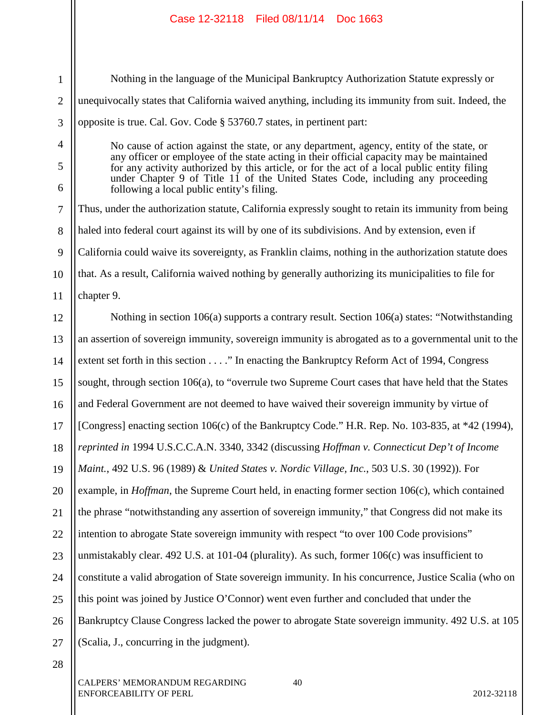Nothing in the language of the Municipal Bankruptcy Authorization Statute expressly or unequivocally states that California waived anything, including its immunity from suit. Indeed, the opposite is true. Cal. Gov. Code § 53760.7 states, in pertinent part:

No cause of action against the state, or any department, agency, entity of the state, or any officer or employee of the state acting in their official capacity may be maintained for any activity authorized by this article, or for the act of a local public entity filing under Chapter 9 of Title 11 of the United States Code, including any proceeding following a local public entity's filing.

7 8 9 10 Thus, under the authorization statute, California expressly sought to retain its immunity from being haled into federal court against its will by one of its subdivisions. And by extension, even if California could waive its sovereignty, as Franklin claims, nothing in the authorization statute does that. As a result, California waived nothing by generally authorizing its municipalities to file for

11 chapter 9.

1

2

3

4

5

6

12 13 14 15 16 17 18 19 20 21 22 23 24 25 26 27 Nothing in section 106(a) supports a contrary result. Section 106(a) states: "Notwithstanding an assertion of sovereign immunity, sovereign immunity is abrogated as to a governmental unit to the extent set forth in this section . . . ." In enacting the Bankruptcy Reform Act of 1994, Congress sought, through section 106(a), to "overrule two Supreme Court cases that have held that the States and Federal Government are not deemed to have waived their sovereign immunity by virtue of [Congress] enacting section 106(c) of the Bankruptcy Code." H.R. Rep. No. 103-835, at \*42 (1994), *reprinted in* 1994 U.S.C.C.A.N. 3340, 3342 (discussing *Hoffman v. Connecticut Dep't of Income Maint.*, 492 U.S. 96 (1989) & *United States v. Nordic Village, Inc.*, 503 U.S. 30 (1992)). For example, in *Hoffman*, the Supreme Court held, in enacting former section 106(c), which contained the phrase "notwithstanding any assertion of sovereign immunity," that Congress did not make its intention to abrogate State sovereign immunity with respect "to over 100 Code provisions" unmistakably clear. 492 U.S. at 101-04 (plurality). As such, former 106(c) was insufficient to constitute a valid abrogation of State sovereign immunity. In his concurrence, Justice Scalia (who on this point was joined by Justice O'Connor) went even further and concluded that under the Bankruptcy Clause Congress lacked the power to abrogate State sovereign immunity. 492 U.S. at 105 (Scalia, J., concurring in the judgment).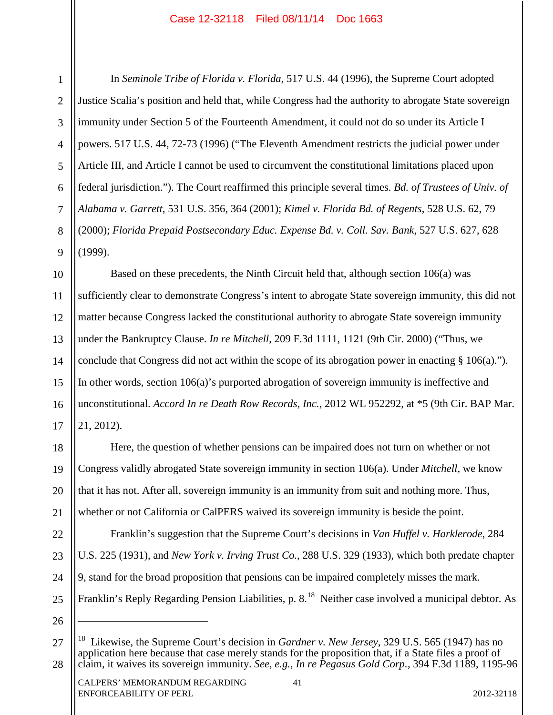5

7

9

18

19

20

21

22

23

24

25

26

 $\overline{a}$ 

1

4 6 8 In *Seminole Tribe of Florida v. Florida*, 517 U.S. 44 (1996), the Supreme Court adopted Justice Scalia's position and held that, while Congress had the authority to abrogate State sovereign immunity under Section 5 of the Fourteenth Amendment, it could not do so under its Article I powers. 517 U.S. 44, 72-73 (1996) ("The Eleventh Amendment restricts the judicial power under Article III, and Article I cannot be used to circumvent the constitutional limitations placed upon federal jurisdiction."). The Court reaffirmed this principle several times. *Bd. of Trustees of Univ. of Alabama v. Garrett*, 531 U.S. 356, 364 (2001); *Kimel v. Florida Bd. of Regents*, 528 U.S. 62, 79 (2000); *Florida Prepaid Postsecondary Educ. Expense Bd. v. Coll. Sav. Bank*, 527 U.S. 627, 628 (1999).

10 11 12 13 14 15 16 17 Based on these precedents, the Ninth Circuit held that, although section 106(a) was sufficiently clear to demonstrate Congress's intent to abrogate State sovereign immunity, this did not matter because Congress lacked the constitutional authority to abrogate State sovereign immunity under the Bankruptcy Clause. *In re Mitchell*, 209 F.3d 1111, 1121 (9th Cir. 2000) ("Thus, we conclude that Congress did not act within the scope of its abrogation power in enacting § 106(a)."). In other words, section 106(a)'s purported abrogation of sovereign immunity is ineffective and unconstitutional. *Accord In re Death Row Records, Inc.*, 2012 WL 952292, at \*5 (9th Cir. BAP Mar. 21, 2012).

Here, the question of whether pensions can be impaired does not turn on whether or not Congress validly abrogated State sovereign immunity in section 106(a). Under *Mitchell*, we know that it has not. After all, sovereign immunity is an immunity from suit and nothing more. Thus, whether or not California or CalPERS waived its sovereign immunity is beside the point.

Franklin's suggestion that the Supreme Court's decisions in *Van Huffel v. Harklerode*, 284 U.S. 225 (1931), and *New York v. Irving Trust Co.*, 288 U.S. 329 (1933), which both predate chapter 9, stand for the broad proposition that pensions can be impaired completely misses the mark. Franklin's Reply Regarding Pension Liabilities, p. 8.<sup>18</sup> Neither case involved a municipal debtor. As

<sup>27</sup> 28 18 Likewise, the Supreme Court's decision in *Gardner v. New Jersey*, 329 U.S. 565 (1947) has no application here because that case merely stands for the proposition that, if a State files a proof of claim, it waives its sovereign immunity. *See, e.g.*, *In re Pegasus Gold Corp.*, 394 F.3d 1189, 1195-96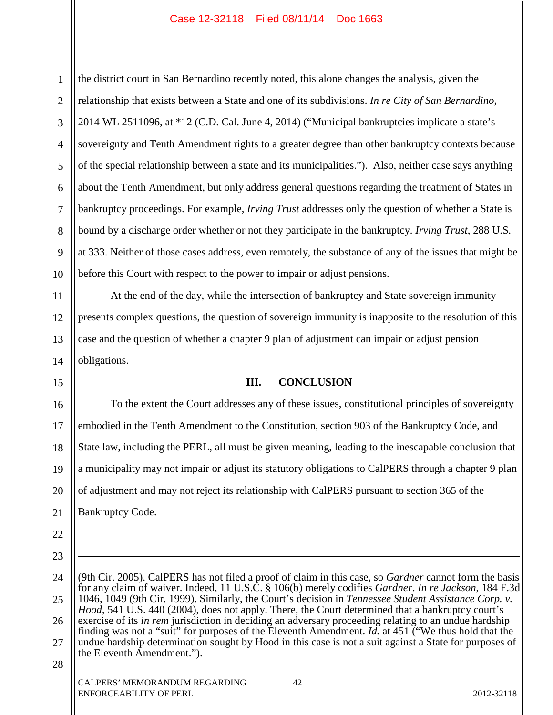1 2 3 4 5 6 7 8 9 10 the district court in San Bernardino recently noted, this alone changes the analysis, given the relationship that exists between a State and one of its subdivisions. *In re City of San Bernardino*, 2014 WL 2511096, at \*12 (C.D. Cal. June 4, 2014) ("Municipal bankruptcies implicate a state's sovereignty and Tenth Amendment rights to a greater degree than other bankruptcy contexts because of the special relationship between a state and its municipalities."). Also, neither case says anything about the Tenth Amendment, but only address general questions regarding the treatment of States in bankruptcy proceedings. For example, *Irving Trust* addresses only the question of whether a State is bound by a discharge order whether or not they participate in the bankruptcy. *Irving Trust*, 288 U.S*.* at 333. Neither of those cases address, even remotely, the substance of any of the issues that might be before this Court with respect to the power to impair or adjust pensions.

At the end of the day, while the intersection of bankruptcy and State sovereign immunity presents complex questions, the question of sovereign immunity is inapposite to the resolution of this case and the question of whether a chapter 9 plan of adjustment can impair or adjust pension obligations.

## **III. CONCLUSION**

16 17 18 19 20 21 To the extent the Court addresses any of these issues, constitutional principles of sovereignty embodied in the Tenth Amendment to the Constitution, section 903 of the Bankruptcy Code, and State law, including the PERL, all must be given meaning, leading to the inescapable conclusion that a municipality may not impair or adjust its statutory obligations to CalPERS through a chapter 9 plan of adjustment and may not reject its relationship with CalPERS pursuant to section 365 of the Bankruptcy Code.

24 25 26 27 28 (9th Cir. 2005). CalPERS has not filed a proof of claim in this case, so *Gardner* cannot form the basis for any claim of waiver. Indeed, 11 U.S.C. § 106(b) merely codifies *Gardner*. *In re Jackson*, 184 F.3d 1046, 1049 (9th Cir. 1999). Similarly, the Court's decision in *Tennessee Student Assistance Corp. v. Hood*, 541 U.S. 440 (2004), does not apply. There, the Court determined that a bankruptcy court's exercise of its *in rem* jurisdiction in deciding an adversary proceeding relating to an undue hardship finding was not a "suit" for purposes of the Eleventh Amendment. *Id.* at 451 ("We thus hold that the undue hardship determination sought by Hood in this case is not a suit against a State for purposes of the Eleventh Amendment.").

11

12

13

14

15

22

23

 $\overline{a}$